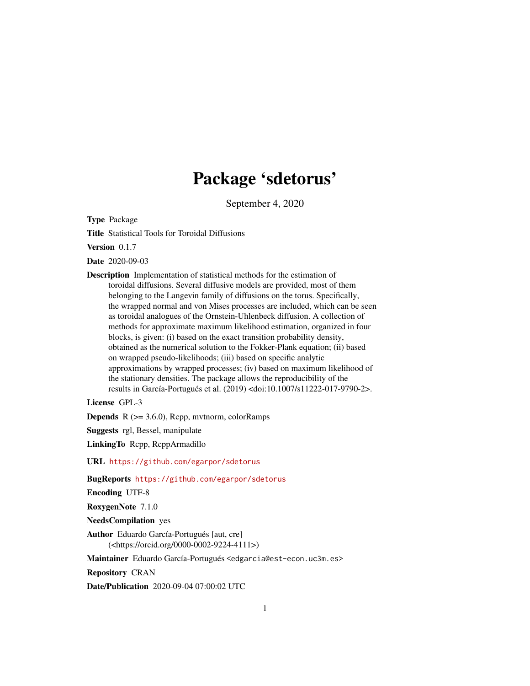# Package 'sdetorus'

September 4, 2020

<span id="page-0-0"></span>Type Package

Title Statistical Tools for Toroidal Diffusions

Version 0.1.7

Date 2020-09-03

Description Implementation of statistical methods for the estimation of toroidal diffusions. Several diffusive models are provided, most of them belonging to the Langevin family of diffusions on the torus. Specifically, the wrapped normal and von Mises processes are included, which can be seen as toroidal analogues of the Ornstein-Uhlenbeck diffusion. A collection of methods for approximate maximum likelihood estimation, organized in four blocks, is given: (i) based on the exact transition probability density, obtained as the numerical solution to the Fokker-Plank equation; (ii) based on wrapped pseudo-likelihoods; (iii) based on specific analytic approximations by wrapped processes; (iv) based on maximum likelihood of the stationary densities. The package allows the reproducibility of the results in García-Portugués et al. (2019) <doi:10.1007/s11222-017-9790-2>.

License GPL-3

**Depends**  $R$  ( $>= 3.6.0$ ), Rcpp, mvtnorm, colorRamps

Suggests rgl, Bessel, manipulate

LinkingTo Rcpp, RcppArmadillo

URL <https://github.com/egarpor/sdetorus>

BugReports <https://github.com/egarpor/sdetorus>

Encoding UTF-8

RoxygenNote 7.1.0

NeedsCompilation yes

Author Eduardo García-Portugués [aut, cre] (<https://orcid.org/0000-0002-9224-4111>)

Maintainer Eduardo García-Portugués <edgarcia@est-econ.uc3m.es>

Repository CRAN

Date/Publication 2020-09-04 07:00:02 UTC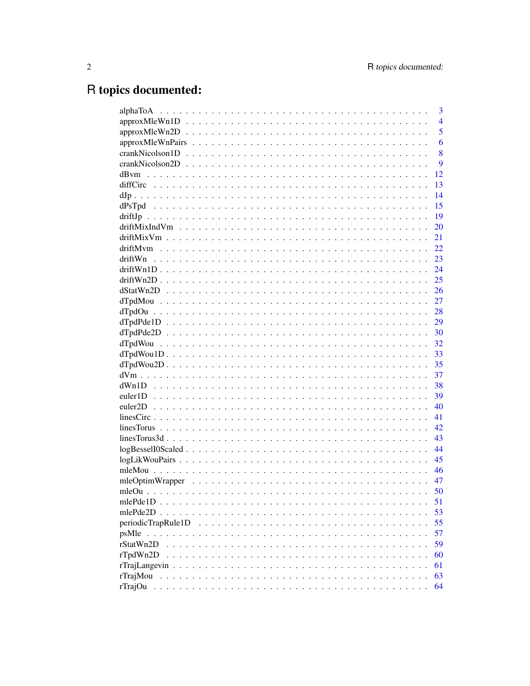# R topics documented:

|                                                                                                              | 3              |
|--------------------------------------------------------------------------------------------------------------|----------------|
|                                                                                                              | $\overline{4}$ |
|                                                                                                              | 5              |
|                                                                                                              | 6              |
| $crankNicolson1D \ldots \ldots \ldots \ldots \ldots \ldots \ldots \ldots \ldots \ldots \ldots \ldots \ldots$ | 8              |
|                                                                                                              | 9              |
|                                                                                                              | 12             |
|                                                                                                              | 13             |
|                                                                                                              | 14             |
|                                                                                                              | 15             |
|                                                                                                              | 19             |
|                                                                                                              | 20             |
|                                                                                                              | 21             |
|                                                                                                              | 22             |
| driftWn                                                                                                      | 23             |
|                                                                                                              | 24             |
|                                                                                                              | 25             |
|                                                                                                              | 26             |
|                                                                                                              | 27             |
|                                                                                                              | 28             |
|                                                                                                              | 29             |
|                                                                                                              | 30             |
|                                                                                                              | 32             |
|                                                                                                              | 33             |
|                                                                                                              | 35             |
|                                                                                                              | 37             |
|                                                                                                              | 38             |
|                                                                                                              | 39             |
|                                                                                                              | 40             |
|                                                                                                              | 41             |
|                                                                                                              | 42             |
|                                                                                                              | 43             |
|                                                                                                              | 44             |
|                                                                                                              | 45             |
|                                                                                                              | 46             |
|                                                                                                              | 47             |
|                                                                                                              | 50             |
|                                                                                                              | 51             |
| $mlePde2D$ .                                                                                                 | 53             |
| periodicTrapRule1D                                                                                           | 55             |
|                                                                                                              | 57             |
| rStatWn2D                                                                                                    | 59             |
| rTpdWn2D                                                                                                     | 60             |
|                                                                                                              | 61             |
| rTrajMou                                                                                                     | 63             |
| rTrajOu                                                                                                      | 64             |
|                                                                                                              |                |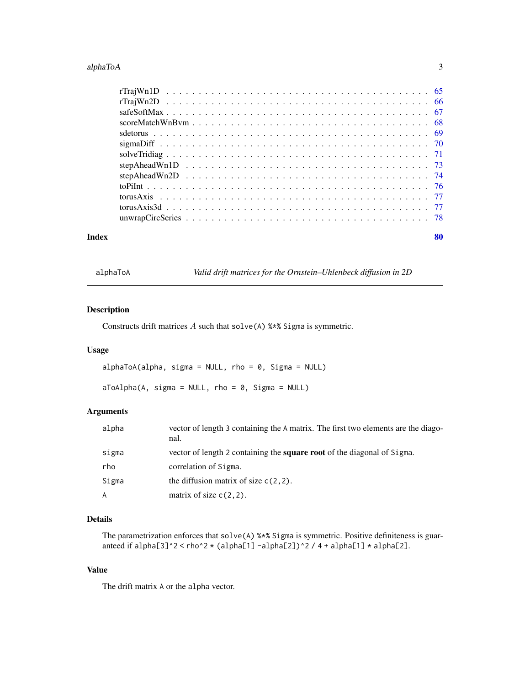#### <span id="page-2-0"></span>alphaToA 3

| Index | 80 |
|-------|----|

<span id="page-2-1"></span>alphaToA *Valid drift matrices for the Ornstein–Uhlenbeck diffusion in 2D*

# Description

Constructs drift matrices A such that solve(A) %\*% Sigma is symmetric.

# Usage

```
alphaToA(alpha, sigma = NULL, rho = 0, Sigma = NULL)
```
 $aToAlpha(A, sigma = NULL, rho = 0, Sigma = NULL)$ 

# Arguments

| alpha | vector of length 3 containing the A matrix. The first two elements are the diago-<br>nal. |
|-------|-------------------------------------------------------------------------------------------|
| sigma | vector of length 2 containing the <b>square root</b> of the diagonal of Sigma.            |
| rho   | correlation of Sigma.                                                                     |
| Sigma | the diffusion matrix of size $c(2, 2)$ .                                                  |
| A     | matrix of size $c(2, 2)$ .                                                                |

# Details

The parametrization enforces that solve(A) %\*% Sigma is symmetric. Positive definiteness is guaranteed if alpha[3]^2 < rho^2 \* (alpha[1] -alpha[2])^2 / 4 + alpha[1] \* alpha[2].

# Value

The drift matrix A or the alpha vector.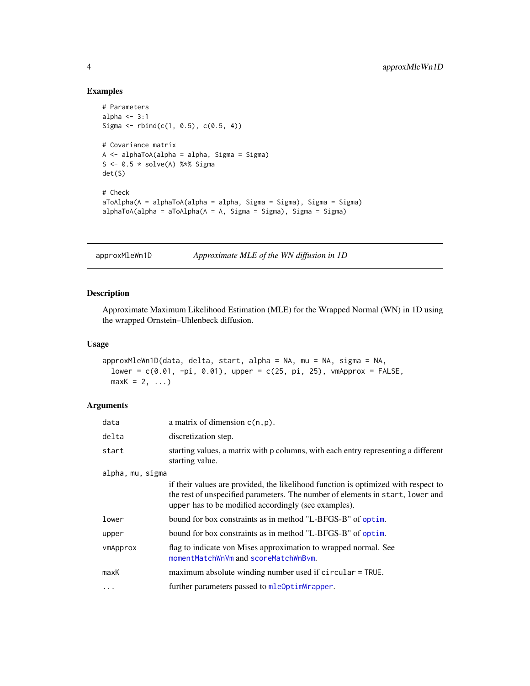# Examples

```
# Parameters
alpha <-3:1Sigma <- rbind(c(1, 0.5), c(0.5, 4))
# Covariance matrix
A <- alphaToA(alpha = alpha, Sigma = Sigma)
S <- 0.5 * solve(A) %*% Sigma
det(S)
# Check
aToAlpha(A = alphaToA(alpha = alpha, Sigma = Sigma), Sigma = Sigma)
alphaToA(alpha = aToAlpha(A = A, Sigma = Sigma), Sigma = Sigma)
```
approxMleWn1D *Approximate MLE of the WN diffusion in 1D*

# Description

Approximate Maximum Likelihood Estimation (MLE) for the Wrapped Normal (WN) in 1D using the wrapped Ornstein–Uhlenbeck diffusion.

#### Usage

```
approxMleWn1D(data, delta, start, alpha = NA, mu = NA, sigma = NA,
 lower = c(0.01, -pi, 0.01), upper = c(25, pi, 25), vmApprox = FALSE,
 maxK = 2, ...
```
# Arguments

| data             | a matrix of dimension $c(n, p)$ .                                                                                                                                                                                            |
|------------------|------------------------------------------------------------------------------------------------------------------------------------------------------------------------------------------------------------------------------|
| delta            | discretization step.                                                                                                                                                                                                         |
| start            | starting values, a matrix with p columns, with each entry representing a different<br>starting value.                                                                                                                        |
| alpha, mu, sigma |                                                                                                                                                                                                                              |
|                  | if their values are provided, the likelihood function is optimized with respect to<br>the rest of unspecified parameters. The number of elements in start, lower and<br>upper has to be modified accordingly (see examples). |
| lower            | bound for box constraints as in method "L-BFGS-B" of optim.                                                                                                                                                                  |
| upper            | bound for box constraints as in method "L-BFGS-B" of optim.                                                                                                                                                                  |
| vmApprox         | flag to indicate von Mises approximation to wrapped normal. See<br>momentMatchWnVm and scoreMatchWnBvm.                                                                                                                      |
| maxK             | maximum absolute winding number used if circular = TRUE.                                                                                                                                                                     |
| $\cdots$         | further parameters passed to mleOptimWrapper.                                                                                                                                                                                |

<span id="page-3-0"></span>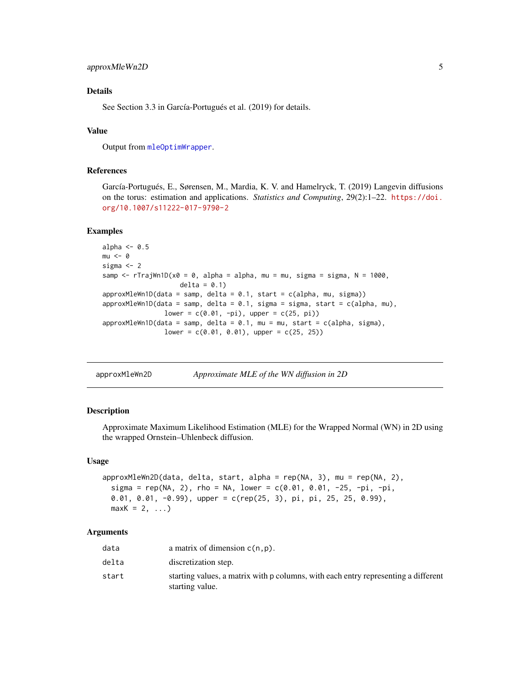# <span id="page-4-0"></span>approxMleWn2D 5

# Details

See Section 3.3 in García-Portugués et al. (2019) for details.

# Value

Output from [mleOptimWrapper](#page-46-1).

# References

García-Portugués, E., Sørensen, M., Mardia, K. V. and Hamelryck, T. (2019) Langevin diffusions on the torus: estimation and applications. *Statistics and Computing*, 29(2):1–22. [https://doi.](https://doi.org/10.1007/s11222-017-9790-2) [org/10.1007/s11222-017-9790-2](https://doi.org/10.1007/s11222-017-9790-2)

#### Examples

```
alpha <-0.5mu < - \thetasigma <- 2
samp \le rTrajWn1D(x0 = 0, alpha = alpha, mu = mu, sigma = sigma, N = 1000,
                    delta = 0.1)
approxMleWn1D(data = samp, delta = 0.1, start = c(alpha, mu, sigma))approxMleWn1D(data = samp, delta = 0.1, sigma = sigma, start = c(alpha, mu),
               lower = c(0.01, -pi), upper = c(25, pi)approxMleWn1D(data = samp, delta = 0.1, mu = mu, start = c(alpha, sigma),
               lower = c(0.01, 0.01), upper = c(25, 25))
```

| approxMleWn2D |  | Approximate MLE of the WN diffusion in 2D |  |
|---------------|--|-------------------------------------------|--|
|               |  |                                           |  |

#### **Description**

Approximate Maximum Likelihood Estimation (MLE) for the Wrapped Normal (WN) in 2D using the wrapped Ornstein–Uhlenbeck diffusion.

#### Usage

```
approxMleWn2D(data, delta, start, alpha = rep(NA, 3), mu = rep(NA, 2),
  sigma = rep(NA, 2), rho = NA, lower = c(0.01, 0.01, -25, -pi, -pi),
 0.01, 0.01, -0.99), upper = c(rep(25, 3), pi, pi, 25, 25, 0.99),
 maxK = 2, ...
```
#### Arguments

| data  | a matrix of dimension $c(n, p)$ .                                                                     |
|-------|-------------------------------------------------------------------------------------------------------|
| delta | discretization step.                                                                                  |
| start | starting values, a matrix with p columns, with each entry representing a different<br>starting value. |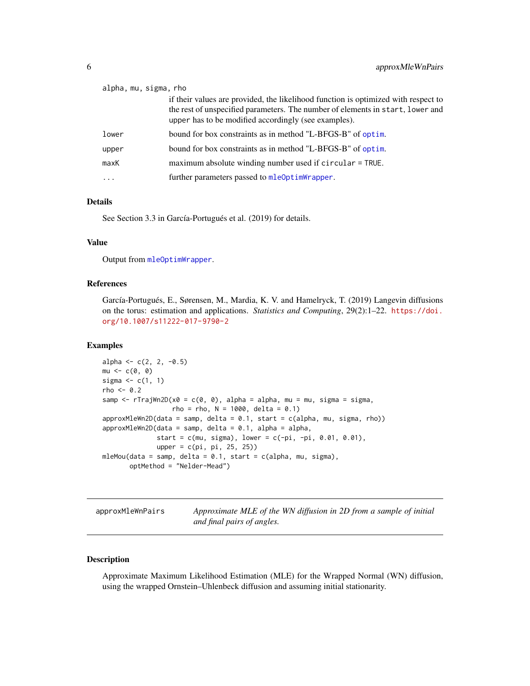<span id="page-5-0"></span>

| alpha, mu, sigma, rho |                                                                                                                                                                                                                              |
|-----------------------|------------------------------------------------------------------------------------------------------------------------------------------------------------------------------------------------------------------------------|
|                       | if their values are provided, the likelihood function is optimized with respect to<br>the rest of unspecified parameters. The number of elements in start, lower and<br>upper has to be modified accordingly (see examples). |
| lower                 | bound for box constraints as in method "L-BFGS-B" of optim.                                                                                                                                                                  |
| upper                 | bound for box constraints as in method "L-BFGS-B" of optim.                                                                                                                                                                  |
| maxK                  | maximum absolute winding number used if circular = TRUE.                                                                                                                                                                     |
| $\ddotsc$             | further parameters passed to mleOptimWrapper.                                                                                                                                                                                |

# Details

See Section 3.3 in García-Portugués et al. (2019) for details.

# Value

Output from [mleOptimWrapper](#page-46-1).

## References

García-Portugués, E., Sørensen, M., Mardia, K. V. and Hamelryck, T. (2019) Langevin diffusions on the torus: estimation and applications. *Statistics and Computing*, 29(2):1–22. [https://doi.](https://doi.org/10.1007/s11222-017-9790-2) [org/10.1007/s11222-017-9790-2](https://doi.org/10.1007/s11222-017-9790-2)

#### Examples

```
alpha <- c(2, 2, -0.5)mu <- c(0, 0)
sigma \leftarrow c(1, 1)
rho <-0.2samp \leq rTrajWn2D(x0 = c(0, 0), alpha = alpha, mu = mu, sigma = sigma,
                  rho = rho, N = 1000, delta = 0.1)approxMleWn2D(data = samp, delta = 0.1, start = c(alpha, mu, sigma, rho))approxMleWn2D(data = samp, delta = 0.1, alpha = alpha,start = c(mu, sigma), lower = c(-pi, -pi, 0.01, 0.01),
              upper = c(pi, pi, 25, 25))
mleMou(data = samp, delta = 0.1, start = c(alpha, mu, sigma),
       optMethod = "Nelder-Mead")
```
approxMleWnPairs *Approximate MLE of the WN diffusion in 2D from a sample of initial and final pairs of angles.*

#### Description

Approximate Maximum Likelihood Estimation (MLE) for the Wrapped Normal (WN) diffusion, using the wrapped Ornstein–Uhlenbeck diffusion and assuming initial stationarity.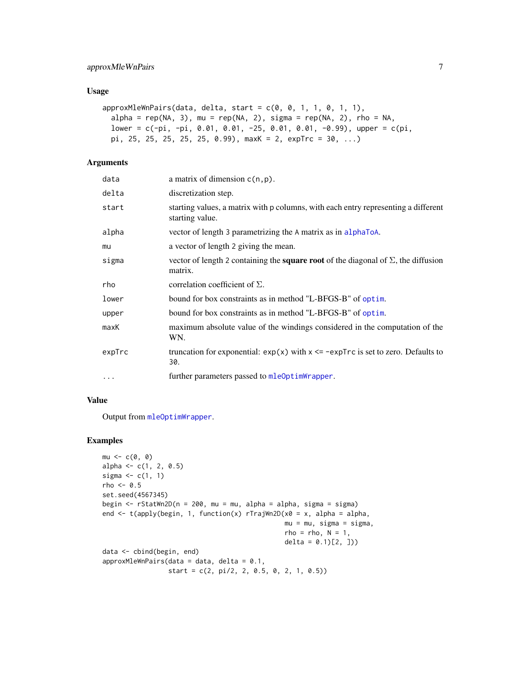# approxMleWnPairs 7

#### Usage

```
approxMleWnPairs(data, delta, start = c(0, 0, 1, 1, 0, 1, 1),alpha = rep(NA, 3), mu = rep(NA, 2), sigma = rep(NA, 2), rho = NA,
 lower = c(-pi, -pi, 0.01, 0.01, -25, 0.01, 0.01, -0.99), upper = c(pi,
 pi, 25, 25, 25, 25, 25, 0.99), maxK = 2, expTrc = 30, ...)
```
# Arguments

| data     | a matrix of dimension $c(n, p)$ .                                                                           |
|----------|-------------------------------------------------------------------------------------------------------------|
| delta    | discretization step.                                                                                        |
| start    | starting values, a matrix with p columns, with each entry representing a different<br>starting value.       |
| alpha    | vector of length 3 parametrizing the A matrix as in alphaToA.                                               |
| mu       | a vector of length 2 giving the mean.                                                                       |
| sigma    | vector of length 2 containing the <b>square root</b> of the diagonal of $\Sigma$ , the diffusion<br>matrix. |
| rho      | correlation coefficient of $\Sigma$ .                                                                       |
| lower    | bound for box constraints as in method "L-BFGS-B" of optim.                                                 |
| upper    | bound for box constraints as in method "L-BFGS-B" of optim.                                                 |
| maxK     | maximum absolute value of the windings considered in the computation of the<br>WN.                          |
| expTrc   | truncation for exponential: $exp(x)$ with $x \leq -expTrc$ is set to zero. Defaults to<br>30.               |
| $\cdots$ | further parameters passed to mleOptimWrapper.                                                               |

# Value

Output from [mleOptimWrapper](#page-46-1).

```
mu < -c(0, 0)alpha <-c(1, 2, 0.5)sigma \leftarrow c(1, 1)
rho <-0.5set.seed(4567345)
begin <- rStatWn2D(n = 200, mu = mu, alpha = alpha, sigma = sigma)
end <- t(apply(begin, 1, function(x) rTrajWn2D(x0 = x, alpha = alpha,
                                               mu = mu, sigma = sigma,
                                               rho = rho, N = 1,
                                               delta = (0.1)[2, ]data <- cbind(begin, end)
approxMleWnPairs(data = data, delta = 0.1,
                 start = c(2, pi/2, 2, 0.5, 0, 2, 1, 0.5))
```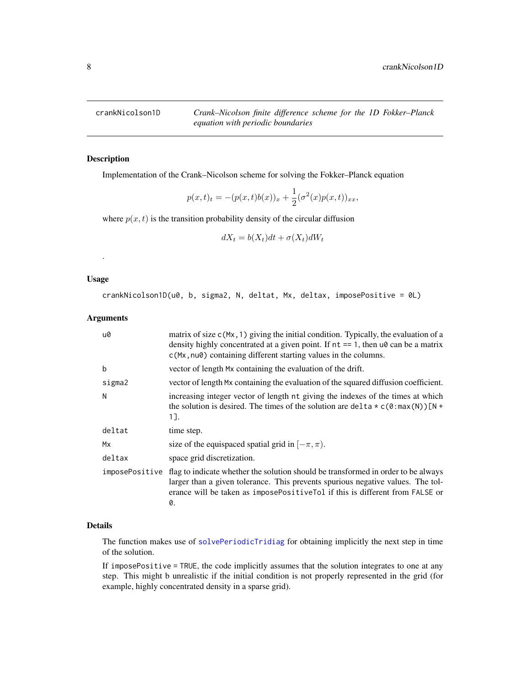<span id="page-7-1"></span><span id="page-7-0"></span>crankNicolson1D *Crank–Nicolson finite difference scheme for the 1D Fokker–Planck equation with periodic boundaries*

# Description

Implementation of the Crank–Nicolson scheme for solving the Fokker–Planck equation

$$
p(x,t)_t = -(p(x,t)b(x))_x + \frac{1}{2}(\sigma^2(x)p(x,t))_{xx},
$$

where  $p(x, t)$  is the transition probability density of the circular diffusion

$$
dX_t = b(X_t)dt + \sigma(X_t)dW_t
$$

#### Usage

.

crankNicolson1D(u0, b, sigma2, N, deltat, Mx, deltax, imposePositive = 0L)

# Arguments

| u0             | matrix of size $c(Mx, 1)$ giving the initial condition. Typically, the evaluation of a<br>density highly concentrated at a given point. If $nt == 1$ , then $u\theta$ can be a matrix<br>c(Mx, nu0) containing different starting values in the columns.   |
|----------------|------------------------------------------------------------------------------------------------------------------------------------------------------------------------------------------------------------------------------------------------------------|
| b              | vector of length Mx containing the evaluation of the drift.                                                                                                                                                                                                |
| sigma2         | vector of length Mx containing the evaluation of the squared diffusion coefficient.                                                                                                                                                                        |
| N              | increasing integer vector of length nt giving the indexes of the times at which<br>the solution is desired. The times of the solution are delta $\star$ c(0:max(N))[N +<br>1].                                                                             |
| deltat         | time step.                                                                                                                                                                                                                                                 |
| Mx             | size of the equispaced spatial grid in $[-\pi, \pi)$ .                                                                                                                                                                                                     |
| deltax         | space grid discretization.                                                                                                                                                                                                                                 |
| imposePositive | flag to indicate whether the solution should be transformed in order to be always<br>larger than a given tolerance. This prevents spurious negative values. The tol-<br>erance will be taken as imposePositiveTol if this is different from FALSE or<br>0. |

# Details

The function makes use of [solvePeriodicTridiag](#page-70-1) for obtaining implicitly the next step in time of the solution.

If imposePositive = TRUE, the code implicitly assumes that the solution integrates to one at any step. This might b unrealistic if the initial condition is not properly represented in the grid (for example, highly concentrated density in a sparse grid).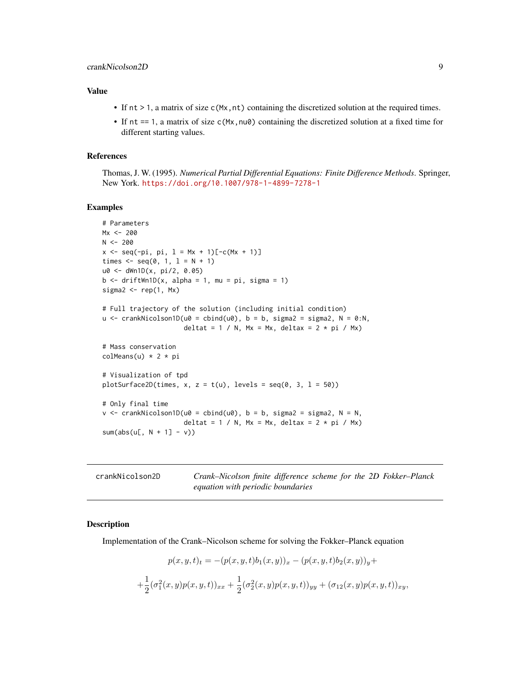# <span id="page-8-0"></span>Value

- If  $nt > 1$ , a matrix of size c(Mx,nt) containing the discretized solution at the required times.
- If  $nt == 1$ , a matrix of size  $c(Mx, nu0)$  containing the discretized solution at a fixed time for different starting values.

# References

Thomas, J. W. (1995). *Numerical Partial Differential Equations: Finite Difference Methods*. Springer, New York. <https://doi.org/10.1007/978-1-4899-7278-1>

#### Examples

```
# Parameters
Mx < -200N < -200x \leq -\text{seq}(-\text{pi}, \text{pi}, 1 = Mx + 1)[-c(Mx + 1)]times \leq - seq(0, 1, 1 = N + 1)
u0 <- dWn1D(x, pi/2, 0.05)
b \le - driftWn1D(x, alpha = 1, mu = pi, sigma = 1)
sigma2 < - rep(1, Mx)
# Full trajectory of the solution (including initial condition)
u \le crankNicolson1D(u0 = cbind(u0), b = b, sigma2 = sigma2, N = 0:N,
                      deltat = 1 / N, Mx = Mx, deltax = 2 * pi / Mx)
# Mass conservation
colMeans(u) * 2 * pi# Visualization of tpd
plotSurface2D(times, x, z = t(u), levels = seq(0, 3, 1 = 50))
# Only final time
v \le crankNicolson1D(u0 = cbind(u0), b = b, sigma2 = sigma2, N = N,
                      deltat = 1 / N, Mx = Mx, deltax = 2 * pi / Mx)
sum(abs(u[, N + 1] - v))
```
<span id="page-8-1"></span>

| crankNicolson2D | Crank–Nicolson finite difference scheme for the 2D Fokker–Planck |  |  |  |
|-----------------|------------------------------------------------------------------|--|--|--|
|                 | equation with periodic boundaries                                |  |  |  |

#### Description

Implementation of the Crank–Nicolson scheme for solving the Fokker–Planck equation

$$
p(x, y, t)_t = -(p(x, y, t)b_1(x, y))_x - (p(x, y, t)b_2(x, y))_y +
$$
  
+
$$
\frac{1}{2}(\sigma_1^2(x, y)p(x, y, t))_{xx} + \frac{1}{2}(\sigma_2^2(x, y)p(x, y, t))_{yy} + (\sigma_{12}(x, y)p(x, y, t))_{xy},
$$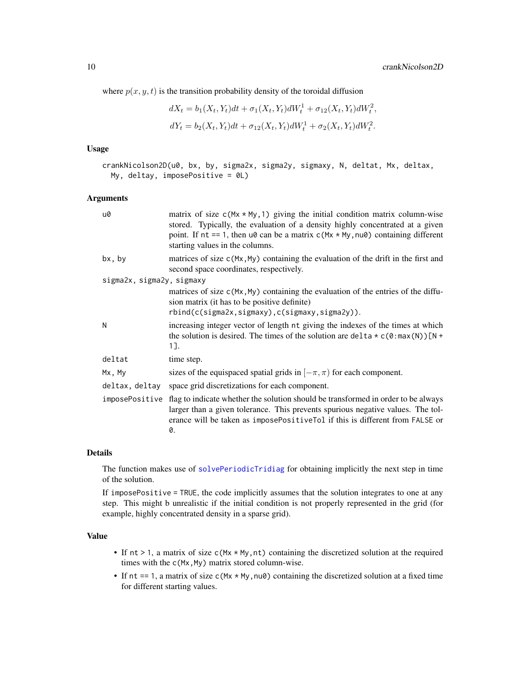where  $p(x, y, t)$  is the transition probability density of the toroidal diffusion

$$
dX_t = b_1(X_t, Y_t)dt + \sigma_1(X_t, Y_t)dW_t^1 + \sigma_{12}(X_t, Y_t)dW_t^2,
$$
  

$$
dY_t = b_2(X_t, Y_t)dt + \sigma_{12}(X_t, Y_t)dW_t^1 + \sigma_2(X_t, Y_t)dW_t^2.
$$

# Usage

crankNicolson2D(u0, bx, by, sigma2x, sigma2y, sigmaxy, N, deltat, Mx, deltax, My, deltay, imposePositive = 0L)

# **Arguments**

| u0                        | matrix of size $c(Mx * My, 1)$ giving the initial condition matrix column-wise<br>stored. Typically, the evaluation of a density highly concentrated at a given<br>point. If $nt == 1$ , then $u\theta$ can be a matrix $c(Mx * My, nu\theta)$ containing different<br>starting values in the columns. |
|---------------------------|--------------------------------------------------------------------------------------------------------------------------------------------------------------------------------------------------------------------------------------------------------------------------------------------------------|
| bx, by                    | matrices of size $c(Mx, My)$ containing the evaluation of the drift in the first and<br>second space coordinates, respectively.                                                                                                                                                                        |
| sigma2x, sigma2y, sigmaxy |                                                                                                                                                                                                                                                                                                        |
|                           | matrices of size $c(Mx, My)$ containing the evaluation of the entries of the diffu-<br>sion matrix (it has to be positive definite)                                                                                                                                                                    |
|                           | rbind(c(sigma2x,sigmaxy),c(sigmaxy,sigma2y)).                                                                                                                                                                                                                                                          |
| N                         | increasing integer vector of length nt giving the indexes of the times at which<br>the solution is desired. The times of the solution are delta $\star$ c(0:max(N))[N +<br>1].                                                                                                                         |
| deltat                    | time step.                                                                                                                                                                                                                                                                                             |
| Mx, My                    | sizes of the equispaced spatial grids in $[-\pi, \pi)$ for each component.                                                                                                                                                                                                                             |
| deltax, deltay            | space grid discretizations for each component.                                                                                                                                                                                                                                                         |
|                           | imposePositive flag to indicate whether the solution should be transformed in order to be always<br>larger than a given tolerance. This prevents spurious negative values. The tol-<br>erance will be taken as imposePositiveTol if this is different from FALSE or<br>0.                              |
|                           |                                                                                                                                                                                                                                                                                                        |

# Details

The function makes use of [solvePeriodicTridiag](#page-70-1) for obtaining implicitly the next step in time of the solution.

If imposePositive = TRUE, the code implicitly assumes that the solution integrates to one at any step. This might b unrealistic if the initial condition is not properly represented in the grid (for example, highly concentrated density in a sparse grid).

# Value

- If  $nt > 1$ , a matrix of size  $c(Mx * My, nt)$  containing the discretized solution at the required times with the c(Mx, My) matrix stored column-wise.
- If nt == 1, a matrix of size c( $Mx$  \*  $My$ ,  $nu$ ) containing the discretized solution at a fixed time for different starting values.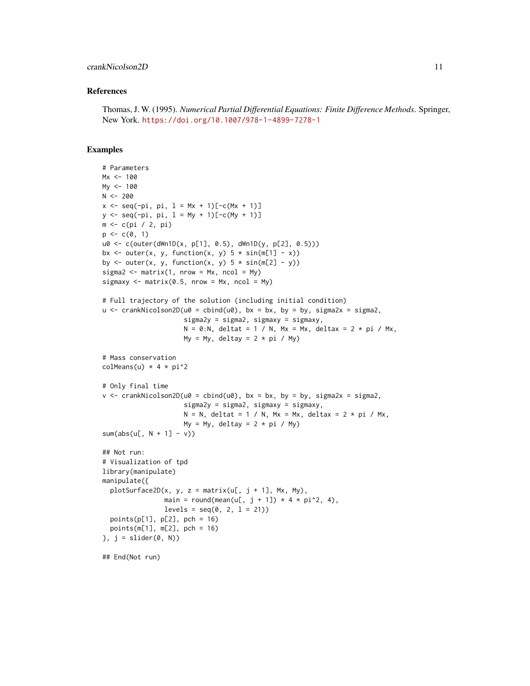# crankNicolson2D 11

#### References

```
Thomas, J. W. (1995). Numerical Partial Differential Equations: Finite Difference Methods. Springer,
New York. https://doi.org/10.1007/978-1-4899-7278-1
```

```
# Parameters
Mx < -100My <- 100
N < -200x \leq -\text{seq}(-\text{pi}, \text{pi}, 1 = Mx + 1)[-c(Mx + 1)]y \le - seq(-pi, pi, l = My + 1)[-c(My + 1)]
m <- c(pi / 2, pi)
p \leftarrow c(0, 1)u0 <- c(outer(dWn1D(x, p[1], 0.5), dWn1D(y, p[2], 0.5)))
bx \le outer(x, y, function(x, y) 5 * sin(m[1] - x))
by \le outer(x, y, function(x, y) 5 * sin(m[2] - y))
sigma2 \leq matrix(1, nrow = Mx, ncol = My)
sigmaxy \leq matrix(0.5, nrow = Mx, ncol = My)
# Full trajectory of the solution (including initial condition)
u \le - crankNicolson2D(u0 = cbind(u0), bx = bx, by = by, sigma2x = sigma2,
                     sigma2y = sigma2, sigmaxy = sigmaxy,
                     N = 0:N, deltat = 1 / N, Mx = Mx, deltax = 2 * pi / Mx,
                     My = My, deltay = 2 * pi / My# Mass conservation
colMeans(u) * 4 * pi^2
# Only final time
v \le crankNicolson2D(u0 = cbind(u0), bx = bx, by = by, sigma2x = sigma2,
                      sigma2y = sigma2, sigmaxy = sigmaxy,
                     N = N, deltat = 1 / N, Mx = Mx, deltax = 2 * pi / Mx,
                     My = My, deltay = 2 * pi / Mysum(abs(u[, N + 1] - v))## Not run:
# Visualization of tpd
library(manipulate)
manipulate({
  plotsurface2D(x, y, z = matrix(u[, j + 1], Mx, My),main = round(mean(u[, j + 1]) * 4 * pi^2, 4),
                levels = seq(0, 2, 1 = 21)points(p[1], p[2], pch = 16)
  points(m[1], m[2], pch = 16)
}, j = slider(0, N)## End(Not run)
```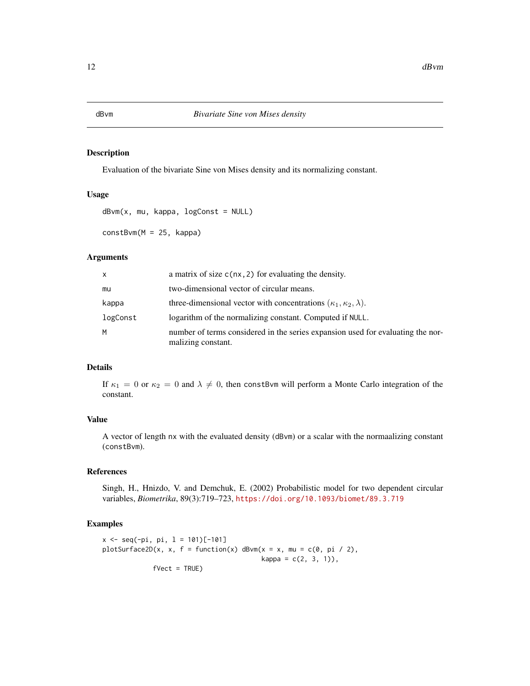Evaluation of the bivariate Sine von Mises density and its normalizing constant.

# Usage

```
dBvm(x, mu, kappa, logConst = NULL)constBvm(M = 25, kappa)
```
# Arguments

| X        | a matrix of size $c(nx, 2)$ for evaluating the density.                                               |
|----------|-------------------------------------------------------------------------------------------------------|
| mu       | two-dimensional vector of circular means.                                                             |
| kappa    | three-dimensional vector with concentrations $(\kappa_1, \kappa_2, \lambda)$ .                        |
| logConst | logarithm of the normalizing constant. Computed if NULL.                                              |
| M        | number of terms considered in the series expansion used for evaluating the nor-<br>malizing constant. |

# Details

If  $\kappa_1 = 0$  or  $\kappa_2 = 0$  and  $\lambda \neq 0$ , then constBvm will perform a Monte Carlo integration of the constant.

# Value

A vector of length nx with the evaluated density (dBvm) or a scalar with the normaalizing constant (constBvm).

# References

Singh, H., Hnizdo, V. and Demchuk, E. (2002) Probabilistic model for two dependent circular variables, *Biometrika*, 89(3):719–723, <https://doi.org/10.1093/biomet/89.3.719>

```
x \leq -\text{seq}(-\text{pi}, \text{pi}, 1 = 101)[-101]plotSurface2D(x, x, f = function(x) dBvm(x = x, mu = c(0, pi / 2),
                                               kappa = c(2, 3, 1),
               fVect = TRUE)
```
<span id="page-11-0"></span>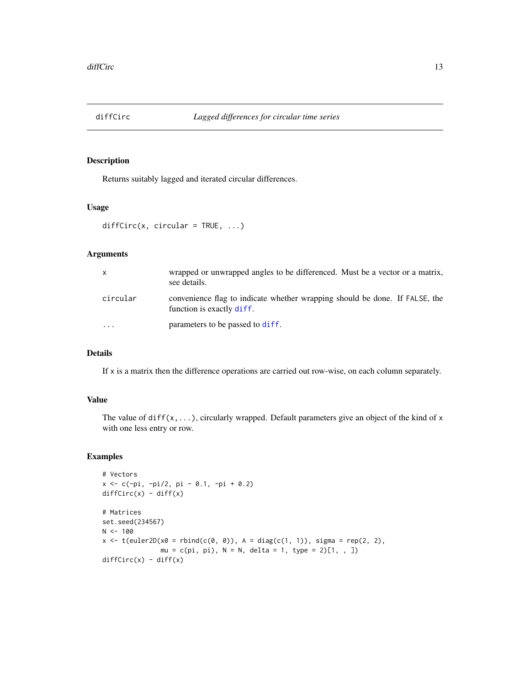<span id="page-12-0"></span>

Returns suitably lagged and iterated circular differences.

# Usage

```
diffCirc(x, circular = TRUE, ...)
```
# Arguments

| X        | wrapped or unwrapped angles to be differenced. Must be a vector or a matrix,<br>see details.             |
|----------|----------------------------------------------------------------------------------------------------------|
| circular | convenience flag to indicate whether wrapping should be done. If FALSE, the<br>function is exactly diff. |
| $\cdot$  | parameters to be passed to diff.                                                                         |

# Details

If x is a matrix then the difference operations are carried out row-wise, on each column separately.

# Value

The value of  $diff(x,...)$ , circularly wrapped. Default parameters give an object of the kind of x with one less entry or row.

```
# Vectors
x <- c(-pi, -pi/2, pi - 0.1, -pi + 0.2)
diffCirc(x) - diff(x)# Matrices
set.seed(234567)
N < - 100x \leq t(euler2D(x0 = \text{rbind}(c(0, 0)), A = \text{diag}(c(1, 1)), sigma = rep(2, 2),
               mu = c(pi, pi), N = N, delta = 1, type = 2)[1, 1]diffCirc(x) - diff(x)
```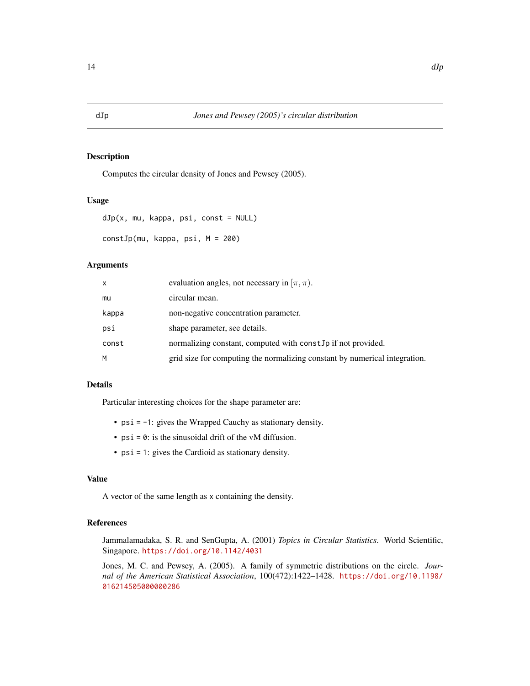<span id="page-13-0"></span>

Computes the circular density of Jones and Pewsey (2005).

#### Usage

```
dJp(x, mu, kappa, psi, const = NULL)
constJp(mu, kappa, psi, M = 200)
```
# Arguments

| x     | evaluation angles, not necessary in $[\pi, \pi)$ .                         |
|-------|----------------------------------------------------------------------------|
| mu    | circular mean.                                                             |
| kappa | non-negative concentration parameter.                                      |
| psi   | shape parameter, see details.                                              |
| const | normalizing constant, computed with const. Jp if not provided.             |
| м     | grid size for computing the normalizing constant by numerical integration. |

# Details

Particular interesting choices for the shape parameter are:

- psi = -1: gives the Wrapped Cauchy as stationary density.
- $psi = 0$ : is the sinusoidal drift of the vM diffusion.
- psi = 1: gives the Cardioid as stationary density.

# Value

A vector of the same length as x containing the density.

# References

Jammalamadaka, S. R. and SenGupta, A. (2001) *Topics in Circular Statistics*. World Scientific, Singapore. <https://doi.org/10.1142/4031>

Jones, M. C. and Pewsey, A. (2005). A family of symmetric distributions on the circle. *Journal of the American Statistical Association*, 100(472):1422–1428. [https://doi.org/10.1198/](https://doi.org/10.1198/016214505000000286) [016214505000000286](https://doi.org/10.1198/016214505000000286)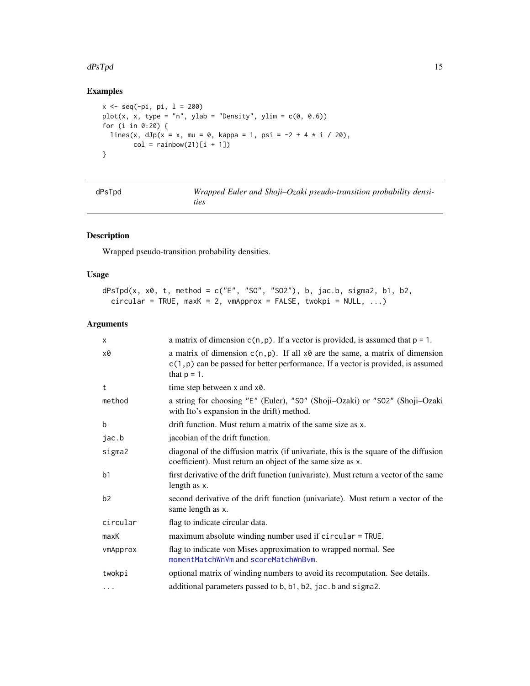#### <span id="page-14-0"></span>dPsTpd 15

# Examples

```
x \le - seq(-pi, pi, l = 200)
plot(x, x, type = "n", ylab = "Density", ylim = c(\emptyset, \emptyset.6))
for (i in 0:20) {
  lines(x, dJp(x = x, mu = 0, kappa = 1, psi = -2 + 4 * i / 20),
        col = rainbow(21)[i + 1])}
```

| dPsTpd | Wrapped Euler and Shoji-Ozaki pseudo-transition probability densi- |
|--------|--------------------------------------------------------------------|
|        | ties                                                               |

# Description

Wrapped pseudo-transition probability densities.

# Usage

```
dPsTpd(x, x0, t, method = c("E", "S0", "S02"), b, jac.b, sigma2, b1, b2,circular = TRUE, maxK = 2, wmapprox = FALSE, twokpi = NULL, ...)
```
# Arguments

| $\times$       | a matrix of dimension $c(n, p)$ . If a vector is provided, is assumed that $p = 1$ .                                                                                                             |
|----------------|--------------------------------------------------------------------------------------------------------------------------------------------------------------------------------------------------|
| x0             | a matrix of dimension $c(n, p)$ . If all $x \theta$ are the same, a matrix of dimension<br>$c(1, p)$ can be passed for better performance. If a vector is provided, is assumed<br>that $p = 1$ . |
| t              | time step between x and x0.                                                                                                                                                                      |
| method         | a string for choosing "E" (Euler), "S0" (Shoji-Ozaki) or "S02" (Shoji-Ozaki<br>with Ito's expansion in the drift) method.                                                                        |
| $\mathbf b$    | drift function. Must return a matrix of the same size as x.                                                                                                                                      |
| jac.b          | jacobian of the drift function.                                                                                                                                                                  |
| sigma2         | diagonal of the diffusion matrix (if univariate, this is the square of the diffusion<br>coefficient). Must return an object of the same size as x.                                               |
| b <sub>1</sub> | first derivative of the drift function (univariate). Must return a vector of the same<br>length as x.                                                                                            |
| b <sub>2</sub> | second derivative of the drift function (univariate). Must return a vector of the<br>same length as x.                                                                                           |
| circular       | flag to indicate circular data.                                                                                                                                                                  |
| maxK           | maximum absolute winding number used if circular = TRUE.                                                                                                                                         |
| vmApprox       | flag to indicate von Mises approximation to wrapped normal. See<br>momentMatchWnVm and scoreMatchWnBvm.                                                                                          |
| twokpi         | optional matrix of winding numbers to avoid its recomputation. See details.                                                                                                                      |
| $\cdots$       | additional parameters passed to b, b1, b2, jac. b and sigma2.                                                                                                                                    |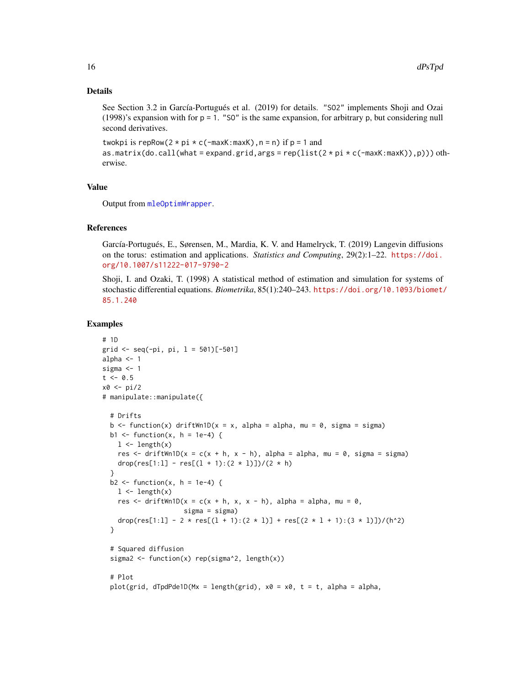#### Details

See Section 3.2 in García-Portugués et al. (2019) for details. "SO2" implements Shoji and Ozai (1998)'s expansion with for  $p = 1$ . "SO" is the same expansion, for arbitrary p, but considering null second derivatives.

```
twokpi is repRow(2 * pi * c(-maxK:maxK), n = n) if p = 1 and
as.matrix(do.call(what = expand.grid, args = rep(list(2 * pi * c(-maxK:maxK)),p))) oth-
erwise.
```
#### Value

Output from [mleOptimWrapper](#page-46-1).

# References

García-Portugués, E., Sørensen, M., Mardia, K. V. and Hamelryck, T. (2019) Langevin diffusions on the torus: estimation and applications. *Statistics and Computing*, 29(2):1–22. [https://doi.](https://doi.org/10.1007/s11222-017-9790-2) [org/10.1007/s11222-017-9790-2](https://doi.org/10.1007/s11222-017-9790-2)

Shoji, I. and Ozaki, T. (1998) A statistical method of estimation and simulation for systems of stochastic differential equations. *Biometrika*, 85(1):240–243. [https://doi.org/10.1093/biomet/](https://doi.org/10.1093/biomet/85.1.240) [85.1.240](https://doi.org/10.1093/biomet/85.1.240)

```
# 1D
grid \leq seq(-pi, pi, l = 501)[-501]
alpha <-1sigma <-1t < -0.5x0 <- pi/2
# manipulate::manipulate({
  # Drifts
  b \le function(x) driftWn1D(x = x, alpha = alpha, mu = 0, sigma = sigma)
  b1 \leq function(x, h = 1e-4) {
   1 \leftarrow length(x)res \le - driftWn1D(x = c(x + h, x - h), alpha = alpha, mu = 0, sigma = sigma)
   drop(res[1:1] - res[(1 + 1):(2 * 1)]/(2 * h)}
  b2 <- function(x, h = 1e-4) {
   1 \leftarrow length(x)res \le driftWn1D(x = c(x + h, x, x - h), alpha = alpha, mu = 0,
                     sigma = sigma)
    drop(res[1:1] - 2 * res[(1 + 1):(2 * 1)] + res[(2 * 1 + 1):(3 * 1)])/(h^2)
  }
  # Squared diffusion
  sigma2 <- function(x) rep(sigma^2, length(x))
  # Plot
  plot(grid, dTpdPde1D(Mx = length(grid), x0 = x0, t = t, alpha = alpha,
```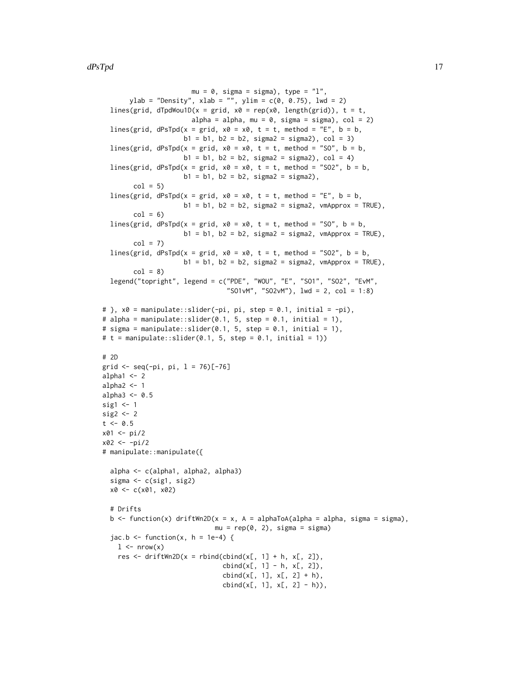```
mu = 0, sigma = sigma), type = "l",ylab = "Density", xlab = "", ylim = c(0, 0.75), lwd = 2)
  lines(grid, dTpdWou1D(x = grid, x0 = rep(x0, length(grid)), t = t,
                       alpha = alpha, mu = 0, sigma = sigma), col = 2)
  lines(grid, dPsTpd(x = grid, x0 = x0, t = t, method = "E", b = b,
                     b1 = b1, b2 = b2, sigma2 = sigma2), col = 3)
  lines(grid, dPsTpd(x = grid, x0 = x0, t = t, method = "SO", b = b,
                     b1 = b1, b2 = b2, sigma2 = sigma2), col = 4)
  lines(grid, dPsTpd(x = grid, x0 = x0, t = t, method = "SO2", b = b,
                     b1 = b1, b2 = b2, sigma2 = sigma2),
        col = 5lines(grid, dPsTpd(x = grid, x0 = x0, t = t, method = "E", b = b,
                     b1 = b1, b2 = b2, sigma2 = sigma2, vmApprox = TRUE),
        col = 6lines(grid, dPsTpd(x = grid, x0 = x0, t = t, method = "S0", b = b,b1 = b1, b2 = b2, sigma2 = sigma2, vmApprox = TRUE),
        col = 7lines(grid, dPsTpd(x = grid, x0 = x0, t = t, method = "SO2", b = b,
                     b1 = b1, b2 = b2, sigma2 = sigma2, vmApprox = TRUE),
        col = 8legend("topright", legend = c("PDE", "WOU", "E", "SO1", "SO2", "EvM",
                                "SO1vM", "SO2vM"), 1wd = 2, col = 1:8)
# }, x0 = manipulate::slider(-pi, pi, step = 0.1, initial = -pi),
# alpha = manipulate::slider(0.1, 5, step = 0.1, initial = 1),
# sigma = manipulate::slider(0.1, 5, step = 0.1, initial = 1),
# t = manipulate::slider(0.1, 5, step = 0.1, initial = 1))
# 2D
grid <- seq(-pi, pi, l = 76)[-76]
alpha1 < -2alpha2 <-1alpha3 < -0.5sig1 <- 1
sig2 < -2t < -0.5x01 <- pi/2
x02 <- -pi/2
# manipulate::manipulate({
  alpha <- c(alpha1, alpha2, alpha3)
  sigma <- c(sig1, sig2)
  x0 <- c(x01, x02)
  # Drifts
  b \le function(x) driftWn2D(x = x, A = alphaToA(alpha = alpha, sigma = sigma),
                             mu = rep(0, 2), sigma = sigma)
  jac.b \leftarrow function(x, h = 1e-4) {
   1 \leq -nrow(x)res \le driftWn2D(x = rbind(cbind(x[, 1] + h, x[, 2]),
                               cbind(x[, 1] - h, x[, 2]),cbind(x[, 1], x[, 2] + h),cbind(x[, 1], x[, 2] - h)),
```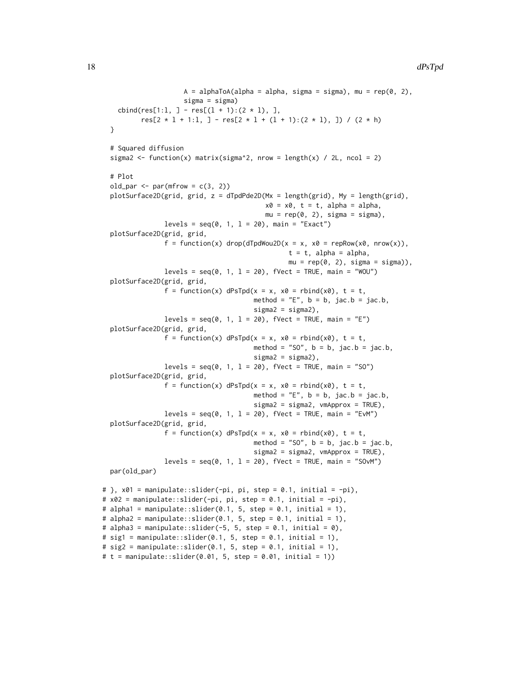```
A = alphaToA(alpha = alpha, sigma = sigma), mu = rep(0, 2),sigma = sigma)
    cbind(res[1:1, ] - res[(1 + 1):(2 * 1), ],
          res[2 * 1 + 1:1, ] - res[2 * 1 + (1 + 1):(2 * 1), ]) / (2 * h)
  }
  # Squared diffusion
  sigma2 <- function(x) matrix(sigma^2, nrow = length(x) / 2L, ncol = 2)
  # Plot
  old_par \leq par(mfrow = c(3, 2))
  plotSurface2D(grid, grid, z = dTpdPde2D(Mx = length(grid), My = length(grid),
                                          x0 = x0, t = t, alpha = alpha,
                                          mu = rep(0, 2), sigma = sigma),levels = seq(0, 1, 1 = 20), main = "Exact")
  plotSurface2D(grid, grid,
                f = function(x) drop(dTpdWou2D(x = x, x0 = repRow(x0, nrow(x)),t = t, alpha = alpha,
                                                mu = rep(0, 2), sigma = signa)),levels = seq(0, 1, 1 = 20), fVect = TRUE, main = "WOU")
  plotSurface2D(grid, grid,
                f = function(x) dPsTpd(x = x, x0 = rbind(x0), t = t,method = "E", b = b, jac.b = jac.b,signa2 = signa2,
                levels = seq(0, 1, 1 = 20), fVect = TRUE, main = "E")
  plotSurface2D(grid, grid,
                f = function(x) dPsTpd(x = x, x0 = rbind(x0), t = t,method = "SO", b = b, jac.b = jac.b,
                                       signa2 = signa2),
                levels = seq(0, 1, 1 = 20), fVect = TRUE, main = "SO")
  plotSurface2D(grid, grid,
                f = function(x) dPsTpd(x = x, x0 = rbind(x0), t = t,method = "E", b = b, jac.b = jac.b,signa2 = signa2, vmApprox = TRUE),
                levels = seq(0, 1, 1 = 20), fVect = TRUE, main = "EvM")
  plotSurface2D(grid, grid,
                f = function(x) dPsTpd(x = x, x0 = rbind(x0), t = t,method = "SO'', b = b, jac.b = jac.b,
                                       sigma2 = sigma2, vmApprox = TRUE),
                levels = seq(0, 1, 1 = 20), fVect = TRUE, main = "SOvM")
  par(old_par)
# }, x01 = manipulate::slider(-pi, pi, step = 0.1, initial = -pi),
# x02 = manipulate::slider(-pi, pi, step = 0.1, initial = -pi),
# alpha1 = manipulate::slider(0.1, 5, step = 0.1, initial = 1),
# alpha2 = manipulate::slider(0.1, 5, step = 0.1, initial = 1),
# alpha3 = manipulate::slider(-5, 5, step = 0.1, initial = 0),
# sig1 = manipulate::slider(0.1, 5, step = 0.1, initial = 1),
# sig2 = manipulate::slider(0.1, 5, step = 0.1, initial = 1),# t = manipulate::slider(0.01, 5, step = 0.01, initial = 1))
```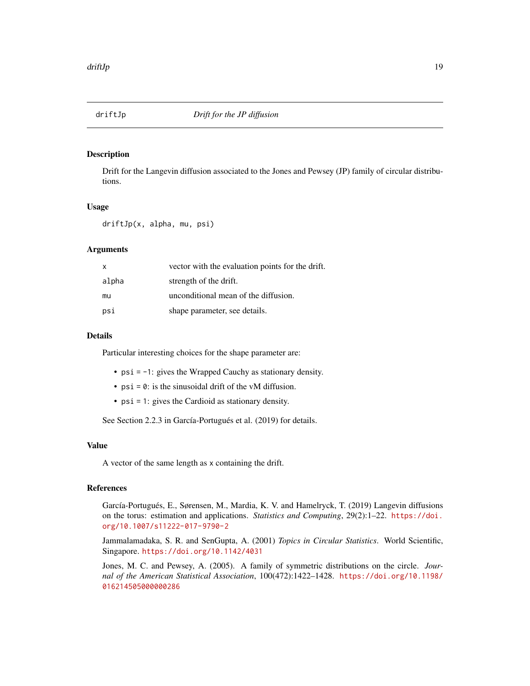<span id="page-18-0"></span>

Drift for the Langevin diffusion associated to the Jones and Pewsey (JP) family of circular distributions.

#### Usage

driftJp(x, alpha, mu, psi)

#### Arguments

| $\mathsf{x}$ | vector with the evaluation points for the drift. |
|--------------|--------------------------------------------------|
| alpha        | strength of the drift.                           |
| mu           | unconditional mean of the diffusion.             |
| psi          | shape parameter, see details.                    |

# Details

Particular interesting choices for the shape parameter are:

- psi = -1: gives the Wrapped Cauchy as stationary density.
- $psi = 0$ : is the sinusoidal drift of the vM diffusion.
- psi = 1: gives the Cardioid as stationary density.

See Section 2.2.3 in García-Portugués et al. (2019) for details.

#### Value

A vector of the same length as x containing the drift.

#### References

García-Portugués, E., Sørensen, M., Mardia, K. V. and Hamelryck, T. (2019) Langevin diffusions on the torus: estimation and applications. *Statistics and Computing*, 29(2):1–22. [https://doi.](https://doi.org/10.1007/s11222-017-9790-2) [org/10.1007/s11222-017-9790-2](https://doi.org/10.1007/s11222-017-9790-2)

Jammalamadaka, S. R. and SenGupta, A. (2001) *Topics in Circular Statistics*. World Scientific, Singapore. <https://doi.org/10.1142/4031>

Jones, M. C. and Pewsey, A. (2005). A family of symmetric distributions on the circle. *Journal of the American Statistical Association*, 100(472):1422–1428. [https://doi.org/10.1198/](https://doi.org/10.1198/016214505000000286) [016214505000000286](https://doi.org/10.1198/016214505000000286)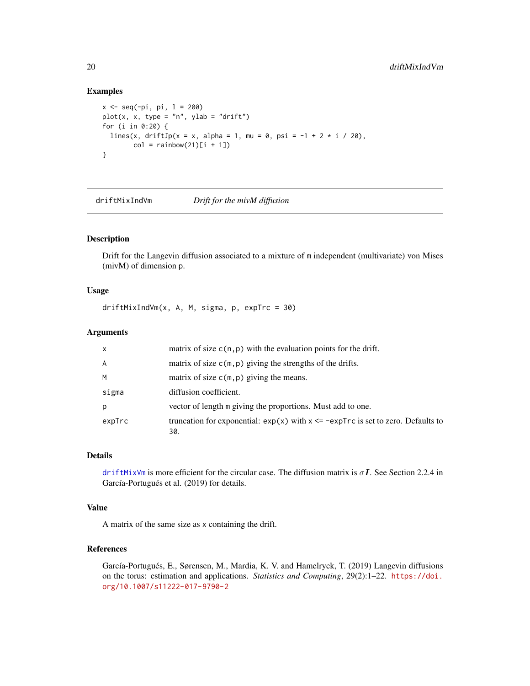# Examples

```
x \leq -\text{seq}(-\text{pi}, \text{pi}, 1 = 200)plot(x, x, type = "n", ylab = "drift")for (i in 0:20) {
  lines(x, driftJp(x = x, alpha = 1, mu = 0, psi = -1 + 2 * i / 20),
        col = rainbow(21)[i + 1])}
```
<span id="page-19-1"></span>driftMixIndVm *Drift for the mivM diffusion*

# Description

Drift for the Langevin diffusion associated to a mixture of m independent (multivariate) von Mises (mivM) of dimension p.

# Usage

driftMixIndVm(x, A, M, sigma, p, expTrc = 30)

#### Arguments

| $\mathsf{x}$   | matrix of size $c(n, p)$ with the evaluation points for the drift.                            |
|----------------|-----------------------------------------------------------------------------------------------|
| $\overline{A}$ | matrix of size $c(m, p)$ giving the strengths of the drifts.                                  |
| M              | matrix of size $c(m, p)$ giving the means.                                                    |
| sigma          | diffusion coefficient.                                                                        |
| p              | vector of length m giving the proportions. Must add to one.                                   |
| expTrc         | truncation for exponential: $exp(x)$ with $x \leq -expTrc$ is set to zero. Defaults to<br>30. |

## Details

[driftMixVm](#page-20-1) is more efficient for the circular case. The diffusion matrix is  $\sigma I$ . See Section 2.2.4 in García-Portugués et al. (2019) for details.

#### Value

A matrix of the same size as x containing the drift.

# References

García-Portugués, E., Sørensen, M., Mardia, K. V. and Hamelryck, T. (2019) Langevin diffusions on the torus: estimation and applications. *Statistics and Computing*, 29(2):1–22. [https://doi.](https://doi.org/10.1007/s11222-017-9790-2) [org/10.1007/s11222-017-9790-2](https://doi.org/10.1007/s11222-017-9790-2)

<span id="page-19-0"></span>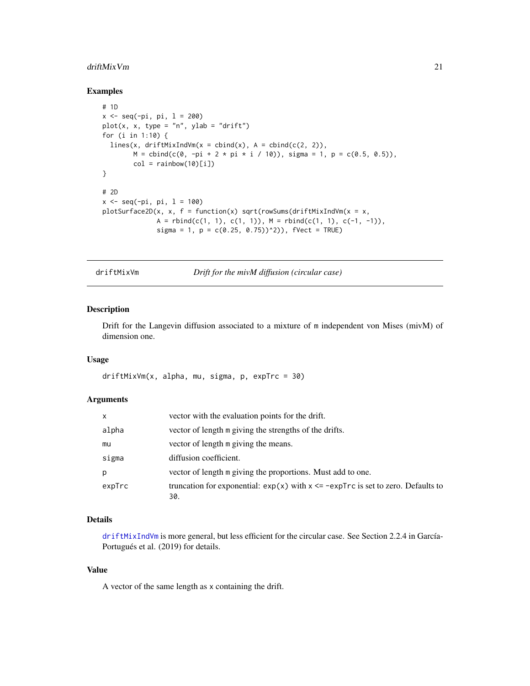#### <span id="page-20-0"></span>driftMixVm 21

#### Examples

```
# 1D
x \leq -\text{seq}(-\text{pi}, \text{pi}, 1 = 200)plot(x, x, type = "n", ylab = "drift")for (i in 1:10) {
  lines(x, driftMixIndVm(x = child(x), A = child(c(2, 2)),M = \text{cbind}(c(0, -pi + 2 * pi * i / 10)), \text{ sigma} = 1, p = c(0.5, 0.5)),col = rainbow(10)[i])}
# 2D
x \le - seq(-pi, pi, l = 100)
plotSurface2D(x, x, f = function(x) sqrt(rowSums(driftMixIndVm(x = x,
               A = rbind(c(1, 1), c(1, 1)), M = rbind(c(1, 1), c(-1, -1)),sigma = 1, p = c(0.25, 0.75))<sup>2</sup>), fVect = TRUE)
```
<span id="page-20-1"></span>driftMixVm *Drift for the mivM diffusion (circular case)*

# Description

Drift for the Langevin diffusion associated to a mixture of m independent von Mises (mivM) of dimension one.

#### Usage

```
driftMixVm(x, alpha, mu, sigma, p, expTrc = 30)
```
# Arguments

| x      | vector with the evaluation points for the drift.                                              |
|--------|-----------------------------------------------------------------------------------------------|
| alpha  | vector of length m giving the strengths of the drifts.                                        |
| mu     | vector of length m giving the means.                                                          |
| sigma  | diffusion coefficient.                                                                        |
| р      | vector of length m giving the proportions. Must add to one.                                   |
| expTrc | truncation for exponential: $exp(x)$ with $x \leq -expTrc$ is set to zero. Defaults to<br>30. |

# Details

[driftMixIndVm](#page-19-1) is more general, but less efficient for the circular case. See Section 2.2.4 in García-Portugués et al. (2019) for details.

# Value

A vector of the same length as x containing the drift.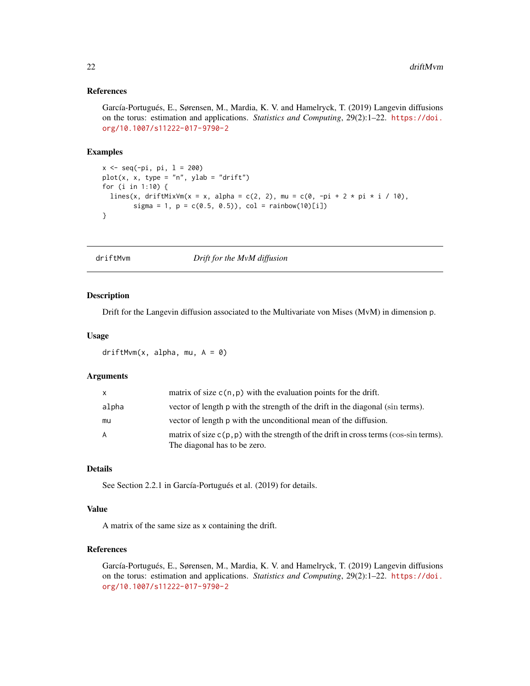## <span id="page-21-0"></span>References

García-Portugués, E., Sørensen, M., Mardia, K. V. and Hamelryck, T. (2019) Langevin diffusions on the torus: estimation and applications. *Statistics and Computing*, 29(2):1–22. [https://doi.](https://doi.org/10.1007/s11222-017-9790-2) [org/10.1007/s11222-017-9790-2](https://doi.org/10.1007/s11222-017-9790-2)

# Examples

```
x \le - seq(-pi, pi, l = 200)
plot(x, x, type = "n", ylab = "drift")
for (i in 1:10) {
  lines(x, driftMixVm(x = x, alpha = c(2, 2), mu = c(0, -pi + 2 * pi * i / 10),
        sigma = 1, p = c(0.5, 0.5), col = rainbow(10)[i])}
```
<span id="page-21-1"></span>

driftMvm *Drift for the MvM diffusion*

# Description

Drift for the Langevin diffusion associated to the Multivariate von Mises (MvM) in dimension p.

#### Usage

driftMvm $(x, alpha, mu, A = 0)$ 

# Arguments

| $\mathsf{x}$ | matrix of size $c(n, p)$ with the evaluation points for the drift.                                                      |
|--------------|-------------------------------------------------------------------------------------------------------------------------|
| alpha        | vector of length p with the strength of the drift in the diagonal (sin terms).                                          |
| mu           | vector of length p with the unconditional mean of the diffusion.                                                        |
| A            | matrix of size $c(p, p)$ with the strength of the drift in cross terms (cos-sin terms).<br>The diagonal has to be zero. |

#### Details

See Section 2.2.1 in García-Portugués et al. (2019) for details.

# Value

A matrix of the same size as x containing the drift.

# References

García-Portugués, E., Sørensen, M., Mardia, K. V. and Hamelryck, T. (2019) Langevin diffusions on the torus: estimation and applications. *Statistics and Computing*, 29(2):1–22. [https://doi.](https://doi.org/10.1007/s11222-017-9790-2) [org/10.1007/s11222-017-9790-2](https://doi.org/10.1007/s11222-017-9790-2)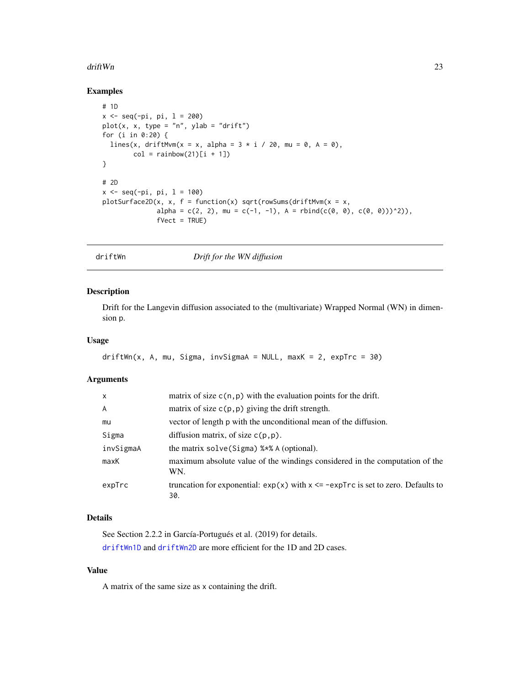#### <span id="page-22-0"></span>drift Wn 23

# Examples

```
# 1D
x < - seq(-pi, pi, l = 200)
plot(x, x, type = "n", ylab = "drift")for (i in 0:20) {
  lines(x, driftMvm(x = x, alpha = 3 * i / 20, mu = 0, A = 0),
        col = rainbow(21)[i + 1])}
# 2D
x \leq -\text{seq}(-\text{pi}, \text{pi}, 1 = 100)plotsurface2D(x, x, f = function(x) sqrt(rowSums(driftMvm(x = x,alpha = c(2, 2), mu = c(-1, -1), A = rbind(c(0, 0), c(0, 0)))^2)),
               fVect = TRUE)
```
driftWn *Drift for the WN diffusion*

# Description

Drift for the Langevin diffusion associated to the (multivariate) Wrapped Normal (WN) in dimension p.

# Usage

```
driftWn(x, A, mu, Sigma, invSigma) = NULL, maxK = 2, expTrc = 30)
```
# Arguments

| X         | matrix of size $c(n, p)$ with the evaluation points for the drift.                            |
|-----------|-----------------------------------------------------------------------------------------------|
| A         | matrix of size $c(p, p)$ giving the drift strength.                                           |
| mu        | vector of length p with the unconditional mean of the diffusion.                              |
| Sigma     | diffusion matrix, of size $c(p, p)$ .                                                         |
| invSigmaA | the matrix solve (Sigma) % * & A (optional).                                                  |
| maxK      | maximum absolute value of the windings considered in the computation of the<br>WN.            |
| expTrc    | truncation for exponential: $exp(x)$ with $x \leq -expTrc$ is set to zero. Defaults to<br>30. |

# Details

See Section 2.2.2 in García-Portugués et al. (2019) for details. [driftWn1D](#page-23-1) and [driftWn2D](#page-24-1) are more efficient for the 1D and 2D cases.

# Value

A matrix of the same size as x containing the drift.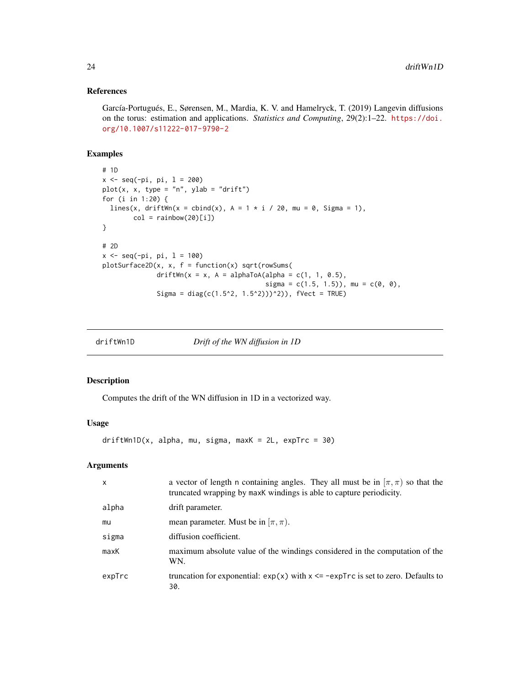# <span id="page-23-0"></span>References

García-Portugués, E., Sørensen, M., Mardia, K. V. and Hamelryck, T. (2019) Langevin diffusions on the torus: estimation and applications. *Statistics and Computing*, 29(2):1–22. [https://doi.](https://doi.org/10.1007/s11222-017-9790-2) [org/10.1007/s11222-017-9790-2](https://doi.org/10.1007/s11222-017-9790-2)

# Examples

```
# 1D
x <- seq(-pi, pi, l = 200)
plot(x, x, type = "n", ylab = "drift")for (i in 1:20) {
  lines(x, driftWn(x = cbind(x), A = 1 * i / 20, mu = 0, Sigma = 1),
        col = rainbow(20)[i])}
# 2D
x \leq -\text{seq}(-\text{pi}, \text{pi}, 1 = 100)plotsurface2D(x, x, f = function(x) sqrt(rowSums(driftWn(x = x, A = alphaToA(alpha = c(1, 1, 0.5),sigma = c(1.5, 1.5), mu = c(0, 0),
               Sigma = diag(c(1.5^2, 1.5^2))<sup>2</sup>)), fVect = TRUE)
```
<span id="page-23-1"></span>

driftWn1D *Drift of the WN diffusion in 1D*

# Description

Computes the drift of the WN diffusion in 1D in a vectorized way.

# Usage

 $driftWn1D(x, alpha, mu, sigma, maxK = 2L, expTrc = 30)$ 

#### Arguments

| $\mathsf{x}$ | a vector of length n containing angles. They all must be in $[\pi, \pi)$ so that the<br>truncated wrapping by maxK windings is able to capture periodicity. |
|--------------|-------------------------------------------------------------------------------------------------------------------------------------------------------------|
| alpha        | drift parameter.                                                                                                                                            |
| mu           | mean parameter. Must be in $[\pi, \pi]$ .                                                                                                                   |
| sigma        | diffusion coefficient.                                                                                                                                      |
| maxK         | maximum absolute value of the windings considered in the computation of the<br>WN.                                                                          |
| expTrc       | truncation for exponential: $exp(x)$ with $x \leq -expTrc$ is set to zero. Defaults to<br>30.                                                               |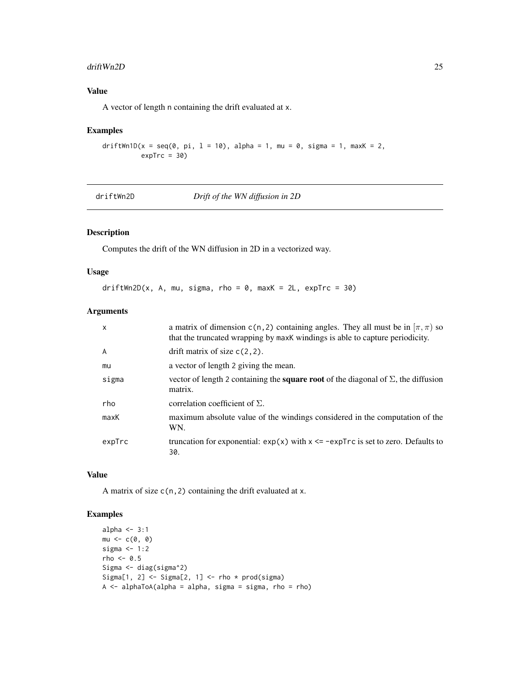#### <span id="page-24-0"></span>driftWn2D 25

# Value

A vector of length n containing the drift evaluated at x.

#### Examples

```
driftWn1D(x = seq(0, pi, 1 = 10), alpha = 1, mu = 0, sigma = 1, maxK = 2,
         expTrc = 30
```
<span id="page-24-1"></span>driftWn2D *Drift of the WN diffusion in 2D*

# Description

Computes the drift of the WN diffusion in 2D in a vectorized way.

### Usage

 $driftWn2D(x, A, mu, sigma, rho = 0, maxK = 2L, expTrc = 30)$ 

# Arguments

| $\mathsf{x}$ | a matrix of dimension c(n, 2) containing angles. They all must be in $[\pi, \pi)$ so<br>that the truncated wrapping by maxK windings is able to capture periodicity. |
|--------------|----------------------------------------------------------------------------------------------------------------------------------------------------------------------|
| A            | drift matrix of size $c(2, 2)$ .                                                                                                                                     |
| mu           | a vector of length 2 giving the mean.                                                                                                                                |
| sigma        | vector of length 2 containing the <b>square root</b> of the diagonal of $\Sigma$ , the diffusion<br>matrix.                                                          |
| rho          | correlation coefficient of $\Sigma$ .                                                                                                                                |
| maxK         | maximum absolute value of the windings considered in the computation of the<br>WN.                                                                                   |
| expTrc       | truncation for exponential: $exp(x)$ with $x \le -expTrc$ is set to zero. Defaults to<br>30.                                                                         |

# Value

A matrix of size  $c(n, 2)$  containing the drift evaluated at x.

```
alpha <-3:1mu \leftarrow c(\emptyset, \emptyset)sigma <-1:2rho <-0.5Sigma <- diag(sigma^2)
Sigma[1, 2] \le Sigma[2, 1] \le rho * prod(sigma)
A \leq a1phaToA(alpha = alpha, sigma = sigma, rho = rho)
```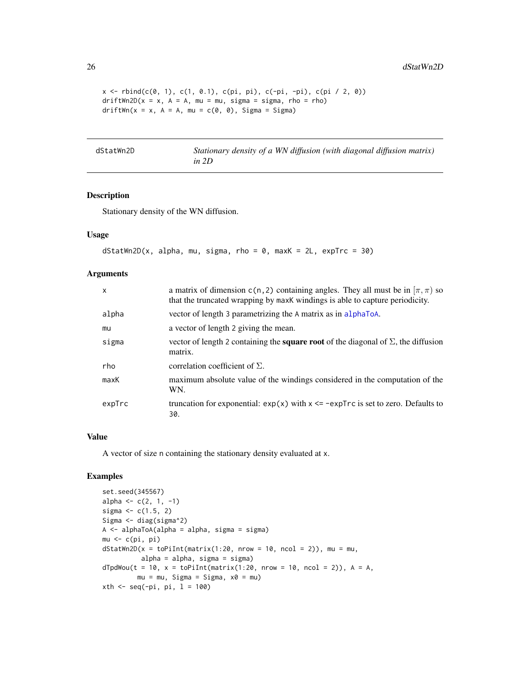```
x \le rbind(c(0, 1), c(1, 0.1), c(pi, pi), c(-pi, -pi), c(pi / 2, 0))
driftWn2D(x = x, A = A, mu = mu, sigma = sigma, rho = rho)driftWn(x = x, A = A, mu = c(\theta, \theta), Sigma = Sigma)
```
dStatWn2D *Stationary density of a WN diffusion (with diagonal diffusion matrix) in 2D*

# Description

Stationary density of the WN diffusion.

### Usage

```
dstatWn2D(x, alpha, mu, sigma, rho = 0, maxK = 2L, expTrc = 30)
```
#### Arguments

| $\mathsf{x}$ | a matrix of dimension c(n, 2) containing angles. They all must be in $[\pi, \pi)$ so<br>that the truncated wrapping by maxk windings is able to capture periodicity. |
|--------------|----------------------------------------------------------------------------------------------------------------------------------------------------------------------|
| alpha        | vector of length 3 parametrizing the A matrix as in alphaToA.                                                                                                        |
| mu           | a vector of length 2 giving the mean.                                                                                                                                |
| sigma        | vector of length 2 containing the <b>square root</b> of the diagonal of $\Sigma$ , the diffusion<br>matrix.                                                          |
| rho          | correlation coefficient of $\Sigma$ .                                                                                                                                |
| maxK         | maximum absolute value of the windings considered in the computation of the<br>WN.                                                                                   |
| expTrc       | truncation for exponential: $exp(x)$ with $x \le -expTrc$ is set to zero. Defaults to<br>30.                                                                         |

#### Value

A vector of size n containing the stationary density evaluated at x.

```
set.seed(345567)
alpha <- c(2, 1, -1)sigma <-c(1.5, 2)Sigma <- diag(sigma^2)
A \leq -\alphalphaToA(alpha = alpha, sigma = sigma)
mu <- c(pi, pi)
dstatWn2D(x = toPilnt(matrix(1:20, nrow = 10, ncol = 2)), mu = mu,alpha = alpha, sigma = sigma)
dTpdWou(t = 10, x = toPiInt(matrix(1:20, nrow = 10, ncol = 2)), A = A,mu = mu, Sigma = Sigma, x0 = mu)
xth <- seq(-pi, pi, 1 = 100)
```
<span id="page-25-0"></span>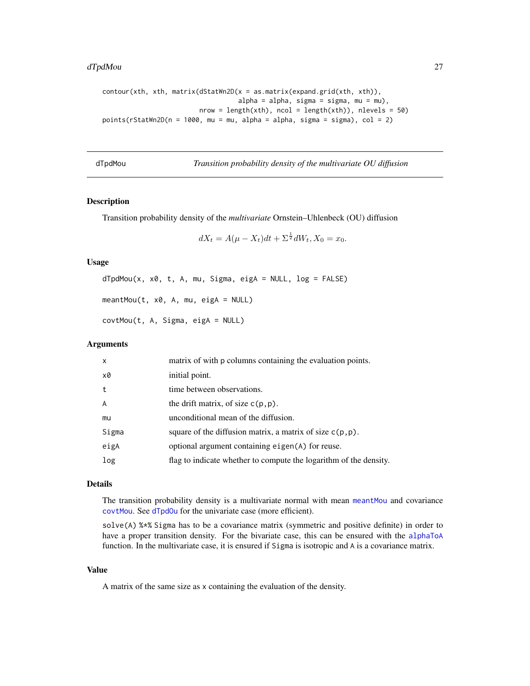#### <span id="page-26-0"></span>dTpdMou 27

```
contour(xth, xth, matrix(dStatWn2D(x = as_matrix(expand.grid(xth, xth)),alpha = alpha, sigma = sigma, mu = mu),nrow = length(xth), ncol = length(xth)), nlevels = 50points(rStatWn2D(n = 1000, mu = mu, alpha = alpha, sigma = sigma), col = 2)
```
<span id="page-26-2"></span>

| dTpdMou |
|---------|
|         |

Transition probability density of the multivariate OU diffusion

#### <span id="page-26-1"></span>Description

Transition probability density of the *multivariate* Ornstein–Uhlenbeck (OU) diffusion

$$
dX_t = A(\mu - X_t)dt + \Sigma^{\frac{1}{2}}dW_t, X_0 = x_0.
$$

# Usage

 $dTpdMou(x, x0, t, A, mu, Sigma, eiga = NULL, log = FALSE)$ 

 $meantMou(t, x0, A, mu, eigA = NULL)$ 

covtMou(t, A, Sigma, eigA = NULL)

#### Arguments

| x     | matrix of with p columns containing the evaluation points.        |
|-------|-------------------------------------------------------------------|
| x0    | initial point.                                                    |
| t     | time between observations.                                        |
| A     | the drift matrix, of size $c(p, p)$ .                             |
| mu    | unconditional mean of the diffusion.                              |
| Sigma | square of the diffusion matrix, a matrix of size $c(p, p)$ .      |
| eigA  | optional argument containing eigen(A) for reuse.                  |
| log   | flag to indicate whether to compute the logarithm of the density. |

#### Details

The transition probability density is a multivariate normal with mean [meantMou](#page-26-1) and covariance [covtMou](#page-26-1). See [dTpdOu](#page-27-1) for the univariate case (more efficient).

solve(A) %\*% Sigma has to be a covariance matrix (symmetric and positive definite) in order to have a proper transition density. For the bivariate case, this can be ensured with the [alphaToA](#page-2-1) function. In the multivariate case, it is ensured if Sigma is isotropic and A is a covariance matrix.

#### Value

A matrix of the same size as x containing the evaluation of the density.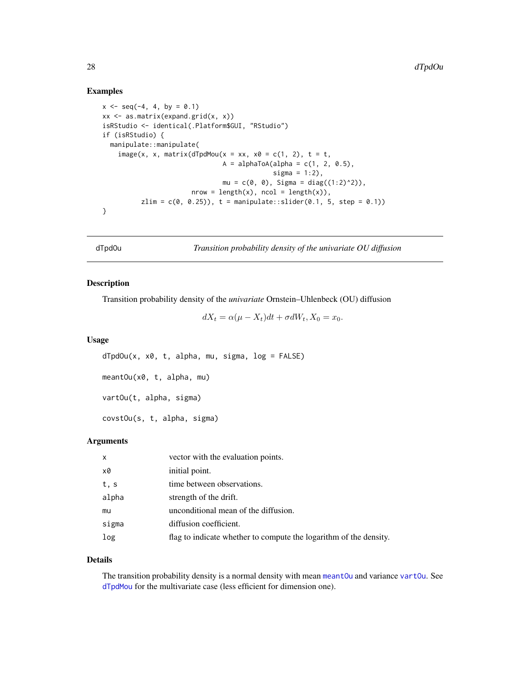# <span id="page-27-0"></span>Examples

```
x \le - seq(-4, 4, by = 0.1)
xx \leq -as.matrix(expand.grid(x, x))isRStudio <- identical(.Platform$GUI, "RStudio")
if (isRStudio) {
  manipulate::manipulate(
    image(x, x, matrix(dTpdMou(x = xx, x0 = c(1, 2), t = t,A = alphaToA(alpha = c(1, 2, 0.5),sigma = 1:2),
                               mu = c(0, 0), Sigma = diag((1:2)^2)),
                       nrow = length(x), ncol = length(x)),zlim = c(0, 0.25), t = manipulate::slide(0.1, 5, step = 0.1)}
```
<span id="page-27-1"></span>dTpdOu *Transition probability density of the univariate OU diffusion*

### <span id="page-27-2"></span>Description

Transition probability density of the *univariate* Ornstein–Uhlenbeck (OU) diffusion

 $dX_t = \alpha(\mu - X_t)dt + \sigma dW_t, X_0 = x_0.$ 

# Usage

```
dTpdOu(x, x0, t, alpha, mu, sigma, log = FALSE)
meantOu(x0, t, alpha, mu)
vartOu(t, alpha, sigma)
covstOu(s, t, alpha, sigma)
```
#### Arguments

| X     | vector with the evaluation points.                                |
|-------|-------------------------------------------------------------------|
| x0    | initial point.                                                    |
| t, s  | time between observations.                                        |
| alpha | strength of the drift.                                            |
| mu    | unconditional mean of the diffusion.                              |
| sigma | diffusion coefficient.                                            |
| log   | flag to indicate whether to compute the logarithm of the density. |

#### Details

The transition probability density is a normal density with mean [meantOu](#page-27-2) and variance [vartOu](#page-27-2). See [dTpdMou](#page-26-2) for the multivariate case (less efficient for dimension one).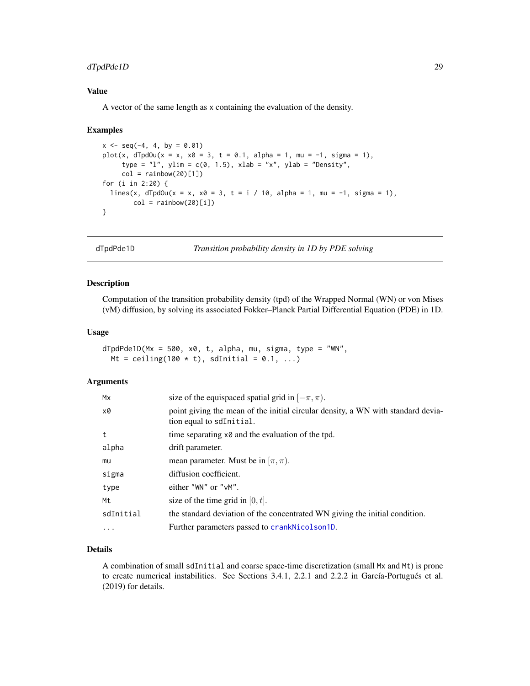# <span id="page-28-0"></span>dTpdPde1D 29

# Value

A vector of the same length as x containing the evaluation of the density.

#### Examples

```
x \le - seq(-4, 4, by = 0.01)
plot(x, dTpdOut(x = x, x0 = 3, t = 0.1, alpha = 1, mu = -1, sigma = 1),type = "l", ylim = c(\emptyset, 1.5), xlab = "x", ylab = "Density",
     col = rainbow(20)[1])for (i in 2:20) {
  lines(x, dTpdOu(x = x, x0 = 3, t = i / 10, alpha = 1, mu = -1, sigma = 1),
        col = rainbow(20)[i])}
```
dTpdPde1D *Transition probability density in 1D by PDE solving*

### Description

Computation of the transition probability density (tpd) of the Wrapped Normal (WN) or von Mises (vM) diffusion, by solving its associated Fokker–Planck Partial Differential Equation (PDE) in 1D.

# Usage

```
dTpdPde1D(Mx = 500, x0, t, alpha, mu, sigma, type = "WN",Mt = ceiling(100 * t), sdInitial = 0.1, ...)
```
# Arguments

| Mx         | size of the equispaced spatial grid in $[-\pi, \pi)$ .                                                       |
|------------|--------------------------------------------------------------------------------------------------------------|
| x0         | point giving the mean of the initial circular density, a WN with standard devia-<br>tion equal to sdInitial. |
| t          | time separating $x \theta$ and the evaluation of the tpd.                                                    |
| alpha      | drift parameter.                                                                                             |
| mu         | mean parameter. Must be in $[\pi, \pi)$ .                                                                    |
| sigma      | diffusion coefficient.                                                                                       |
| type       | either "WN" or " $v$ M".                                                                                     |
| Mt         | size of the time grid in $[0, t]$ .                                                                          |
| sdInitial  | the standard deviation of the concentrated WN giving the initial condition.                                  |
| $\ddots$ . | Further parameters passed to crankNicolson1D.                                                                |
|            |                                                                                                              |

# Details

A combination of small sdInitial and coarse space-time discretization (small Mx and Mt) is prone to create numerical instabilities. See Sections 3.4.1, 2.2.1 and 2.2.2 in García-Portugués et al. (2019) for details.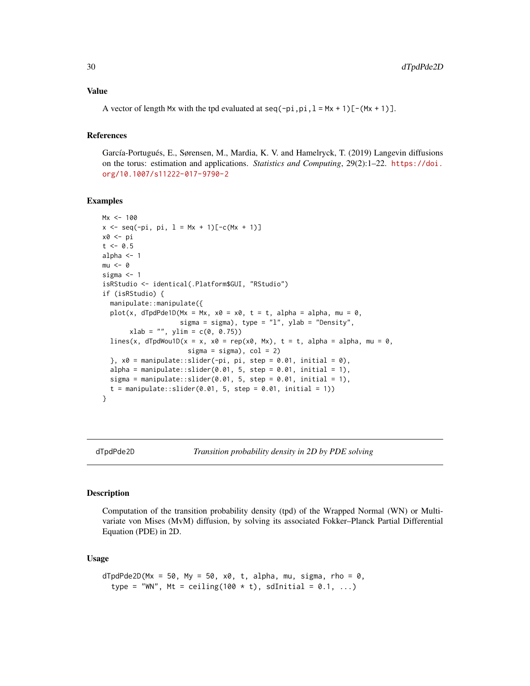#### <span id="page-29-0"></span>Value

A vector of length Mx with the tpd evaluated at seq(-pi,pi,  $l = Mx + 1$ )[-(Mx + 1)].

# References

García-Portugués, E., Sørensen, M., Mardia, K. V. and Hamelryck, T. (2019) Langevin diffusions on the torus: estimation and applications. *Statistics and Computing*, 29(2):1–22. [https://doi.](https://doi.org/10.1007/s11222-017-9790-2) [org/10.1007/s11222-017-9790-2](https://doi.org/10.1007/s11222-017-9790-2)

#### Examples

```
Mx < -100x \leq -\text{seq}(-\text{pi}, \text{pi}, 1 = Mx + 1)[-c(Mx + 1)]x0 <- pi
t < -0.5alpha <-1mu < - 0sigma <- 1
isRStudio <- identical(.Platform$GUI, "RStudio")
if (isRStudio) {
  manipulate::manipulate({
  plot(x, dTpdPde1D(Mx = Mx, x0 = x0, t = t, alpha = alpha, mu = 0,sigma = sigma), type = "l", ylab = "Density",xlab = "", ylim = c(0, 0.75))lines(x, dTpdWou1D(x = x, x0 = rep(x0, Mx), t = t, alpha = alpha, mu = 0,
                      sigma = sigma, col = 2)
  \}, x0 = manipulate::slider(-pi, pi, step = 0.01, initial = 0),
  alpha = manipulate::slider(0.01, 5, step = 0.01, initial = 1),
  sigma = manipulate::slider(0.01, 5, step = 0.01, initial = 1),
  t = manipulate::slider(0.01, 5, step = 0.01, initial = 1))
}
```
dTpdPde2D *Transition probability density in 2D by PDE solving*

#### Description

Computation of the transition probability density (tpd) of the Wrapped Normal (WN) or Multivariate von Mises (MvM) diffusion, by solving its associated Fokker–Planck Partial Differential Equation (PDE) in 2D.

#### Usage

```
dTpdPde2D(Mx = 50, My = 50, x0, t, alpha, mu, sigma, rho = 0,type = "WN", Mt = ceiling(100 * t), sdInitial = 0.1, ...)
```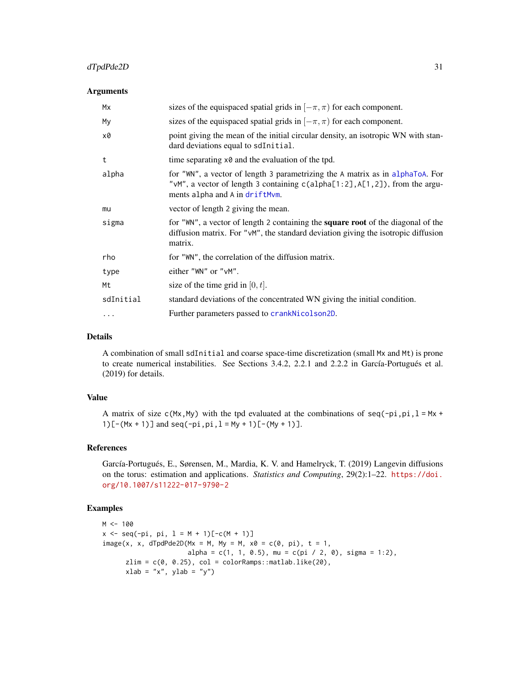# dTpdPde2D 31

#### **Arguments**

| Mx        | sizes of the equispaced spatial grids in $[-\pi, \pi)$ for each component.                                                                                                                      |
|-----------|-------------------------------------------------------------------------------------------------------------------------------------------------------------------------------------------------|
| My        | sizes of the equispaced spatial grids in $[-\pi, \pi)$ for each component.                                                                                                                      |
| x0        | point giving the mean of the initial circular density, an isotropic WN with stan-<br>dard deviations equal to sdInitial.                                                                        |
| t         | time separating $x \theta$ and the evaluation of the tpd.                                                                                                                                       |
| alpha     | for "WN", a vector of length 3 parametrizing the A matrix as in alphaToA. For<br>"vM", a vector of length 3 containing c(alpha[1:2], A[1, 2]), from the argu-<br>ments alpha and A in driftMvm. |
| mu        | vector of length 2 giving the mean.                                                                                                                                                             |
| sigma     | for "WN", a vector of length 2 containing the <b>square root</b> of the diagonal of the<br>diffusion matrix. For "vM", the standard deviation giving the isotropic diffusion<br>matrix.         |
| rho       | for "WN", the correlation of the diffusion matrix.                                                                                                                                              |
| type      | either "WN" or " $v$ M".                                                                                                                                                                        |
| Mt        | size of the time grid in $[0, t]$ .                                                                                                                                                             |
| sdInitial | standard deviations of the concentrated WN giving the initial condition.                                                                                                                        |
| $\cdots$  | Further parameters passed to crankNicolson2D.                                                                                                                                                   |

# Details

A combination of small sdInitial and coarse space-time discretization (small Mx and Mt) is prone to create numerical instabilities. See Sections 3.4.2, 2.2.1 and 2.2.2 in García-Portugués et al. (2019) for details.

#### Value

A matrix of size  $c(Mx, My)$  with the tpd evaluated at the combinations of seq(-pi,pi, 1 = Mx + 1)  $[-(Mx + 1)]$  and  $seq(-pi,pi, 1 = My + 1)$   $[-(My + 1)]$ .

# References

García-Portugués, E., Sørensen, M., Mardia, K. V. and Hamelryck, T. (2019) Langevin diffusions on the torus: estimation and applications. *Statistics and Computing*, 29(2):1–22. [https://doi.](https://doi.org/10.1007/s11222-017-9790-2) [org/10.1007/s11222-017-9790-2](https://doi.org/10.1007/s11222-017-9790-2)

```
M < - 100x \le - seq(-pi, pi, l = M + 1)[-c(M + 1)]
image(x, x, dTpdPde2D(Mx = M, My = M, x0 = c(0, pi), t = 1,alpha = c(1, 1, 0.5), mu = c(pi / 2, 0), sigma = 1:2),
      zlim = c(0, 0.25), col = colorRamps::mathlab.like(20),xlab = "x", ylab = "y")
```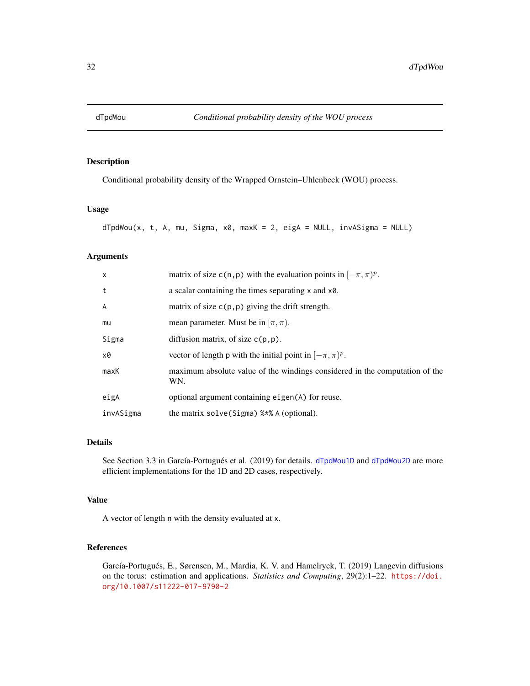<span id="page-31-1"></span><span id="page-31-0"></span>

Conditional probability density of the Wrapped Ornstein–Uhlenbeck (WOU) process.

# Usage

```
dTpdWou(x, t, A, mu, Sigma, x0, maxK = 2, eigA = NULL, invASigma = NULL)
```
# Arguments

| X         | matrix of size c(n, p) with the evaluation points in $[-\pi, \pi)^p$ .             |
|-----------|------------------------------------------------------------------------------------|
| t         | a scalar containing the times separating $x$ and $x\theta$ .                       |
| A         | matrix of size $c(p, p)$ giving the drift strength.                                |
| mu        | mean parameter. Must be in $[\pi, \pi)$ .                                          |
| Sigma     | diffusion matrix, of size $c(p, p)$ .                                              |
| x0        | vector of length p with the initial point in $[-\pi, \pi)^p$ .                     |
| maxK      | maximum absolute value of the windings considered in the computation of the<br>WN. |
| eigA      | optional argument containing eigen(A) for reuse.                                   |
| invASigma | the matrix solve(Sigma) %*% A (optional).                                          |

# Details

See Section 3.3 in García-Portugués et al. (2019) for details. [dTpdWou1D](#page-32-1) and [dTpdWou2D](#page-34-1) are more efficient implementations for the 1D and 2D cases, respectively.

# Value

A vector of length n with the density evaluated at x.

# References

García-Portugués, E., Sørensen, M., Mardia, K. V. and Hamelryck, T. (2019) Langevin diffusions on the torus: estimation and applications. *Statistics and Computing*, 29(2):1–22. [https://doi.](https://doi.org/10.1007/s11222-017-9790-2) [org/10.1007/s11222-017-9790-2](https://doi.org/10.1007/s11222-017-9790-2)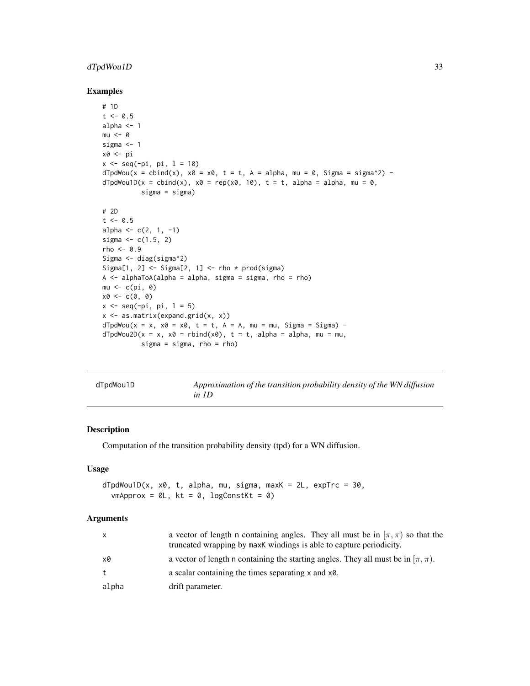# <span id="page-32-0"></span>dTpdWou1D 33

#### Examples

```
# 1D
t < -0.5alpha <-1mu < - \thetasigma <- 1
x0 <- pi
x <- seq(-pi, pi, l = 10)
dTpdWou(x = cbind(x), x0 = x0, t = t, A = alpha, mu = 0, Sigma = sigma^2) -dTpdWou1D(x = cbind(x), x0 = rep(x0, 10), t = t, alpha = alpha, mu = 0,sigma = sigma)
# 2D
t < -0.5alpha <- c(2, 1, -1)
sigma \leq c(1.5, 2)rho <-0.9Sigma <- diag(sigma^2)
Sigma[1, 2] \le Sigma[2, 1] \le rho \star prod(sigma)
A \leq -alphaToA(alpha = alpha, sigma = sigma, rho = rho)mu < -c(pi, 0)
x0 \leftarrow c(0, 0)x \leq - seq(-pi, pi, 1 = 5)
x <- as.matrix(expand.grid(x, x))
dTpdwou(x = x, x0 = x0, t = t, A = A, mu = mu, Sigma = Sigma) -dTpdWou2D(x = x, x0 = rbind(x0), t = t, alpha = alpha, mu = mu,sigma = sigma, rho = rho)
```
<span id="page-32-1"></span>

| dTpdWou1D | Approximation of the transition probability density of the WN diffusion |
|-----------|-------------------------------------------------------------------------|
|           | in 1D                                                                   |

# Description

Computation of the transition probability density (tpd) for a WN diffusion.

#### Usage

 $dTpdWou1D(x, x0, t, alpha, mu, sigma, maxK = 2L, expTrc = 30,$  $v$ mApprox = 0L, kt = 0, logConstKt = 0)

#### Arguments

| $\mathsf{x}$ | a vector of length n containing angles. They all must be in $[\pi, \pi)$ so that the<br>truncated wrapping by maxK windings is able to capture periodicity. |
|--------------|-------------------------------------------------------------------------------------------------------------------------------------------------------------|
| x0           | a vector of length n containing the starting angles. They all must be in $(\pi, \pi)$ .                                                                     |
| t            | a scalar containing the times separating $x$ and $x\theta$ .                                                                                                |
| alpha        | drift parameter.                                                                                                                                            |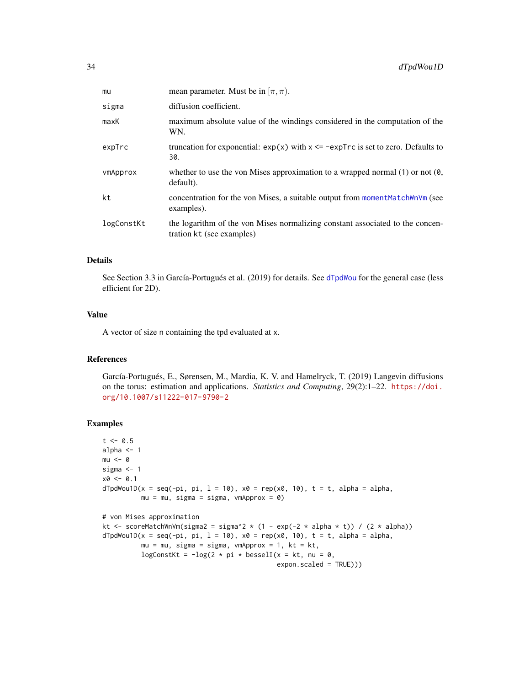| mu         | mean parameter. Must be in $[\pi, \pi)$ .                                                                  |
|------------|------------------------------------------------------------------------------------------------------------|
| sigma      | diffusion coefficient.                                                                                     |
| maxK       | maximum absolute value of the windings considered in the computation of the<br>WN.                         |
| expTrc     | truncation for exponential: $exp(x)$ with $x \leq -expTrc$ is set to zero. Defaults to<br>30.              |
| vmApprox   | whether to use the von Mises approximation to a wrapped normal $(1)$ or not $(0, 0)$<br>default).          |
| kt         | concentration for the von Mises, a suitable output from moment MatchWnVm (see<br>examples).                |
| logConstKt | the logarithm of the von Mises normalizing constant associated to the concen-<br>tration kt (see examples) |

#### Details

See Section 3.3 in García-Portugués et al. (2019) for details. See [dTpdWou](#page-31-1) for the general case (less efficient for 2D).

# Value

A vector of size n containing the tpd evaluated at x.

#### References

García-Portugués, E., Sørensen, M., Mardia, K. V. and Hamelryck, T. (2019) Langevin diffusions on the torus: estimation and applications. *Statistics and Computing*, 29(2):1–22. [https://doi.](https://doi.org/10.1007/s11222-017-9790-2) [org/10.1007/s11222-017-9790-2](https://doi.org/10.1007/s11222-017-9790-2)

```
t < -0.5alpha <-1mu < - \thetasigma <-1x0 \le -0.1dTpdWou1D(x = seq(-pi, pi, 1 = 10), x0 = rep(x0, 10), t = t, alpha = alpha,mu = mu, sigma = sigma, vmApprox = 0)
# von Mises approximation
kt <- scoreMatchWnVm(sigma2 = sigma^2 * (1 - exp(-2 * alpha * t)) / (2 * alpha))
dTpdWou1D(x = seq(-pi, pi, 1 = 10), x0 = rep(x0, 10), t = t, alpha = alpha,mu = mu, sigma = sigma, vmApprox = 1, kt = kt,
         logConstKt = -log(2 * pi * besselI(x = kt, nu = 0,expon.scaled = TRUE)))
```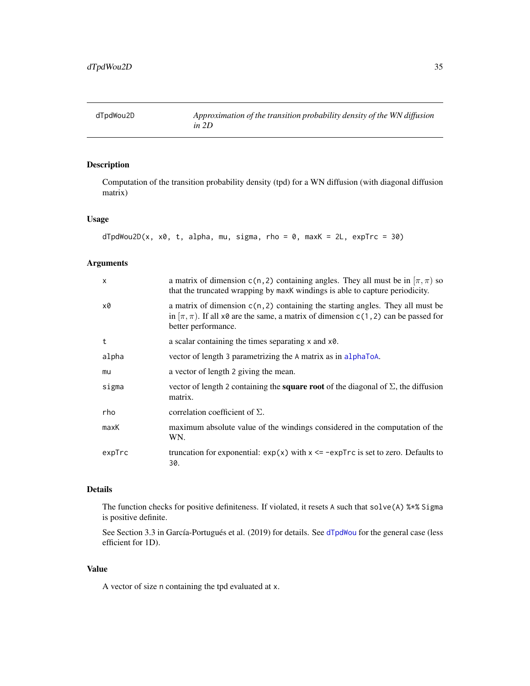<span id="page-34-1"></span><span id="page-34-0"></span>

Computation of the transition probability density (tpd) for a WN diffusion (with diagonal diffusion matrix)

# Usage

```
dTpdWou2D(x, x0, t, alpha, mu, sigma, rho = 0, maxK = 2L, expTrc = 30)
```
# Arguments

| X      | a matrix of dimension c(n, 2) containing angles. They all must be in $[\pi, \pi)$ so<br>that the truncated wrapping by maxK windings is able to capture periodicity.                                |
|--------|-----------------------------------------------------------------------------------------------------------------------------------------------------------------------------------------------------|
| x0     | a matrix of dimension $c(n, 2)$ containing the starting angles. They all must be<br>in $[\pi, \pi)$ . If all x0 are the same, a matrix of dimension c(1,2) can be passed for<br>better performance. |
| t      | a scalar containing the times separating $x$ and $x\theta$ .                                                                                                                                        |
| alpha  | vector of length 3 parametrizing the A matrix as in alphaToA.                                                                                                                                       |
| mu     | a vector of length 2 giving the mean.                                                                                                                                                               |
| sigma  | vector of length 2 containing the <b>square root</b> of the diagonal of $\Sigma$ , the diffusion<br>matrix.                                                                                         |
| rho    | correlation coefficient of $\Sigma$ .                                                                                                                                                               |
| maxK   | maximum absolute value of the windings considered in the computation of the<br>WN.                                                                                                                  |
| expTrc | truncation for exponential: $exp(x)$ with $x \le -expTrc$ is set to zero. Defaults to<br>30.                                                                                                        |

#### Details

The function checks for positive definiteness. If violated, it resets A such that solve(A) %\*% Sigma is positive definite.

See Section 3.3 in García-Portugués et al. (2019) for details. See [dTpdWou](#page-31-1) for the general case (less efficient for 1D).

# Value

A vector of size n containing the tpd evaluated at x.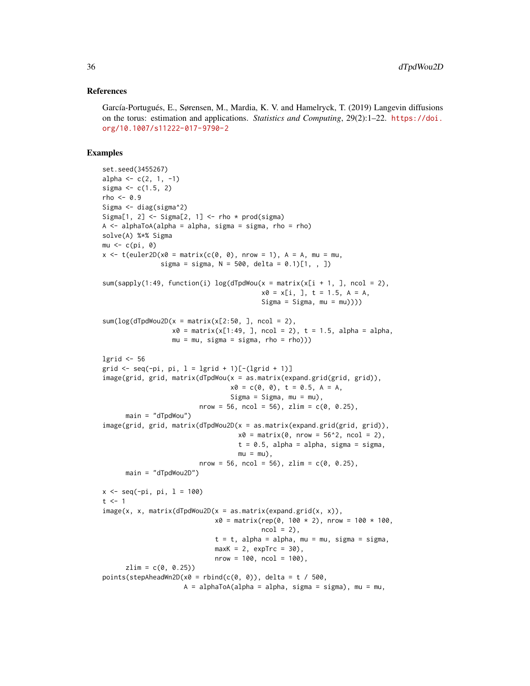#### References

García-Portugués, E., Sørensen, M., Mardia, K. V. and Hamelryck, T. (2019) Langevin diffusions on the torus: estimation and applications. *Statistics and Computing*, 29(2):1–22. [https://doi.](https://doi.org/10.1007/s11222-017-9790-2) [org/10.1007/s11222-017-9790-2](https://doi.org/10.1007/s11222-017-9790-2)

```
set.seed(3455267)
alpha \leq -c(2, 1, -1)sigma <-c(1.5, 2)rho < -0.9Sigma <- diag(sigma^2)
Sigma[1, 2] \le Sigma[2, 1] \le rho \star prod(sigma)
A \leq -alphaToA(alpha = alpha, sigma = sigma, rho = rho)solve(A) %*% Sigma
mu \leftarrow c(pi, 0)x \le - t(euler2D(x0 = matrix(c(0, 0), nrow = 1), A = A, mu = mu,
               sigma = sigma, N = 500, delta = 0.1)[1, , ])
sum(sapply(1:49, function(i) log(dTpdWou(x = matrix(x[i + 1, 1, ncol = 2)),x0 = x[i, ], t = 1.5, A = A,
                                         Signa = Signa, mu = mu))sum(log(dTpdWou2D(x = matrix(x[2:50, ], ncol = 2),x0 = matrix(x[1:49, 1, ncol = 2), t = 1.5, alpha = alpha,mu = mu, sigma = sigma, rho = rho)))
lgrid <- 56
grid \leq seq(-pi, pi, l = lgrid + 1)[-(lgrid + 1)]
image(grid, grid, matrix(dTpdWou(x = as.matrix(expand.grid(grid, grid)),
                                 x0 = c(0, 0), t = 0.5, A = A,Sigma = Sigma, mu = mu,
                         nrow = 56, ncol = 56), zlim = c(0, 0.25),
      main = "dTpdWou")image(grid, grid, matrix(dTpdWou2D(x = as.matrix(expand.grid(grid, grid)),
                                   x0 = matrix(0, nrow = 56^2, ncol = 2),
                                   t = 0.5, alpha = alpha, sigma = sigma,
                                   mu = mu),
                         nrow = 56, ncol = 56), zlim = c(0, 0.25),
      main = "dTpdWou2D")
x \le - seq(-pi, pi, l = 100)
t < -1image(x, x, matrix(dTpdWou2D(x = as_matrix(expand.grid(x, x)),x0 = matrix(rep(0, 100 * 2), nrow = 100 * 100,ncol = 2,
                             t = t, alpha = alpha, mu = mu, sigma = sigma,
                             maxK = 2, expTrc = 30),
                             nrow = 100, ncol = 100),
      zlim = c(0, 0.25)points(stepAheadWn2D(x0 =rbind(c(0, 0)), delta = t / 500,
                     A = alphaToA(alpha = alpha, sigma = sigma), mu = mu,
```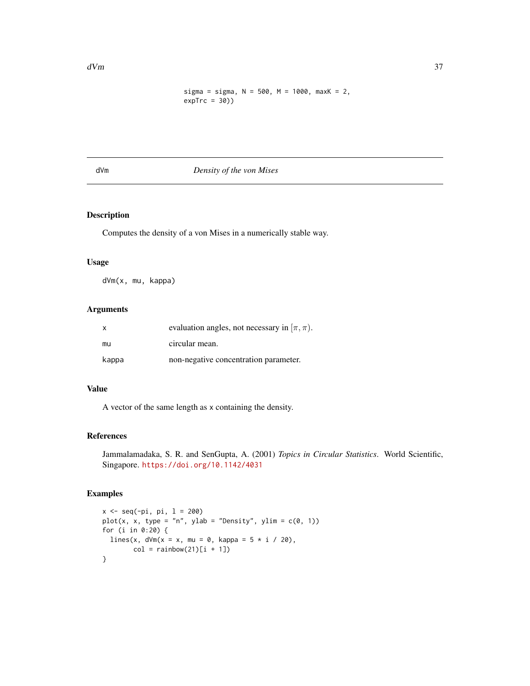```
sigma = sigma, N = 500, M = 1000, maxK = 2,
expTrc = 30)
```
# dVm *Density of the von Mises*

# Description

Computes the density of a von Mises in a numerically stable way.

# Usage

dVm(x, mu, kappa)

# Arguments

| $\times$ | evaluation angles, not necessary in $[\pi, \pi)$ . |
|----------|----------------------------------------------------|
| mu       | circular mean.                                     |
| kappa    | non-negative concentration parameter.              |

# Value

A vector of the same length as x containing the density.

# References

Jammalamadaka, S. R. and SenGupta, A. (2001) *Topics in Circular Statistics*. World Scientific, Singapore. <https://doi.org/10.1142/4031>

```
x \leq -\text{seq}(-\text{pi}, \text{pi}, 1 = 200)plot(x, x, type = "n", ylab = "Density", ylim = c(0, 1))for (i in 0:20) {
 lines(x, dVm(x = x, mu = 0, kappa = 5 * i / 20),
        col = rainbow(21)[i + 1])}
```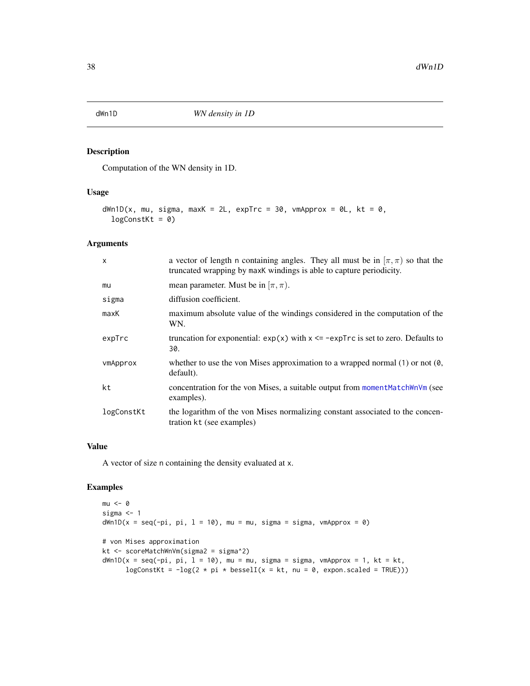Computation of the WN density in 1D.

# Usage

```
dWn1D(x, mu, sigma, maxK = 2L, expTrc = 30, vnApprox = 0L, kt = 0,logConstKt = 0)
```
### Arguments

| $\mathsf{x}$ | a vector of length n containing angles. They all must be in $[\pi, \pi)$ so that the<br>truncated wrapping by maxk windings is able to capture periodicity. |
|--------------|-------------------------------------------------------------------------------------------------------------------------------------------------------------|
| mu           | mean parameter. Must be in $[\pi, \pi)$ .                                                                                                                   |
| sigma        | diffusion coefficient.                                                                                                                                      |
| maxK         | maximum absolute value of the windings considered in the computation of the<br>WN.                                                                          |
| expTrc       | truncation for exponential: $exp(x)$ with $x \le -expTrc$ is set to zero. Defaults to<br>30.                                                                |
| vmApprox     | whether to use the von Mises approximation to a wrapped normal $(1)$ or not $(0, 0)$<br>default).                                                           |
| kt           | concentration for the von Mises, a suitable output from moment MatchWnVm (see<br>examples).                                                                 |
| logConstKt   | the logarithm of the von Mises normalizing constant associated to the concen-<br>tration kt (see examples)                                                  |

### Value

A vector of size n containing the density evaluated at x.

```
mu < - \thetasigma <-1dWn1D(x = seq(-pi, pi, 1 = 10), mu = mu, sigma = sigma, vmapprox = 0)# von Mises approximation
kt <- scoreMatchWnVm(sigma2 = sigma^2)
dWn1D(x = seq(-pi, pi, 1 = 10), mu = mu, sigma = sigma, vmapprox = 1, kt = kt,logConstKt = -log(2 * pi * besselI(x = kt, nu = 0, expon.scaled = TRUE)))
```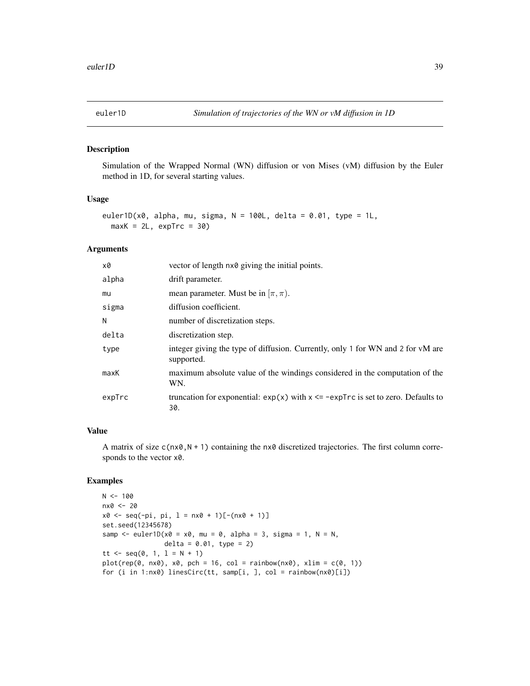Simulation of the Wrapped Normal (WN) diffusion or von Mises (vM) diffusion by the Euler method in 1D, for several starting values.

# Usage

```
euler1D(x0, alpha, mu, sigma, N = 100L, delta = 0.01, type = 1L,
 maxK = 2L, expTrc = 30
```
### Arguments

| x0     | vector of length $n \times 0$ giving the initial points.                                      |
|--------|-----------------------------------------------------------------------------------------------|
| alpha  | drift parameter.                                                                              |
| mu     | mean parameter. Must be in $(\pi, \pi)$ .                                                     |
| sigma  | diffusion coefficient.                                                                        |
| N      | number of discretization steps.                                                               |
| delta  | discretization step.                                                                          |
| type   | integer giving the type of diffusion. Currently, only 1 for WN and 2 for vM are<br>supported. |
| maxK   | maximum absolute value of the windings considered in the computation of the<br>WN.            |
| expTrc | truncation for exponential: $exp(x)$ with $x \leq -expTrc$ is set to zero. Defaults to<br>30. |

# Value

A matrix of size  $c(n \times 0, N + 1)$  containing the nx0 discretized trajectories. The first column corresponds to the vector x0.

```
N < - 100nx0 <- 20
x0 \leq -\text{seq}(-\text{pi}, \text{pi}, 1 = \text{nx0} + 1)[-(nx0 + 1)]
set.seed(12345678)
samp \leq euler1D(x0 = x0, mu = 0, alpha = 3, sigma = 1, N = N,
                   delta = 0.01, type = 2)
tt <- seq(0, 1, 1 = N + 1)plot(rep(\theta, nx\theta), x\theta, pch = 16, col = rainbow(nx\theta), xlim = c(\theta, 1))for (i in 1:nx0) linesCirc(tt, samp[i, ], col = rainbow(nx0)[i])
```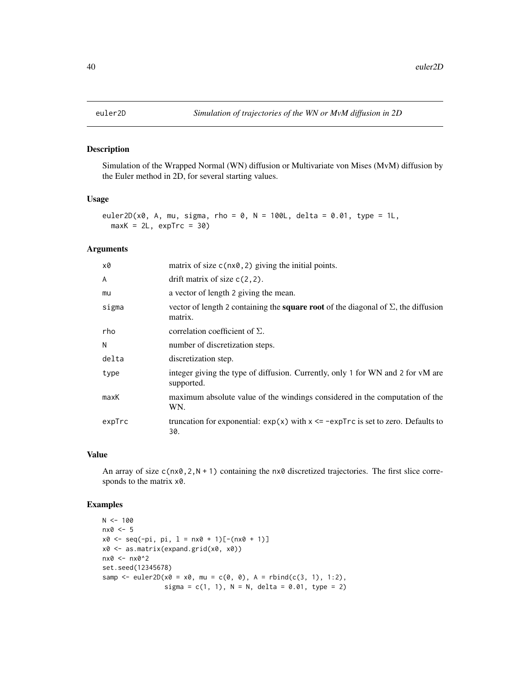Simulation of the Wrapped Normal (WN) diffusion or Multivariate von Mises (MvM) diffusion by the Euler method in 2D, for several starting values.

# Usage

```
euler2D(x0, A, mu, sigma, rho = 0, N = 100L, delta = 0.01, type = 1L,
 maxK = 2L, expTrc = 30
```
#### Arguments

| x0     | matrix of size $c$ ( $nx\theta$ , 2) giving the initial points.                                             |
|--------|-------------------------------------------------------------------------------------------------------------|
| A      | drift matrix of size $c(2, 2)$ .                                                                            |
| mu     | a vector of length 2 giving the mean.                                                                       |
| sigma  | vector of length 2 containing the <b>square root</b> of the diagonal of $\Sigma$ , the diffusion<br>matrix. |
| rho    | correlation coefficient of $\Sigma$ .                                                                       |
| N      | number of discretization steps.                                                                             |
| delta  | discretization step.                                                                                        |
| type   | integer giving the type of diffusion. Currently, only 1 for WN and 2 for vM are<br>supported.               |
| maxK   | maximum absolute value of the windings considered in the computation of the<br>WN.                          |
| expTrc | truncation for exponential: $exp(x)$ with $x \leq -expTrc$ is set to zero. Defaults to<br>30.               |

#### Value

An array of size  $c(n \times 0, 2, N + 1)$  containing the nx0 discretized trajectories. The first slice corresponds to the matrix x0.

```
N < - 100nx0 <- 5
x0 \leq -\text{seq}(-\text{pi}, \text{pi}, 1 = \text{nx0} + 1)[-(\text{nx0 + 1})]x0 <- as.matrix(expand.grid(x0, x0))
nx0 <- nx0^2
set.seed(12345678)
samp <- euler2D(x0 = x0, mu = c(0, 0), A = rbind(c(3, 1), 1:2),
                  sigma = c(1, 1), N = N, delta = 0.01, type = 2)
```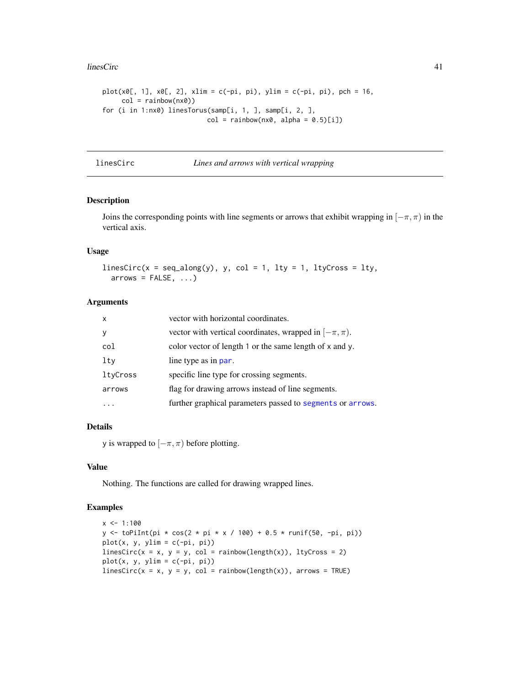#### linesCirc 41

```
plot(x0[, 1], x0[, 2], xlim = c(-pi, pi), ylim = c(-pi, pi), pch = 16,col = rainbow(nx0)for (i in 1:nx0) linesTorus(samp[i, 1, ], samp[i, 2, ],
                          col = rainbow(nx0, alpha = 0.5)[i])
```
linesCirc *Lines and arrows with vertical wrapping*

### Description

Joins the corresponding points with line segments or arrows that exhibit wrapping in  $[-\pi, \pi)$  in the vertical axis.

#### Usage

linesCirc(x = seq\_along(y), y, col = 1, lty = 1, ltyCross = lty,  $arrows = FALSE, ...)$ 

### Arguments

| $\mathsf{x}$ | vector with horizontal coordinates.                          |
|--------------|--------------------------------------------------------------|
| <b>V</b>     | vector with vertical coordinates, wrapped in $[-\pi, \pi)$ . |
| col          | color vector of length 1 or the same length of x and y.      |
| lty          | line type as in par.                                         |
| ltyCross     | specific line type for crossing segments.                    |
| arrows       | flag for drawing arrows instead of line segments.            |
|              | further graphical parameters passed to segments or arrows.   |

# Details

y is wrapped to  $[-\pi, \pi)$  before plotting.

# Value

Nothing. The functions are called for drawing wrapped lines.

```
x \le -1:100y <- toPiInt(pi * cos(2 * pi * x / 100) + 0.5 * runif(50, -pi, pi))
plot(x, y, y)im = c(-pi, pi)linesCirc(x = x, y = y, col = rainbow(length(x)), ltyCross = 2)plot(x, y, y)im = c(-pi, pi)linesCirc(x = x, y = y, col = rainbow(length(x)), arrows = TRUE)
```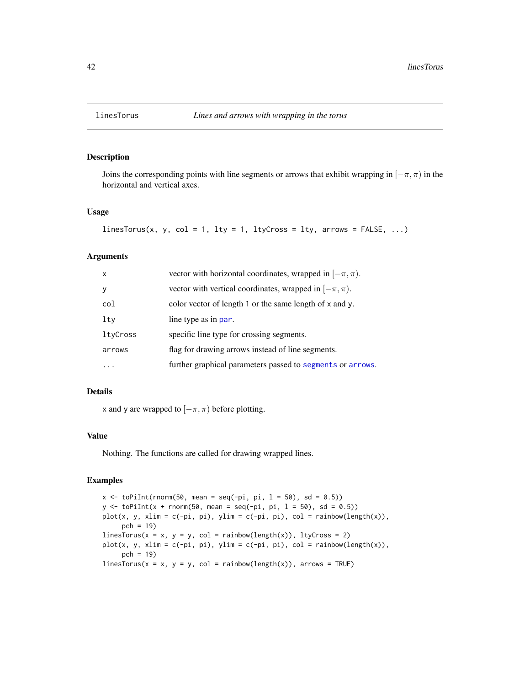Joins the corresponding points with line segments or arrows that exhibit wrapping in  $[-\pi, \pi)$  in the horizontal and vertical axes.

# Usage

```
linesTorus(x, y, col = 1, lty = 1, ltyCross = lty, arrows = FALSE, ...)
```
## Arguments

| $\mathsf{x}$ | vector with horizontal coordinates, wrapped in $[-\pi, \pi)$ . |
|--------------|----------------------------------------------------------------|
| y            | vector with vertical coordinates, wrapped in $[-\pi, \pi)$ .   |
| col          | color vector of length 1 or the same length of x and y.        |
| lty          | line type as in par.                                           |
| ltyCross     | specific line type for crossing segments.                      |
| arrows       | flag for drawing arrows instead of line segments.              |
|              | further graphical parameters passed to segments or arrows.     |

# Details

x and y are wrapped to  $[-\pi, \pi)$  before plotting.

#### Value

Nothing. The functions are called for drawing wrapped lines.

```
x \le toPiInt(rnorm(50, mean = seq(-pi, pi, 1 = 50), sd = 0.5))
y \le toPiInt(x + rnorm(50, mean = seq(-pi, pi, 1 = 50), sd = 0.5))
plot(x, y, xlim = c(-pi, pi), ylim = c(-pi, pi), col = rainbow(length(x)),
     pch = 19)
linesTorus(x = x, y = y, col = rainbow(length(x)), ltyCross = 2)plot(x, y, xlim = c(-pi, pi), ylim = c(-pi, pi), col = rainbow(length(x)),pch = 19)
linesTorus(x = x, y = y, col = rainbow(length(x)), arrows = TRUE)
```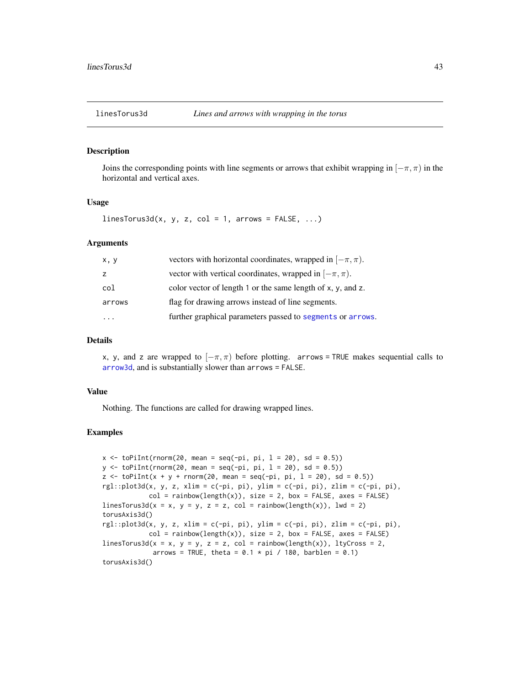Joins the corresponding points with line segments or arrows that exhibit wrapping in  $[-\pi, \pi)$  in the horizontal and vertical axes.

### Usage

 $linesTorus3d(x, y, z, col = 1, arrows = FALSE, ...)$ 

# Arguments

| x, y                    | vectors with horizontal coordinates, wrapped in $[-\pi, \pi)$ . |
|-------------------------|-----------------------------------------------------------------|
| z                       | vector with vertical coordinates, wrapped in $[-\pi, \pi)$ .    |
| col                     | color vector of length 1 or the same length of x, y, and z.     |
| arrows                  | flag for drawing arrows instead of line segments.               |
| $\cdot$ $\cdot$ $\cdot$ | further graphical parameters passed to segments or arrows.      |

#### Details

x, y, and z are wrapped to  $[-\pi, \pi)$  before plotting. arrows = TRUE makes sequential calls to [arrow3d](#page-0-0), and is substantially slower than arrows = FALSE.

# Value

Nothing. The functions are called for drawing wrapped lines.

```
x \le toPiInt(rnorm(20, mean = seq(-pi, pi, 1 = 20), sd = 0.5))
y \le toPiInt(rnorm(20, mean = seq(-pi, pi, l = 20), sd = 0.5))
z \le toPiInt(x + y + rnorm(20, mean = seq(-pi, pi, 1 = 20), sd = 0.5))
rgl::plot3d(x, y, z, xlim = c(-pi, pi), ylim = c(-pi, pi), zlim = c(-pi, pi),col = rainbow(length(x)), size = 2, box = FALSE, axes = FALSE)
linesTorus3d(x = x, y = y, z = z, col = rainbow(length(x)), lwd = 2)
torusAxis3d()
rgl::plot3d(x, y, z, xlim = c(-pi, pi), ylim = c(-pi, pi), zlim = c(-pi, pi),col = rainbow(length(x)), size = 2, box = FALSE, axes = FALSE)linesTorus3d(x = x, y = y, z = z, col = rainbow(length(x)), ltyCross = 2,
             arrows = TRUE, theta = 0.1 \times pi / 180, barblen = 0.1)
torusAxis3d()
```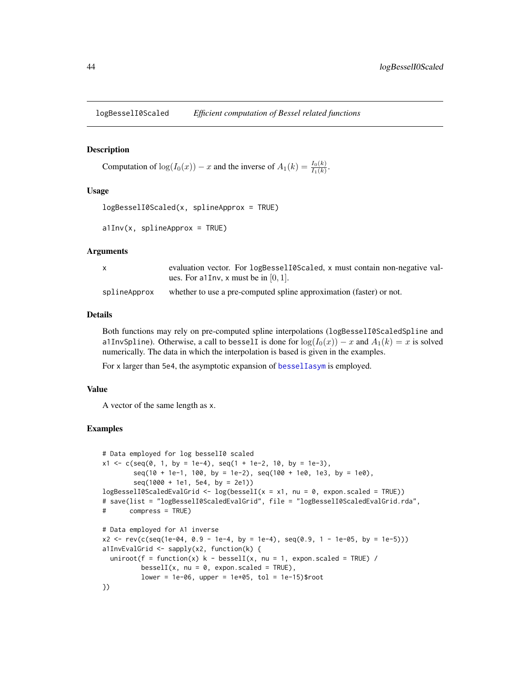logBesselI0Scaled *Efficient computation of Bessel related functions*

### Description

```
Computation of log(I_0(x)) - x and the inverse of A_1(k) = \frac{I_0(k)}{I_1(k)}.
```
# Usage

```
logBesselI0Scaled(x, splineApprox = TRUE)
```

```
a1Inv(x, split a) = TRUE
```
## Arguments

|              | evaluation vector. For logBessel10Scaled, x must contain non-negative val-<br>ues. For all nv, x must be in $[0, 1]$ . |
|--------------|------------------------------------------------------------------------------------------------------------------------|
| splineApprox | whether to use a pre-computed spline approximation (faster) or not.                                                    |

# Details

Both functions may rely on pre-computed spline interpolations (logBesselI0ScaledSpline and a1InvSpline). Otherwise, a call to bessell is done for  $log(I_0(x)) - x$  and  $A_1(k) = x$  is solved numerically. The data in which the interpolation is based is given in the examples.

For x larger than 5e4, the asymptotic expansion of [besselIasym](#page-0-0) is employed.

# Value

A vector of the same length as x.

```
# Data employed for log besselI0 scaled
x1 \leq c(\text{seq}(0, 1, \text{ by } = 1e-4), \text{ seq}(1 + 1e-2, 10, \text{ by } = 1e-3),seq(10 + 1e-1, 100, by = 1e-2), seq(100 + 1e0, 1e3, by = 1e0),seq(1000 + 1e1, 5e4, by = 2e1))logBesselIOScaledEvalGrid \leq log(besselI(x = x1, nu = 0, expon.scaled = TRUE))# save(list = "logBesselI0ScaledEvalGrid", file = "logBesselI0ScaledEvalGrid.rda",
# compress = TRUE)
# Data employed for A1 inverse
x2 \le -\text{rev}(c(\text{seq}(1e-04, 0.9 - 1e-4, by = 1e-4), \text{seq}(0.9, 1 - 1e-05, by = 1e-5)))a1InvEvalGrid <- sapply(x2, function(k) {
 uniroot(f = function(x) k - besselI(x, nu = 1, expon.scaled = TRUE) /
          besselI(x, nu = 0, expon.scaled = TRUE),
          lower = 1e-06, upper = 1e+05, tol = 1e-15)$root
})
```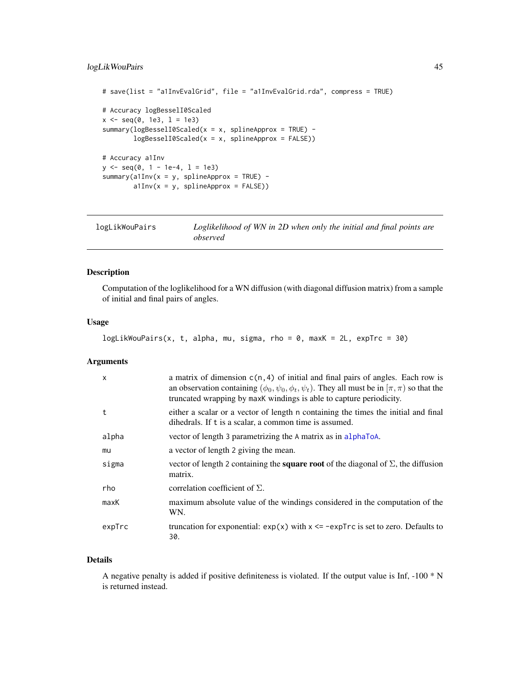# logLikWouPairs 45

```
# save(list = "a1InvEvalGrid", file = "a1InvEvalGrid.rda", compress = TRUE)
# Accuracy logBesselI0Scaled
x \le - seq(0, 1e3, 1 = 1e3)
summary(logBesselI0Scaled(x = x, splineApprox = TRUE) -
        logBesselI0Scaled(x = x, splineApprox = FALSE))
# Accuracy a1Inv
y \le - seq(0, 1 - 1e-4, 1 = 1e3)
summary(a1Inv(x = y, splineApprox = TRUE) -
        a1Inv(x = y, splineApprox = FALSE))
```

| logLikWouPairs | Loglikelihood of WN in 2D when only the initial and final points are |
|----------------|----------------------------------------------------------------------|
|                | observed                                                             |

# Description

Computation of the loglikelihood for a WN diffusion (with diagonal diffusion matrix) from a sample of initial and final pairs of angles.

#### Usage

```
logLikWouPairs(x, t, alpha, mu, sigma, rho = 0, maxK = 2L, expTrc = 30)
```
### Arguments

| $\mathsf{x}$ | a matrix of dimension $c(n, 4)$ of initial and final pairs of angles. Each row is<br>an observation containing $(\phi_0, \psi_0, \phi_t, \psi_t)$ . They all must be in $[\pi, \pi)$ so that the<br>truncated wrapping by maxK windings is able to capture periodicity. |
|--------------|-------------------------------------------------------------------------------------------------------------------------------------------------------------------------------------------------------------------------------------------------------------------------|
| t            | either a scalar or a vector of length n containing the times the initial and final<br>dihedrals. If t is a scalar, a common time is assumed.                                                                                                                            |
| alpha        | vector of length 3 parametrizing the A matrix as in alphaToA.                                                                                                                                                                                                           |
| mu           | a vector of length 2 giving the mean.                                                                                                                                                                                                                                   |
| sigma        | vector of length 2 containing the <b>square root</b> of the diagonal of $\Sigma$ , the diffusion<br>matrix.                                                                                                                                                             |
| rho          | correlation coefficient of $\Sigma$ .                                                                                                                                                                                                                                   |
| maxK         | maximum absolute value of the windings considered in the computation of the<br>WN.                                                                                                                                                                                      |
| expTrc       | truncation for exponential: $exp(x)$ with $x \leq -expTrc$ is set to zero. Defaults to<br>30.                                                                                                                                                                           |

### Details

A negative penalty is added if positive definiteness is violated. If the output value is Inf, -100 \* N is returned instead.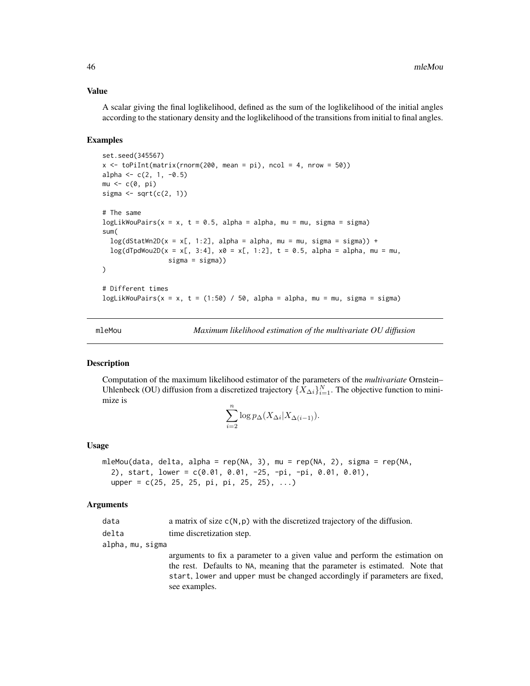#### Value

A scalar giving the final loglikelihood, defined as the sum of the loglikelihood of the initial angles according to the stationary density and the loglikelihood of the transitions from initial to final angles.

### Examples

```
set.seed(345567)
x \le toPiInt(matrix(rnorm(200, mean = pi), ncol = 4, nrow = 50))
alpha <- c(2, 1, -0.5)mu \leftarrow c(\emptyset, pi)sigma \leq sqrt(c(2, 1))# The same
logLikWouPairs(x = x, t = 0.5, alpha = alpha, mu = mu, sigma = sigma)
sum(
 log(dStatWn2D(x = x[, 1:2], alpha = alpha, mu = mu, sigma = sigma)) +log(dTpdWou2D(x = x[, 3:4], x0 = x[, 1:2], t = 0.5, alpha = alpha, mu = mu,sigma = sigma))
)
# Different times
logLikWouPairs(x = x, t = (1:50) / 50, alpha = alpha, mu = mu, sigma = sigma)
```
<span id="page-45-0"></span>mleMou *Maximum likelihood estimation of the multivariate OU diffusion*

#### **Description**

Computation of the maximum likelihood estimator of the parameters of the *multivariate* Ornstein– Uhlenbeck (OU) diffusion from a discretized trajectory  $\{X_{\Delta i}\}_{i=1}^N$ . The objective function to minimize is

$$
\sum_{i=2}^{n} \log p_{\Delta}(X_{\Delta i}|X_{\Delta(i-1)}).
$$

#### Usage

```
mleMou(data, delta, alpha = rep(NA, 3), mu = rep(NA, 2), sigma = rep(NA,
  2), start, lower = c(0.01, 0.01, -25, -pi, -pi, 0.01, 0.01),
 upper = c(25, 25, 25, pi, pi, 25, 25), ...
```
#### Arguments

| data | a matrix of size $c(N, p)$ with the discretized trajectory of the diffusion. |  |  |  |  |  |
|------|------------------------------------------------------------------------------|--|--|--|--|--|
|------|------------------------------------------------------------------------------|--|--|--|--|--|

delta time discretization step.

alpha, mu, sigma

arguments to fix a parameter to a given value and perform the estimation on the rest. Defaults to NA, meaning that the parameter is estimated. Note that start, lower and upper must be changed accordingly if parameters are fixed, see examples.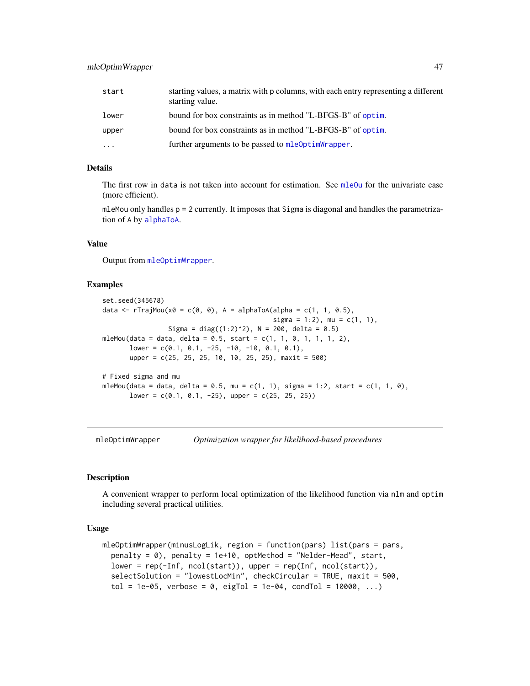| start    | starting values, a matrix with p columns, with each entry representing a different<br>starting value. |
|----------|-------------------------------------------------------------------------------------------------------|
| lower    | bound for box constraints as in method "L-BFGS-B" of optim.                                           |
| upper    | bound for box constraints as in method "L-BFGS-B" of optim.                                           |
| $\cdots$ | further arguments to be passed to mleoptimWrapper.                                                    |

# Details

The first row in data is not taken into account for estimation. See [mleOu](#page-49-0) for the univariate case (more efficient).

mleMou only handles  $p = 2$  currently. It imposes that Sigma is diagonal and handles the parametrization of A by [alphaToA](#page-2-0).

#### Value

Output from [mleOptimWrapper](#page-46-0).

### Examples

```
set.seed(345678)
data <- rTrajMou(x0 = c(0, 0), A = alphaToA(alpha = c(1, 1, 0.5),
                                            sigma = 1:2, mu = c(1, 1),
                 Sigma = diag((1:2)^2), N = 200, delta = 0.5)
mleMou(data = data, delta = 0.5, start = c(1, 1, 0, 1, 1, 1, 2),lower = c(0.1, 0.1, -25, -10, -10, 0.1, 0.1),upper = c(25, 25, 25, 10, 10, 25, 25), maxit = 500)
# Fixed sigma and mu
mleMou(data = data, delta = 0.5, mu = c(1, 1), sigma = 1:2, start = c(1, 1, 0),
      lower = c(0.1, 0.1, -25), upper = c(25, 25, 25))
```
<span id="page-46-0"></span>mleOptimWrapper *Optimization wrapper for likelihood-based procedures*

#### **Description**

A convenient wrapper to perform local optimization of the likelihood function via nlm and optim including several practical utilities.

#### Usage

```
mleOptimWrapper(minusLogLik, region = function(pars) list(pars = pars,
 penalty = 0, penalty = 1e+10, optMethod = "Nelder-Mead", start,lower = rep(-Inf, ncol(start)), upper = rep(Inf, ncol(start)),
  selectSolution = "lowestLocMin", checkCircular = TRUE, maxit = 500,
  tol = 1e-05, verbose = 0, eigTol = 1e-04, condTol = 10000, ...)
```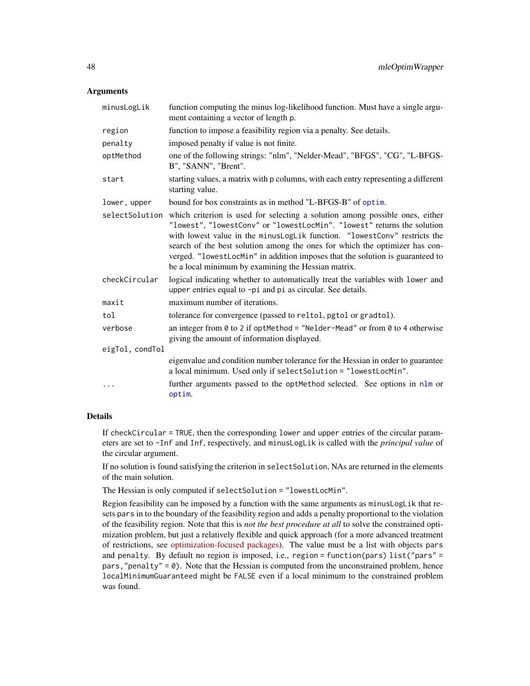#### **Arguments**

| minusLogLik     | function computing the minus log-likelihood function. Must have a single argu-<br>ment containing a vector of length p.                                                                                                                                                                                                                                                                                                                                     |
|-----------------|-------------------------------------------------------------------------------------------------------------------------------------------------------------------------------------------------------------------------------------------------------------------------------------------------------------------------------------------------------------------------------------------------------------------------------------------------------------|
| region          | function to impose a feasibility region via a penalty. See details.                                                                                                                                                                                                                                                                                                                                                                                         |
| penalty         | imposed penalty if value is not finite.                                                                                                                                                                                                                                                                                                                                                                                                                     |
| optMethod       | one of the following strings: "nlm", "Nelder-Mead", "BFGS", "CG", "L-BFGS-<br>B", "SANN", "Brent".                                                                                                                                                                                                                                                                                                                                                          |
| start           | starting values, a matrix with p columns, with each entry representing a different<br>starting value.                                                                                                                                                                                                                                                                                                                                                       |
| lower, upper    | bound for box constraints as in method "L-BFGS-B" of optim.                                                                                                                                                                                                                                                                                                                                                                                                 |
| selectSolution  | which criterion is used for selecting a solution among possible ones, either<br>"lowest", "lowestConv" or "lowestLocMin". "lowest" returns the solution<br>with lowest value in the minusLogLik function. "lowestConv" restricts the<br>search of the best solution among the ones for which the optimizer has con-<br>verged. "lowestLocMin" in addition imposes that the solution is guaranteed to<br>be a local minimum by examining the Hessian matrix. |
| checkCircular   | logical indicating whether to automatically treat the variables with lower and<br>upper entries equal to -pi and pi as circular. See details.                                                                                                                                                                                                                                                                                                               |
| maxit           | maximum number of iterations.                                                                                                                                                                                                                                                                                                                                                                                                                               |
| tol             | tolerance for convergence (passed to reltol, pgtol or gradtol).                                                                                                                                                                                                                                                                                                                                                                                             |
| verbose         | an integer from 0 to 2 if optMethod = "Nelder-Mead" or from 0 to 4 otherwise<br>giving the amount of information displayed.                                                                                                                                                                                                                                                                                                                                 |
| eigTol, condTol |                                                                                                                                                                                                                                                                                                                                                                                                                                                             |
|                 | eigenvalue and condition number tolerance for the Hessian in order to guarantee<br>a local minimum. Used only if selectSolution = "lowestLocMin".                                                                                                                                                                                                                                                                                                           |
| $\ddots$ .      | further arguments passed to the optMethod selected. See options in nlm or<br>optim.                                                                                                                                                                                                                                                                                                                                                                         |

#### Details

If checkCircular = TRUE, then the corresponding lower and upper entries of the circular parameters are set to -Inf and Inf, respectively, and minusLogLik is called with the *principal value* of the circular argument.

If no solution is found satisfying the criterion in selectSolution, NAs are returned in the elements of the main solution.

The Hessian is only computed if selectSolution = "lowestLocMin".

Region feasibility can be imposed by a function with the same arguments as minusLogLik that resets pars in to the boundary of the feasibility region and adds a penalty proportional to the violation of the feasibility region. Note that this is *not the best procedure at all* to solve the constrained optimization problem, but just a relatively flexible and quick approach (for a more advanced treatment of restrictions, see [optimization-focused packages\)](https://CRAN.R-project.org/view=Optimization). The value must be a list with objects pars and penalty. By default no region is imposed, i.e., region = function(pars) list("pars" = pars, "penalty" =  $\emptyset$ ). Note that the Hessian is computed from the unconstrained problem, hence localMinimumGuaranteed might be FALSE even if a local minimum to the constrained problem was found.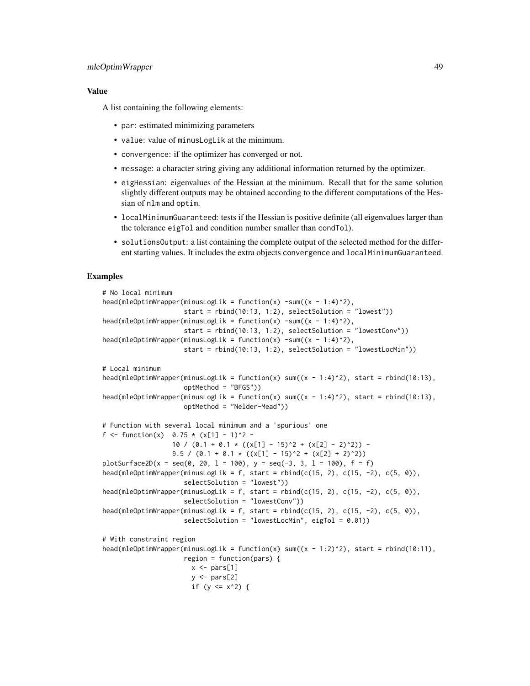# mleOptimWrapper 49

## Value

A list containing the following elements:

- par: estimated minimizing parameters
- value: value of minusLogLik at the minimum.
- convergence: if the optimizer has converged or not.
- message: a character string giving any additional information returned by the optimizer.
- eigHessian: eigenvalues of the Hessian at the minimum. Recall that for the same solution slightly different outputs may be obtained according to the different computations of the Hessian of nlm and optim.
- localMinimumGuaranteed: tests if the Hessian is positive definite (all eigenvalues larger than the tolerance eigTol and condition number smaller than condTol).
- solutionsOutput: a list containing the complete output of the selected method for the different starting values. It includes the extra objects convergence and localMinimumGuaranteed.

```
# No local minimum
head(mleOptimWrapper(minusLogLik = function(x) -sum((x - 1:4)^2),
                     start = rbind(10:13, 1:2), selectSolution = "lowest"))
head(mleOptimWrapper(minusLogLik = function(x) -sum((x - 1:4)^2)),start = rbind(10:13, 1:2), selectSolution = "lowestConv"))
head(mleOptimWrapper(minusLogLik = function(x) -sum((x - 1:4)^2),start = rbind(10:13, 1:2), selectSolution = "lowestLocMin"))
# Local minimum
head(mleOptimWrapper(minusLogLik = function(x) sum((x - 1:4)^2), start = rbind(10:13),
                     optMethod = "BFGS"))
head(mleOptimWrapper(minusLogLik = function(x) sum((x - 1:4)^2), start = rbind(10:13),
                     optMethod = "Nelder-Mead"))
# Function with several local minimum and a 'spurious' one
f <- function(x) 0.75 \times (x[1] - 1)^2 -
                  10 / (0.1 + 0.1 \times ((x[1] - 15)^2 + (x[2] - 2)^2)) -9.5 / (0.1 + 0.1 \times ((x[1] - 15)^2 + (x[2] + 2)^2))plotSurface2D(x = seq(0, 20, l = 100), y = seq(-3, 3, l = 100), f = f)
head(mleOptimWrapper(minusLogLik = f, start = rbind(c(15, 2), c(15, -2), c(5, 0)),
                     selectSolution = "lowest"))
head(mleOptimWrapper(minusLogLik = f, start = rbind(c(15, 2), c(15, -2), c(5, 0)),
                     selectSolution = "lowestConv"))
head(mleOptimWrapper(minusLogLik = f, start = rbind(c(15, 2), c(15, -2), c(5, 0)),
                     selectSolution = "lowestLocMin", eigTol = 0.01))
# With constraint region
head(mleOptimWrapper(minusLogLik = function(x) sum((x - 1:2)^2), start = rbind(10:11),
                     region = function(pars) {
                       x \leftarrow \text{pars}[1]y \leftarrow \text{pars}[2]if (y \le x^2) {
```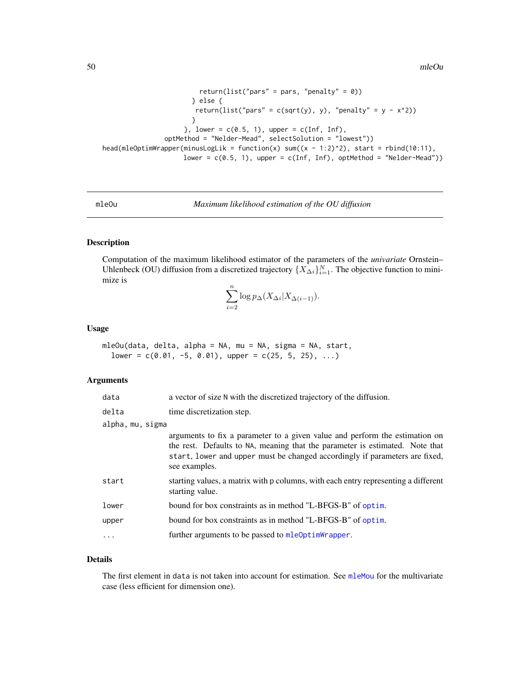```
return(list("pars" = pars, "penalty" = \emptyset))
                       } else {
                        return(list("pars" = c(sqrt(y), y), "penalty" = y - x^2))
                       }
                     }, lower = c(0.5, 1), upper = c(Inf, Inf),
                optMethod = "Nelder-Mead", selectSolution = "lowest"))
head(mleOptimWrapper(minusLogLik = function(x) sum((x - 1:2)^2), start = rbind(10:11),
                     lower = c(0.5, 1), upper = c(Inf, Inf), optMethod = "Nelder-Mead"))
```
<span id="page-49-0"></span>mleOu *Maximum likelihood estimation of the OU diffusion*

# Description

Computation of the maximum likelihood estimator of the parameters of the *univariate* Ornstein– Uhlenbeck (OU) diffusion from a discretized trajectory  $\{X_{\Delta i}\}_{i=1}^N$ . The objective function to minimize is

$$
\sum_{i=2}^{n} \log p_{\Delta}(X_{\Delta i}|X_{\Delta(i-1)}).
$$

#### Usage

```
mleOu(data, delta, alpha = NA, mu = NA, sigma = NA, start,
  lower = c(0.01, -5, 0.01), upper = c(25, 5, 25), ...
```
### Arguments

| data             | a vector of size N with the discretized trajectory of the diffusion.                                                                                                                                                                                        |
|------------------|-------------------------------------------------------------------------------------------------------------------------------------------------------------------------------------------------------------------------------------------------------------|
| delta            | time discretization step.                                                                                                                                                                                                                                   |
| alpha, mu, sigma |                                                                                                                                                                                                                                                             |
|                  | arguments to fix a parameter to a given value and perform the estimation on<br>the rest. Defaults to NA, meaning that the parameter is estimated. Note that<br>start, lower and upper must be changed accordingly if parameters are fixed,<br>see examples. |
| start            | starting values, a matrix with p columns, with each entry representing a different<br>starting value.                                                                                                                                                       |
| lower            | bound for box constraints as in method "L-BFGS-B" of optim.                                                                                                                                                                                                 |
| upper            | bound for box constraints as in method "L-BFGS-B" of optim.                                                                                                                                                                                                 |
| .                | further arguments to be passed to mleOptimWrapper.                                                                                                                                                                                                          |
|                  |                                                                                                                                                                                                                                                             |

## Details

The first element in data is not taken into account for estimation. See [mleMou](#page-45-0) for the multivariate case (less efficient for dimension one).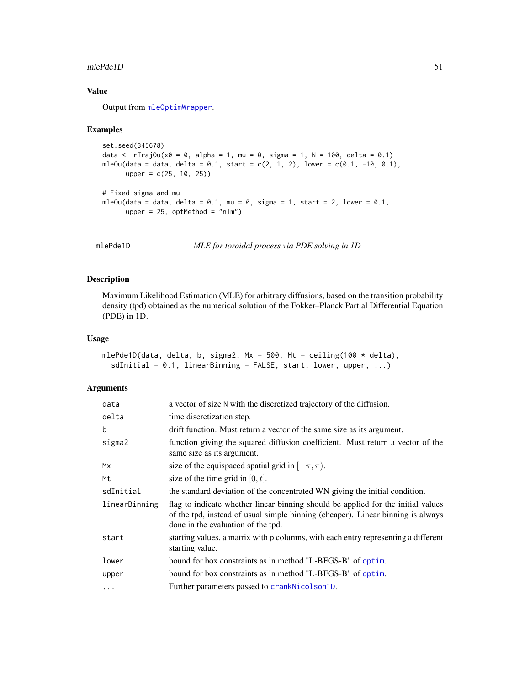#### $m$ lePde1D 51

# Value

Output from [mleOptimWrapper](#page-46-0).

### Examples

```
set.seed(345678)
data <- rTrajOu(x0 = 0, alpha = 1, mu = 0, sigma = 1, N = 100, delta = 0.1)
mleOu(data = data, delta = 0.1, start = c(2, 1, 2), lower = c(0.1, -10, 0.1),
      upper = c(25, 10, 25)# Fixed sigma and mu
mleOu(data = data, delta = 0.1, mu = 0, sigma = 1, start = 2, lower = 0.1,
      upper = 25, optMethod = "nlm")
```
mlePde1D *MLE for toroidal process via PDE solving in 1D*

## Description

Maximum Likelihood Estimation (MLE) for arbitrary diffusions, based on the transition probability density (tpd) obtained as the numerical solution of the Fokker–Planck Partial Differential Equation (PDE) in 1D.

# Usage

```
mlePde1D(data, delta, b, sigma2, Mx = 500, Mt = ceiling(100 * delta),
  sdInitial = 0.1, linearBinning = FALSE, start, lower, upper, ...)
```
### Arguments

| data          | a vector of size N with the discretized trajectory of the diffusion.                                                                                                                                      |
|---------------|-----------------------------------------------------------------------------------------------------------------------------------------------------------------------------------------------------------|
| delta         | time discretization step.                                                                                                                                                                                 |
| b             | drift function. Must return a vector of the same size as its argument.                                                                                                                                    |
| sigma2        | function giving the squared diffusion coefficient. Must return a vector of the<br>same size as its argument.                                                                                              |
| Mx            | size of the equispaced spatial grid in $[-\pi, \pi)$ .                                                                                                                                                    |
| Mt            | size of the time grid in $[0, t]$ .                                                                                                                                                                       |
| sdInitial     | the standard deviation of the concentrated WN giving the initial condition.                                                                                                                               |
| linearBinning | flag to indicate whether linear binning should be applied for the initial values<br>of the tpd, instead of usual simple binning (cheaper). Linear binning is always<br>done in the evaluation of the tpd. |
| start         | starting values, a matrix with p columns, with each entry representing a different<br>starting value.                                                                                                     |
| lower         | bound for box constraints as in method "L-BFGS-B" of optim.                                                                                                                                               |
| upper         | bound for box constraints as in method "L-BFGS-B" of optim.                                                                                                                                               |
| .             | Further parameters passed to crankNicolson1D.                                                                                                                                                             |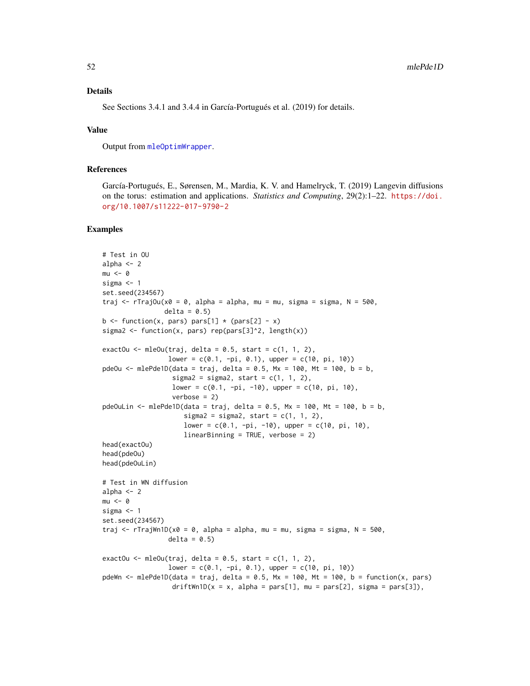### Details

See Sections 3.4.1 and 3.4.4 in García-Portugués et al. (2019) for details.

### Value

Output from [mleOptimWrapper](#page-46-0).

# References

García-Portugués, E., Sørensen, M., Mardia, K. V. and Hamelryck, T. (2019) Langevin diffusions on the torus: estimation and applications. *Statistics and Computing*, 29(2):1–22. [https://doi.](https://doi.org/10.1007/s11222-017-9790-2) [org/10.1007/s11222-017-9790-2](https://doi.org/10.1007/s11222-017-9790-2)

```
# Test in OU
alpha \leq -2mu < - \thetasigma <-1set.seed(234567)
traj \leq rTrajOu(x0 = 0, alpha = alpha, mu = mu, sigma = sigma, N = 500,
                delta = 0.5b \le function(x, pars) pars[1] \star (pars[2] - x)
sigma2 <- function(x, pars) rep(pars[3]^2, length(x))
exactOu \leq mleOu(traj, delta = 0.5, start = c(1, 1, 2),
                 lower = c(0.1, -pi, 0.1), upper = c(10, pi, 10)pdeOu <- mlePde1D(data = traj, delta = 0.5, Mx = 100, Mt = 100, b = b,
                  sigma2 = sigma2, start = c(1, 1, 2),
                  lower = c(0.1, -pi, -10), upper = c(10, pi, 10),
                  verbose = 2)pdeOuLin <- mlePde1D(data = traj, delta = 0.5, Mx = 100, Mt = 100, b = b,
                     sigma2 = sigma2, start = c(1, 1, 2),
                     lower = c(0.1, -pi, -10), upper = c(10, pi, 10),
                     linearBinning = TRUE, verbose = 2)
head(exactOu)
head(pdeOu)
head(pdeOuLin)
# Test in WN diffusion
alpha <-2mu < - 0sigma <- 1
set.seed(234567)
traj \leq rTrajWn1D(x0 = 0, alpha = alpha, mu = mu, sigma = sigma, N = 500,
                 delta = 0.5)
exactOu \leq mleOu(traj, delta = 0.5, start = c(1, 1, 2),
                 lower = c(0.1, -pi, 0.1), upper = c(10, pi, 10))
pdeWn <- mlePde1D(data = traj, delta = 0.5, Mx = 100, Mt = 100, b = function(x, pars)
                  driftWn1D(x = x, alpha = pars[1], mu = pars[2], sigma = pars[3]),
```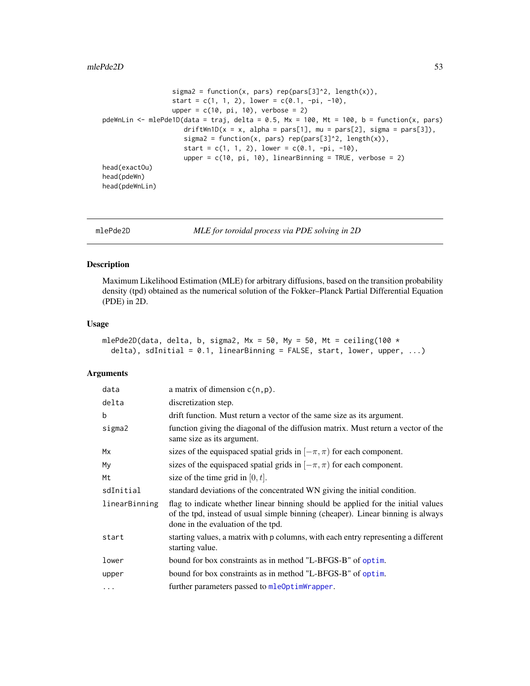#### $m$ lePde2D 53

```
sigma2 = function(x, pars) rep(pars[3]^2, length(x)),
                  start = c(1, 1, 2), lower = c(0.1, -pi, -10),
                  upper = c(10, pi, 10), verbose = 2)
pdeWnLin <- mlePde1D(data = traj, delta = 0.5, Mx = 100, Mt = 100, b = function(x, pars)
                    driftWn1D(x = x, alpha = pars[1], mu = pars[2], sigma = pars[3]),
                     sigma2 = function(x, pars) rep(pars[3]^2, length(x)),start = c(1, 1, 2), lower = c(0.1, -pi, -10),
                     upper = c(10, pi, 10), linearBinning = TRUE, verbose = 2)
head(exactOu)
head(pdeWn)
head(pdeWnLin)
```
mlePde2D *MLE for toroidal process via PDE solving in 2D*

## Description

Maximum Likelihood Estimation (MLE) for arbitrary diffusions, based on the transition probability density (tpd) obtained as the numerical solution of the Fokker–Planck Partial Differential Equation (PDE) in 2D.

#### Usage

```
mlePde2D(data, delta, b, sigma2, Mx = 50, My = 50, Mt = ceiling(100 *delta), sdInitial = 0.1, linearBinning = FALSE, start, lower, upper, ...)
```
# Arguments

| data          | a matrix of dimension $c(n, p)$ .                                                                                                                                                                         |
|---------------|-----------------------------------------------------------------------------------------------------------------------------------------------------------------------------------------------------------|
| delta         | discretization step.                                                                                                                                                                                      |
| b             | drift function. Must return a vector of the same size as its argument.                                                                                                                                    |
| sigma2        | function giving the diagonal of the diffusion matrix. Must return a vector of the<br>same size as its argument.                                                                                           |
| Mx            | sizes of the equispaced spatial grids in $[-\pi, \pi)$ for each component.                                                                                                                                |
| My            | sizes of the equispaced spatial grids in $[-\pi, \pi)$ for each component.                                                                                                                                |
| Mt            | size of the time grid in $[0, t]$ .                                                                                                                                                                       |
| sdInitial     | standard deviations of the concentrated WN giving the initial condition.                                                                                                                                  |
| linearBinning | flag to indicate whether linear binning should be applied for the initial values<br>of the tpd, instead of usual simple binning (cheaper). Linear binning is always<br>done in the evaluation of the tpd. |
| start         | starting values, a matrix with p columns, with each entry representing a different<br>starting value.                                                                                                     |
| lower         | bound for box constraints as in method "L-BFGS-B" of optim.                                                                                                                                               |
| upper         | bound for box constraints as in method "L-BFGS-B" of optim.                                                                                                                                               |
| $\cdots$      | further parameters passed to mle0ptimWrapper.                                                                                                                                                             |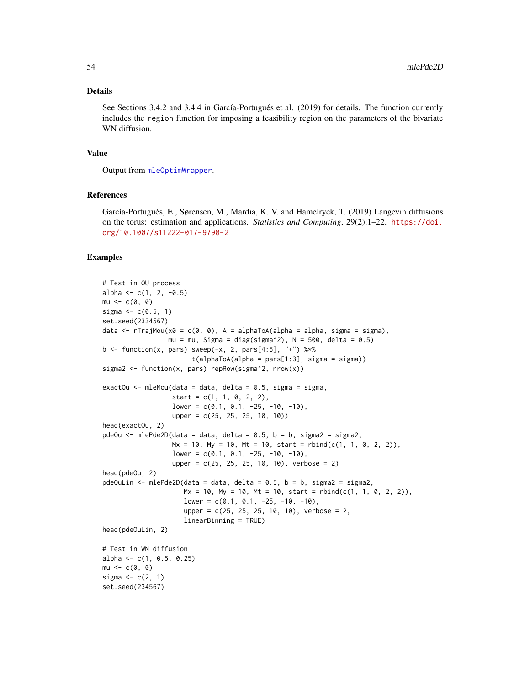#### Details

See Sections 3.4.2 and 3.4.4 in García-Portugués et al. (2019) for details. The function currently includes the region function for imposing a feasibility region on the parameters of the bivariate WN diffusion.

## Value

Output from [mleOptimWrapper](#page-46-0).

# References

García-Portugués, E., Sørensen, M., Mardia, K. V. and Hamelryck, T. (2019) Langevin diffusions on the torus: estimation and applications. *Statistics and Computing*, 29(2):1–22. [https://doi.](https://doi.org/10.1007/s11222-017-9790-2) [org/10.1007/s11222-017-9790-2](https://doi.org/10.1007/s11222-017-9790-2)

```
# Test in OU process
alpha \leq -c(1, 2, -0.5)mu < -c(0, 0)sigma <-c(0.5, 1)set.seed(2334567)
data \leq rTrajMou(x0 = c(0, 0), A = alphaToA(alpha = alpha, sigma = sigma),
                 mu = mu, Sigma = diag(sigma^2), N = 500, delta = 0.5)
b \le function(x, pars) sweep(-x, 2, pars[4:5], "+") %*%
                       t(alphaToA(alpha = pars[1:3], sigma = sigma))sigma2 <- function(x, pars) repRow(sigma^2, nrow(x))
exactOu \leq mleMou(data = data, delta = 0.5, sigma = sigma,
                  start = c(1, 1, 0, 2, 2),
                  lower = c(0.1, 0.1, -25, -10, -10),
                  upper = c(25, 25, 25, 10, 10)head(exactOu, 2)
pdeOu \leq mlePde2D(data = data, delta = 0.5, b = b, sigma2 = sigma2,
                  Mx = 10, My = 10, Mt = 10, start = rbind(c(1, 1, 0, 2, 2)),
                  lower = c(0.1, 0.1, -25, -10, -10),
                  upper = c(25, 25, 25, 10, 10), verbose = 2)
head(pdeOu, 2)
pdeOuLin \leq mlePde2D(data = data, delta = 0.5, b = b, sigma2 = sigma2,
                     Mx = 10, My = 10, Mt = 10, start = rbind(c(1, 1, 0, 2, 2)),
                     lower = c(0.1, 0.1, -25, -10, -10),upper = c(25, 25, 25, 10, 10), verbose = 2,
                     linearBinning = TRUE)
head(pdeOuLin, 2)
# Test in WN diffusion
alpha <- c(1, 0.5, 0.25)mu < -c(0, 0)sigma \leq c(2, 1)set.seed(234567)
```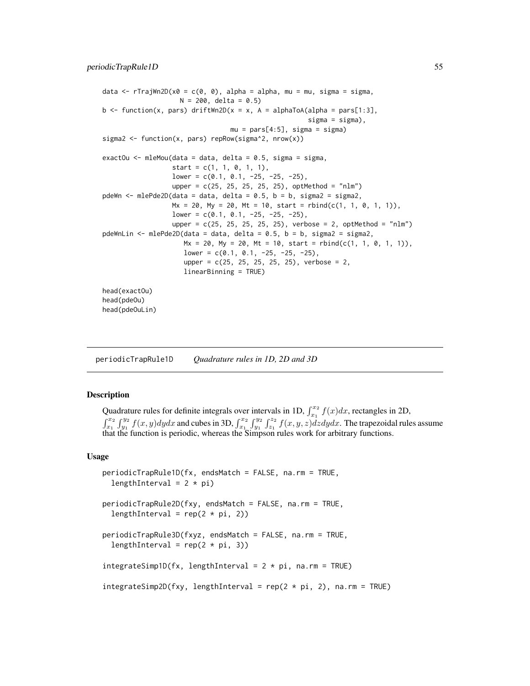```
data \leq rTrajWn2D(x0 = c(0, 0), alpha = alpha, mu = mu, sigma = sigma,
                    N = 200, delta = 0.5)
b \le function(x, pars) driftWn2D(x = x, A = alphaToA(alpha = pars[1:3],
                                                     signa = signa),
                                 mu = pars[4:5], sigma = sigma)sigma2 <- function(x, pars) repRow(sigma^2, nrow(x))
exactOu \leq mleMou(data = data, delta = 0.5, sigma = sigma,
                  start = c(1, 1, 0, 1, 1),
                  lower = c(0.1, 0.1, -25, -25, -25),
                  upper = c(25, 25, 25, 25, 25), optMethod = "nlm")
pdeWn \leq mlePde2D(data = data, delta = 0.5, b = b, sigma2 = sigma2,
                  Mx = 20, My = 20, Mt = 10, start = rbind(c(1, 1, 0, 1, 1)),lower = c(0.1, 0.1, -25, -25, -25),
                  upper = c(25, 25, 25, 25, 25), verbose = 2, optMethod = "nlm")
pdeWnLin <- mlePde2D(data = data, delta = 0.5, b = b, sigma2 = sigma2,
                     Mx = 20, My = 20, Mt = 10, start = rbind(c(1, 1, 0, 1, 1)),lower = c(0.1, 0.1, -25, -25, -25),
                     upper = c(25, 25, 25, 25, 25), verbose = 2,
                     linearBinning = TRUE)
head(exactOu)
head(pdeOu)
head(pdeOuLin)
```
periodicTrapRule1D *Quadrature rules in 1D, 2D and 3D*

#### Description

Quadrature rules for definite integrals over intervals in 1D,  $\int_{x_1}^{x_2} f(x) dx$ , rectangles in 2D,  $\int_{x_1}^{x_2} \int_{y_1}^{y_2} f(x, y) dy dx$  and cubes in 3D,  $\int_{x_1}^{x_2} \int_{y_1}^{y_2} \int_{z_1}^{z_2} f(x, y, z) dz dy dx$ . The trapezoidal rules assume that the function is periodic, whereas the Simpson rules work for arbitrary functions.

#### Usage

```
periodicTrapRule1D(fx, endsMatch = FALSE, na.rm = TRUE,
  lengthInterval = 2 * pi)
periodicTrapRule2D(fxy, endsMatch = FALSE, na.rm = TRUE,
  lengthInterval = rep(2 * pi, 2)periodicTrapRule3D(fxyz, endsMatch = FALSE, na.rm = TRUE,
  lengthInterval = rep(2 * pi, 3)integral(fx, lengthInterval = 2 * pi, na.rm = TRUE)integrateSimp2D(fxy, lengthInterval = rep(2 * pi, 2), na.rm = TRUE)
```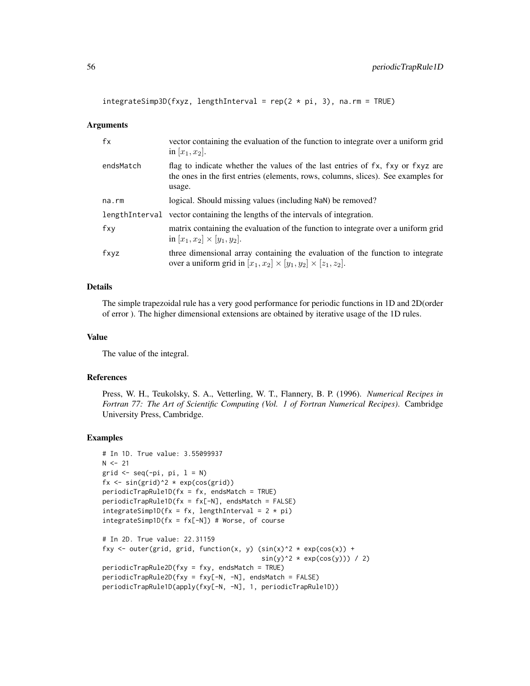$integrateSimp3D(fxyz, lengthInterval = rep(2 * pi, 3), na.rm = TRUE)$ 

#### Arguments

| fx          | vector containing the evaluation of the function to integrate over a uniform grid<br>in $[x_1, x_2]$ .                                                                        |
|-------------|-------------------------------------------------------------------------------------------------------------------------------------------------------------------------------|
| endsMatch   | flag to indicate whether the values of the last entries of fx, fxy or fxyz are<br>the ones in the first entries (elements, rows, columns, slices). See examples for<br>usage. |
| $na$ . $rm$ | logical. Should missing values (including NaN) be removed?                                                                                                                    |
|             | lengthInterval vector containing the lengths of the intervals of integration.                                                                                                 |
| fxy         | matrix containing the evaluation of the function to integrate over a uniform grid<br>in $[x_1, x_2] \times [y_1, y_2]$ .                                                      |
| fxyz        | three dimensional array containing the evaluation of the function to integrate<br>over a uniform grid in $[x_1, x_2] \times [y_1, y_2] \times [z_1, z_2]$ .                   |

## Details

The simple trapezoidal rule has a very good performance for periodic functions in 1D and 2D(order of error ). The higher dimensional extensions are obtained by iterative usage of the 1D rules.

## Value

The value of the integral.

### References

Press, W. H., Teukolsky, S. A., Vetterling, W. T., Flannery, B. P. (1996). *Numerical Recipes in Fortran 77: The Art of Scientific Computing (Vol. 1 of Fortran Numerical Recipes)*. Cambridge University Press, Cambridge.

```
# In 1D. True value: 3.55099937
N < -21grid \leq seq(-pi, pi, l = N)
fx \le sin(grid)^2 * exp(cos(grid))
periodicTrapRule1D(fx = fx, endsMatch = TRUE)periodicTrapRule1D(fx = fx[-N], endsMatch = FALSE)
integrateSimp1D(fx = fx, lengthInterval = 2 * pi)
integrateSimp1D(fx = fx[-N]) # Worse, of course# In 2D. True value: 22.31159
fxy <- outer(grid, grid, function(x, y) (\sin(x)^2 \times \exp(\cos(x)) +sin(y)^2 \times exp(cos(y))) / 2)periodicTrapRule2D(fxy = fxy, endsMatch = TRUE)
periodicTrapRule2D(fxy = fxy[-N, -N], endsMatch = FALSE)
periodicTrapRule1D(apply(fxy[-N, -N], 1, periodicTrapRule1D))
```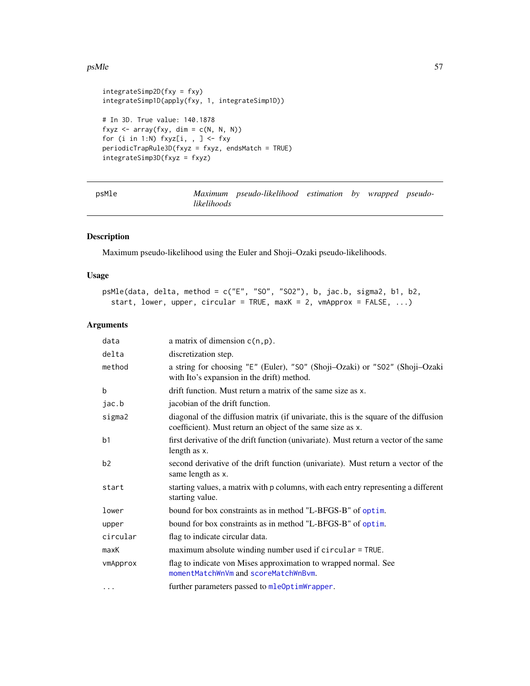### psMle 57

```
integrateSimp2D(fxy = fxy)
integrateSimp1D(apply(fxy, 1, integrateSimp1D))
# In 3D. True value: 140.1878
fxyz \leq array(fxy, dim = c(N, N, N))
for (i in 1:N) fxyz[i, , ] \leftarrow fxyperiodicTrapRule3D(fxyz = fxyz, endsMatch = TRUE)
integrateSimp3D(fxyz = fxyz)
```
psMle *Maximum pseudo-likelihood estimation by wrapped pseudolikelihoods*

### Description

Maximum pseudo-likelihood using the Euler and Shoji–Ozaki pseudo-likelihoods.

### Usage

```
psMle(data, delta, method = c("E", "SO", "SO2"), b, jac.b, sigma2, b1, b2,
 start, lower, upper, circular = TRUE, maxK = 2, vmApprox = FALSE, ...)
```
### Arguments

| data           | a matrix of dimension $c(n, p)$ .                                                                                                                  |
|----------------|----------------------------------------------------------------------------------------------------------------------------------------------------|
| delta          | discretization step.                                                                                                                               |
| method         | a string for choosing "E" (Euler), "S0" (Shoji-Ozaki) or "S02" (Shoji-Ozaki<br>with Ito's expansion in the drift) method.                          |
| b              | drift function. Must return a matrix of the same size as x.                                                                                        |
| jac.b          | jacobian of the drift function.                                                                                                                    |
| sigma2         | diagonal of the diffusion matrix (if univariate, this is the square of the diffusion<br>coefficient). Must return an object of the same size as x. |
| b <sub>1</sub> | first derivative of the drift function (univariate). Must return a vector of the same<br>length as x.                                              |
| b2             | second derivative of the drift function (univariate). Must return a vector of the<br>same length as x.                                             |
| start          | starting values, a matrix with p columns, with each entry representing a different<br>starting value.                                              |
| lower          | bound for box constraints as in method "L-BFGS-B" of optim.                                                                                        |
| upper          | bound for box constraints as in method "L-BFGS-B" of optim.                                                                                        |
| circular       | flag to indicate circular data.                                                                                                                    |
| maxK           | maximum absolute winding number used if circular = TRUE.                                                                                           |
| vmApprox       | flag to indicate von Mises approximation to wrapped normal. See<br>momentMatchWnVm and scoreMatchWnBvm.                                            |
| $\cdots$       | further parameters passed to mleOptimWrapper.                                                                                                      |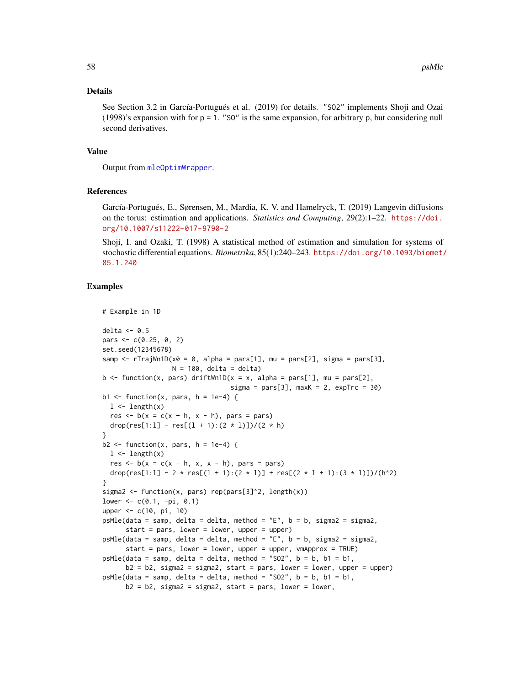### Details

See Section 3.2 in García-Portugués et al. (2019) for details. "SO2" implements Shoji and Ozai (1998)'s expansion with for  $p = 1$ . "SO" is the same expansion, for arbitrary p, but considering null second derivatives.

### Value

Output from [mleOptimWrapper](#page-46-0).

## References

García-Portugués, E., Sørensen, M., Mardia, K. V. and Hamelryck, T. (2019) Langevin diffusions on the torus: estimation and applications. *Statistics and Computing*, 29(2):1–22. [https://doi.](https://doi.org/10.1007/s11222-017-9790-2) [org/10.1007/s11222-017-9790-2](https://doi.org/10.1007/s11222-017-9790-2)

Shoji, I. and Ozaki, T. (1998) A statistical method of estimation and simulation for systems of stochastic differential equations. *Biometrika*, 85(1):240–243. [https://doi.org/10.1093/biomet/](https://doi.org/10.1093/biomet/85.1.240) [85.1.240](https://doi.org/10.1093/biomet/85.1.240)

```
# Example in 1D
delta \leq 0.5pars \leq -c(0.25, 0, 2)set.seed(12345678)
samp \leq rTrajWn1D(x0 = 0, alpha = pars[1], mu = pars[2], sigma = pars[3],
                  N = 100, delta = delta)
b \le function(x, pars) driftWn1D(x = x, alpha = pars[1], mu = pars[2],
                                  signa = pars[3], maxK = 2, expTrc = 30)b1 \le function(x, pars, h = 1e-4) {
  1 \leftarrow length(x)res \leq b(x = c(x + h, x - h)), pars = pars)
  drop(res[1:1] - res[(1 + 1):(2 * 1)])/(2 * h)}
b2 \leq function(x, pars, h = 1e-4) {
  1 \leftarrow length(x)res \leq b(x = c(x + h, x, x - h)), pars = pars)
  drop(res[1:1] - 2 * res[(1 + 1):(2 * 1)] + res[(2 * 1 + 1):(3 * 1)])/(h^2)
}
sigma2 <- function(x, pars) rep(pars[3]^2, length(x))
lower < -c(0.1, -pi, 0.1)upper <- c(10, pi, 10)
psMle(data = samp, delta = delta, method = "E", b = b, sigma2 = sigma2,start = pars, lower = lower, upper = upper)
psMle(data = samp, delta = delta, method = "E", b = b, sigma2 = sigma2,
      start = pars, lower = lower, upper = upper, vmApprox = TRUE)
psMle(data = samp, delta = delta, method = "SO2", b = b, b1 = b1,
      b2 = b2, sigma2 = sigma2, start = pars, lower = lower, upper = upper)
psMle(data = samp, delta = delta, method = "SO2", b = b, b1 = b1,b2 = b2, sigma2 = sigma2, start = pars, lower = lower,
```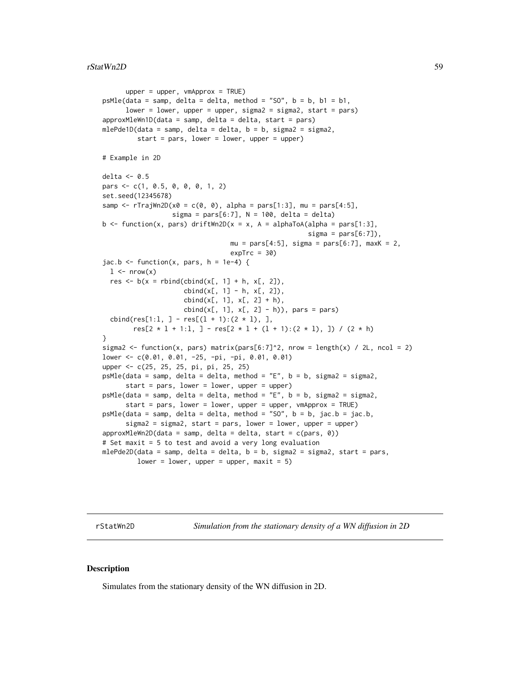```
upper = upper, vmApprox = TRUE)
psMle(data = samp, delta = delta, method = "SO", b = b, b1 = b1,lower = lower, upper = upper, sigma2 = sigma2, start = pars)
approxMleWn1D(data = samp, delta = delta, start = pars)mlePde1D(data = samp, delta = delta, b = b, sigma2 = sigma2,
         start = pars, lower = lower, upper = upper)
# Example in 2D
delta <-0.5pars <- c(1, 0.5, 0, 0, 0, 1, 2)
set.seed(12345678)
samp \leq rTrajWn2D(x0 = c(0, 0), alpha = pars[1:3], mu = pars[4:5],
                  sigma = pars[6:7], N = 100, delta = delta)
b <- function(x, pars) driftWn2D(x = x, A = alphaToA(alpha = pars[1:3],
                                                      signa = pars[6:7]),mu = pars[4:5], sigma = pars[6:7], maxK = 2,expTrc = 30jac.b \leftarrow function(x, pars, h = 1e-4) {
 1 \leq -nrow(x)res \leq b(x = \text{rbind}(\text{cbind}(x[, 1] + h, x[, 2]),cbind(x[, 1] - h, x[, 2]),cbind(x[, 1], x[, 2] + h),cbind(x[, 1], x[, 2] - h)), pars = pars)
 cbind(res[1:1, ] - res[(1 + 1):(2 * 1), ],
        res[2 * 1 + 1:1, ] - res[2 * 1 + (1 + 1):(2 * 1), ]) / (2 * h)}
sigma2 <- function(x, pars) matrix(pars[6:7]^2, nrow = length(x) / 2L, ncol = 2)
lower <- c(0.01, 0.01, -25, -pi, -pi, 0.01, 0.01)
upper <- c(25, 25, 25, pi, pi, 25, 25)
psMle(data = samp, delta = delta, method = "E", b = b, sigma2 = sigma2,start = pars, lower = lower, upper = upper)
psMle(data = samp, delta = delta, method = "E", b = b, sigma2 = sigma2,
     start = pars, lower = lower, upper = upper, vmApprox = TRUE)
psMle(data = samp, delta = delta, method = "SO", b = b, jac.b = jac.b,
      sigma2 = sigma2, start = pars, lower = lower, upper = upper)
approxMleWn2D(data = samp, delta = delta, start = c(pars, 0))
# Set maxit = 5 to test and avoid a very long evaluation
mlePde2D(data = samp, delta = delta, b = b, sigma2 = sigma2, start = pars,
```

```
lower = lower, upper = upper, maxit = 5)
```
rStatWn2D *Simulation from the stationary density of a WN diffusion in 2D*

#### **Description**

Simulates from the stationary density of the WN diffusion in 2D.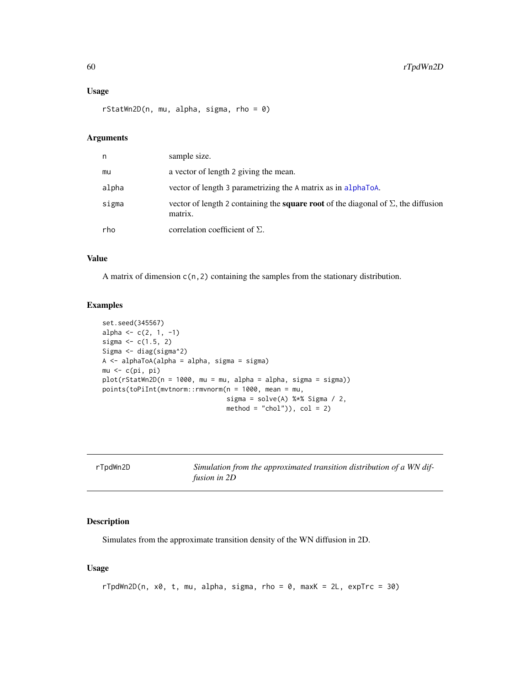# Usage

rStatWn2D(n, mu, alpha, sigma, rho = 0)

# Arguments

| n     | sample size.                                                                                                |
|-------|-------------------------------------------------------------------------------------------------------------|
| mu    | a vector of length 2 giving the mean.                                                                       |
| alpha | vector of length 3 parametrizing the A matrix as in alphaToA.                                               |
| sigma | vector of length 2 containing the <b>square root</b> of the diagonal of $\Sigma$ , the diffusion<br>matrix. |
| rho   | correlation coefficient of $\Sigma$ .                                                                       |

### Value

A matrix of dimension c(n,2) containing the samples from the stationary distribution.

# Examples

```
set.seed(345567)
alpha <- c(2, 1, -1)sigma <-c(1.5, 2)Sigma <- diag(sigma^2)
A <- alphaToA(alpha = alpha, sigma = sigma)
mu \leftarrow c(pi, pi)plot(rStatWn2D(n = 1000, mu = mu, alpha = alpha, sigma = sigma))points(toPiInt(mvtnorm::rmvnorm(n = 1000, mean = mu,
                                sigma = solve(A) %*% Sigma / 2,
                                method = "chol"), col = 2
```

| rTpdWn2D | Simulation from the approximated transition distribution of a WN dif- |
|----------|-----------------------------------------------------------------------|
|          |                                                                       |
|          | fusion in 2D                                                          |

### Description

Simulates from the approximate transition density of the WN diffusion in 2D.

# Usage

```
rTpdWn2D(n, x0, t, mu, alpha, sigma, rho = 0, maxK = 2L, expTrc = 30)
```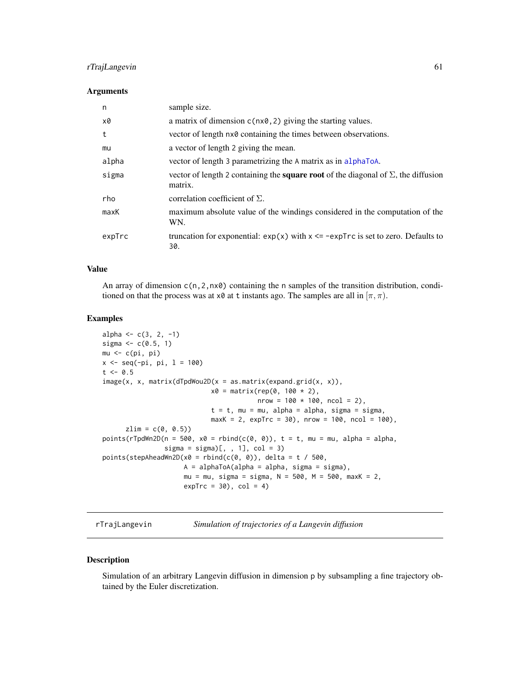# rTrajLangevin 61

#### Arguments

| n      | sample size.                                                                                                |
|--------|-------------------------------------------------------------------------------------------------------------|
| x0     | a matrix of dimension $c(nx\theta, 2)$ giving the starting values.                                          |
| t      | vector of length $n \times \emptyset$ containing the times between observations.                            |
| mu     | a vector of length 2 giving the mean.                                                                       |
| alpha  | vector of length 3 parametrizing the A matrix as in alphaToA.                                               |
| sigma  | vector of length 2 containing the <b>square root</b> of the diagonal of $\Sigma$ , the diffusion<br>matrix. |
| rho    | correlation coefficient of $\Sigma$ .                                                                       |
| maxK   | maximum absolute value of the windings considered in the computation of the<br>WN.                          |
| expTrc | truncation for exponential: $exp(x)$ with $x \leq -expTrc$ is set to zero. Defaults to<br>30.               |

#### Value

An array of dimension  $c(n, 2, n \times \emptyset)$  containing the n samples of the transition distribution, conditioned on that the process was at  $x \theta$  at t instants ago. The samples are all in  $[\pi, \pi)$ .

# Examples

```
alpha \leq -c(3, 2, -1)sigma <-c(0.5, 1)mu \leftarrow c(pi, pi)x \leq -\text{seq}(-pi, \text{pi}, 1 = 100)t \le -0.5image(x, x, matrix(dTpdWou2D(x = as.matrix(expand.grid(x, x)),x0 = matrix(rep(0, 100 * 2)),nrow = 100 * 100, ncol = 2),
                             t = t, mu = mu, alpha = alpha, sigma = sigma,
                             maxK = 2, expTrc = 30, nrow = 100, ncol = 100),
      zlim = c(0, 0.5)points(rTpdWn2D(n = 500, x0 = rhind(c(0, 0)), t = t, mu = mu, alpha = alpha,sigma = sigma)[ , , 1], col = 3)
points(stepAheadWn2D(x0 = rbind(c(0, 0)), delta = t / 500,
                     A = alphaToA(alpha = alpha, sigma = sigma),
                     mu = mu, sigma = sigma, N = 500, M = 500, maxK = 2,
                     expTrc = 30, col = 4)
```
rTrajLangevin *Simulation of trajectories of a Langevin diffusion*

### Description

Simulation of an arbitrary Langevin diffusion in dimension p by subsampling a fine trajectory obtained by the Euler discretization.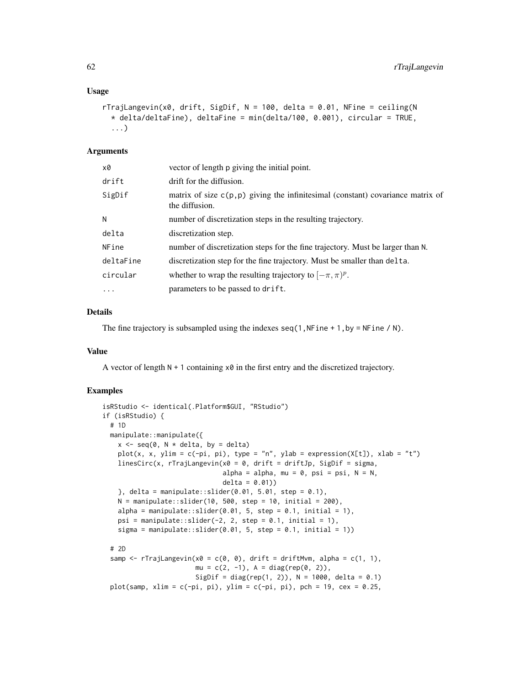#### Usage

```
rTrajLangevin(x0, drift, SigDif, N = 100, delta = 0.01, NFine = ceiling(N
  * delta/deltaFine), deltaFine = min(delta/100, 0.001), circular = TRUE,
  ...)
```
### Arguments

| vector of length p giving the initial point.                                                        |
|-----------------------------------------------------------------------------------------------------|
| drift for the diffusion.                                                                            |
| matrix of size $c(p, p)$ giving the infinitesimal (constant) covariance matrix of<br>the diffusion. |
| number of discretization steps in the resulting trajectory.                                         |
| discretization step.                                                                                |
| number of discretization steps for the fine trajectory. Must be larger than N.                      |
| discretization step for the fine trajectory. Must be smaller than delta.                            |
| whether to wrap the resulting trajectory to $[-\pi, \pi)^p$ .                                       |
| parameters to be passed to drift.                                                                   |
|                                                                                                     |

# Details

The fine trajectory is subsampled using the indexes  $seq(1,NFine + 1,by = NFine / N)$ .

#### Value

A vector of length  $N + 1$  containing  $x \theta$  in the first entry and the discretized trajectory.

```
isRStudio <- identical(.Platform$GUI, "RStudio")
if (isRStudio) {
 # 1D
 manipulate::manipulate({
   x \leq -\text{seq}(0, N \times \text{delta}, \text{by} = \text{delta})plot(x, x, ylim = c(-pi, pi), type = "n", ylab = expression(X[t]), xlab = "t")
   linesCirc(x, rTrajLangevin(x0 = 0, drift = driftJp, SigDif = sigma,
                                alpha = alpha, mu = 0, psi = psi, N = N,
                                delta = 0.01)}, delta = manipulate::slider(0.01, 5.01, step = 0.1),
   N = manipulate::slider(10, 500, step = 10, initial = 200),
   alpha = manipulate::slider(0.01, 5, step = 0.1, initial = 1),
   psi = manipulate::slider(-2, 2, step = 0.1, initial = 1),
   sigma = manipulate::slider(0.01, 5, step = 0.1, initial = 1))
 # 2D
 samp \leq rTrajLangevin(x0 = c(0, 0), drift = driftMvm, alpha = c(1, 1),
                        mu = c(2, -1), A = diag(rep(0, 2)),SigDif = diag(rep(1, 2)), N = 1000, delta = 0.1)
 plot(samp, xlim = c(-pi, pi), ylim = c(-pi, pi), pch = 19, cex = 0.25,
```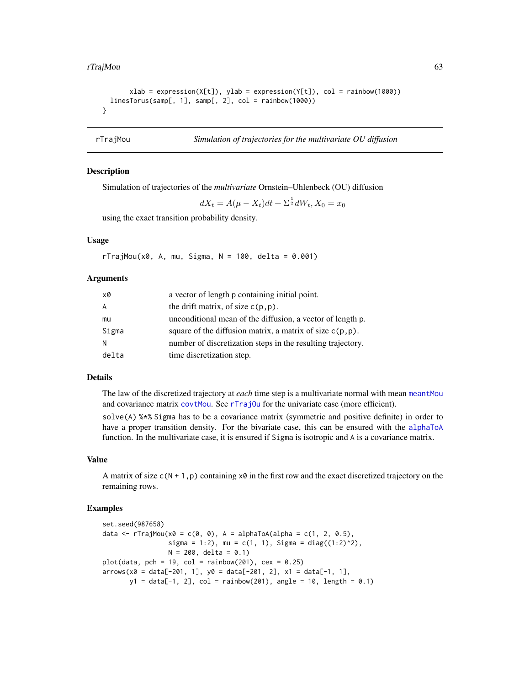```
xlab = expression(X[t]), ylab = expression(Y[t]), col = rainbow(1000))linesTorus(samp[, 1], samp[, 2], col = rainbow(1000))
}
```
<span id="page-62-0"></span>rTrajMou *Simulation of trajectories for the multivariate OU diffusion*

## **Description**

Simulation of trajectories of the *multivariate* Ornstein–Uhlenbeck (OU) diffusion

 $dX_t = A(\mu - X_t)dt + \Sigma^{\frac{1}{2}}dW_t, X_0 = x_0$ 

using the exact transition probability density.

## Usage

 $r$ TrajMou(x0, A, mu, Sigma, N = 100, delta = 0.001)

#### Arguments

| x0    | a vector of length p containing initial point.               |
|-------|--------------------------------------------------------------|
| A     | the drift matrix, of size $c(p, p)$ .                        |
| mu    | unconditional mean of the diffusion, a vector of length p.   |
| Sigma | square of the diffusion matrix, a matrix of size $c(p, p)$ . |
| N     | number of discretization steps in the resulting trajectory.  |
| delta | time discretization step.                                    |

### Details

The law of the discretized trajectory at *each* time step is a multivariate normal with mean [meantMou](#page-26-0) and covariance matrix [covtMou](#page-26-0). See [rTrajOu](#page-63-0) for the univariate case (more efficient).

solve(A) %\*% Sigma has to be a covariance matrix (symmetric and positive definite) in order to have a proper transition density. For the bivariate case, this can be ensured with the [alphaToA](#page-2-0) function. In the multivariate case, it is ensured if Sigma is isotropic and A is a covariance matrix.

#### Value

A matrix of size  $c(N + 1, p)$  containing  $x\theta$  in the first row and the exact discretized trajectory on the remaining rows.

```
set.seed(987658)
data <- rTrajMou(x0 = c(0, 0), A = alphaToA(alpha = c(1, 2, 0.5),
                 sigma = 1:2), mu = c(1, 1), Sigma = diag((1:2)^2),
                 N = 200, delta = 0.1)
plot(data, pch = 19, col = rainbow(201), cex = 0.25)arrows(x0 = data[-201, 1], y0 = data[-201, 2], x1 = data[-1, 1],y1 = data[-1, 2], col = rainbow(201), angle = 10, length = 0.1)
```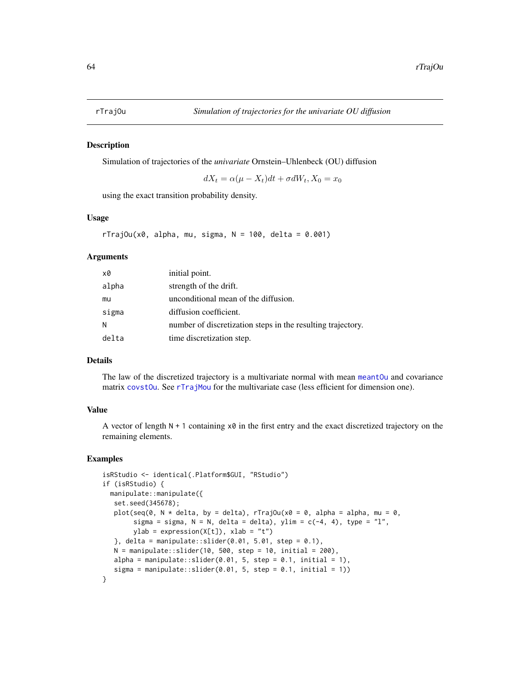<span id="page-63-0"></span>

Simulation of trajectories of the *univariate* Ornstein–Uhlenbeck (OU) diffusion

 $dX_t = \alpha(\mu - X_t)dt + \sigma dW_t, X_0 = x_0$ 

using the exact transition probability density.

### Usage

```
rTrajOu(x0, alpha, mu, sigma, N = 100, delta = 0.001)
```
#### Arguments

| x0    | initial point.                                              |
|-------|-------------------------------------------------------------|
| alpha | strength of the drift.                                      |
| mu    | unconditional mean of the diffusion.                        |
| sigma | diffusion coefficient.                                      |
| N     | number of discretization steps in the resulting trajectory. |
| delta | time discretization step.                                   |

#### Details

The law of the discretized trajectory is a multivariate normal with mean [meantOu](#page-27-0) and covariance matrix [covstOu](#page-27-0). See [rTrajMou](#page-62-0) for the multivariate case (less efficient for dimension one).

# Value

A vector of length  $N + 1$  containing  $x \theta$  in the first entry and the exact discretized trajectory on the remaining elements.

```
isRStudio <- identical(.Platform$GUI, "RStudio")
if (isRStudio) {
 manipulate::manipulate({
  set.seed(345678);
  plot(seq(0, N * delta, by = delta), rTrajOu(x0 = 0, alpha = alpha, mu = 0,
       sigma = sigma, N = N, delta = delta), ylim = c(-4, 4), type = "l",
       ylab = expression(X[t]), xlab = "t")
   }, delta = manipulate::slider(0.01, 5.01, step = 0.1),
  N = manipulate::slider(10, 500, step = 10, initial = 200),
  alpha = manipulate::slider(0.01, 5, step = 0.1, initial = 1),
   sigma = manipulate::slider(0.01, 5, step = 0.1, initial = 1))
}
```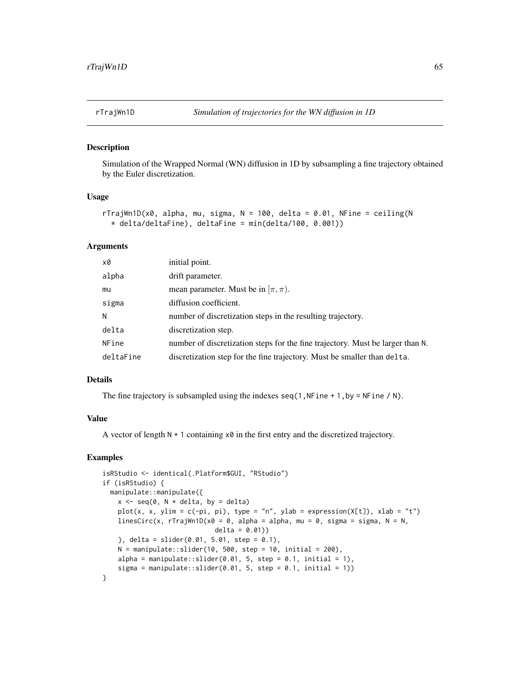Simulation of the Wrapped Normal (WN) diffusion in 1D by subsampling a fine trajectory obtained by the Euler discretization.

#### Usage

```
rTrajWn1D(x0, alpha, mu, sigma, N = 100, delta = 0.01, NFine = ceiling(N
  * delta/deltaFine), deltaFine = min(delta/100, 0.001))
```
#### Arguments

| x0        | initial point.                                                                 |
|-----------|--------------------------------------------------------------------------------|
| alpha     | drift parameter.                                                               |
| mu        | mean parameter. Must be in $[\pi, \pi]$ .                                      |
| sigma     | diffusion coefficient.                                                         |
| N         | number of discretization steps in the resulting trajectory.                    |
| delta     | discretization step.                                                           |
| NFine     | number of discretization steps for the fine trajectory. Must be larger than N. |
| deltaFine | discretization step for the fine trajectory. Must be smaller than delta.       |

#### Details

The fine trajectory is subsampled using the indexes  $seq(1,NFine + 1,by = NFine / N)$ .

## Value

A vector of length  $N + 1$  containing  $x \theta$  in the first entry and the discretized trajectory.

```
isRStudio <- identical(.Platform$GUI, "RStudio")
if (isRStudio) {
 manipulate::manipulate({
   x \leq -\text{seq}(0, N \times \text{delta}, \text{by} = \text{delta})plot(x, x, ylim = c(-pi, pi), type = "n", ylab = expression(X[t]), xlab = "t")
   linesCirc(x, rTrajWn1D(x0 = 0, alpha = alpha, mu = 0, sigma = sigma, N = N,
                              delta = 0.01)
    }, delta = slider(0.01, 5.01, step = 0.1),
    N = manipulate::slider(10, 500, step = 10, initial = 200),
    alpha = manipulate::slider(0.01, 5, step = 0.1, initial = 1),
    sigma = manipulate::slider(0.01, 5, step = 0.1, initial = 1))
}
```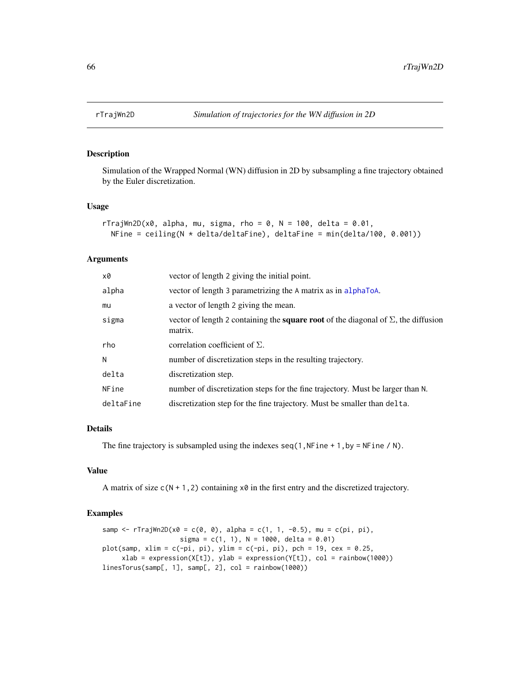Simulation of the Wrapped Normal (WN) diffusion in 2D by subsampling a fine trajectory obtained by the Euler discretization.

#### Usage

```
rTrajWn2D(x0, alpha, mu, sigma, rho = 0, N = 100, delta = 0.01,
 NFine = ceiling(N * delta/deltaFine), deltaFine = min(delta/100, 0.001))
```
# Arguments

| x0        | vector of length 2 giving the initial point.                                                                |
|-----------|-------------------------------------------------------------------------------------------------------------|
| alpha     | vector of length 3 parametrizing the A matrix as in alphaToA.                                               |
| mu        | a vector of length 2 giving the mean.                                                                       |
| sigma     | vector of length 2 containing the <b>square root</b> of the diagonal of $\Sigma$ , the diffusion<br>matrix. |
| rho       | correlation coefficient of $\Sigma$ .                                                                       |
| N         | number of discretization steps in the resulting trajectory.                                                 |
| delta     | discretization step.                                                                                        |
| NFine     | number of discretization steps for the fine trajectory. Must be larger than N.                              |
| deltaFine | discretization step for the fine trajectory. Must be smaller than delta.                                    |

# Details

The fine trajectory is subsampled using the indexes  $seq(1,NFine + 1,by = NFine / N)$ .

# Value

A matrix of size  $c(N + 1, 2)$  containing  $x0$  in the first entry and the discretized trajectory.

```
samp <- rTrajWn2D(x0 = c(0, 0), alpha = c(1, 1, -0.5), mu = c(pi, pi),
                   sigma = c(1, 1), N = 1000, delta = 0.01)
plot(samp, xlim = c(-pi, pi), ylim = c(-pi, pi), pch = 19, cex = 0.25,
     xlab = expression(X[t]), ylab = expression(Y[t]), col = rainbow(1000))linesTorus(samp[, 1], samp[, 2], col = rainbow(1000))
```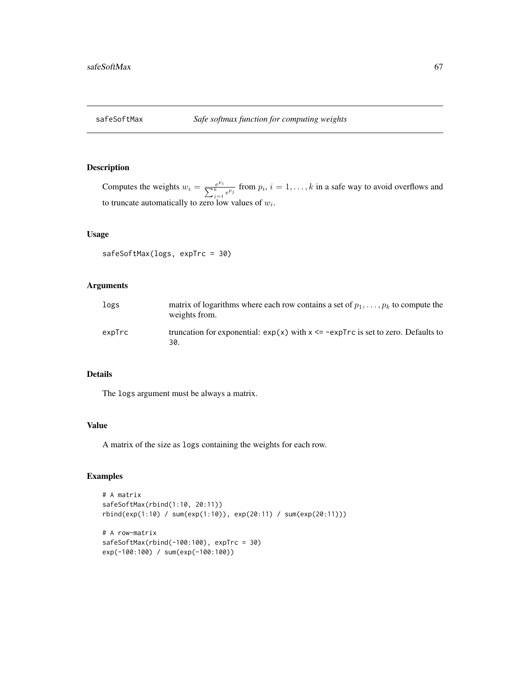Computes the weights  $w_i = \frac{e}{\sum_{i=1}^{k}}$  $\frac{e^{p_i}}{k}$  from  $p_i$ ,  $i = 1, ..., k$  in a safe way to avoid overflows and to truncate automatically to zero low values of  $w_i$ .

# Usage

```
safeSoftMax(logs, expTrc = 30)
```
# Arguments

| logs   | matrix of logarithms where each row contains a set of $p_1, \ldots, p_k$ to compute the<br>weights from. |
|--------|----------------------------------------------------------------------------------------------------------|
| expTrc | truncation for exponential: $exp(x)$ with $x \leq -expTrc$ is set to zero. Defaults to<br>30.            |

# Details

The logs argument must be always a matrix.

# Value

A matrix of the size as logs containing the weights for each row.

```
# A matrix
safeSoftMax(rbind(1:10, 20:11))
rbind(exp(1:10) / sum(exp(1:10)), exp(20:11) / sum(exp(20:11)))
# A row-matrix
safeSoftMax(rbind(-100:100), expTrc = 30)
exp(-100:100) / sum(exp(-100:100))
```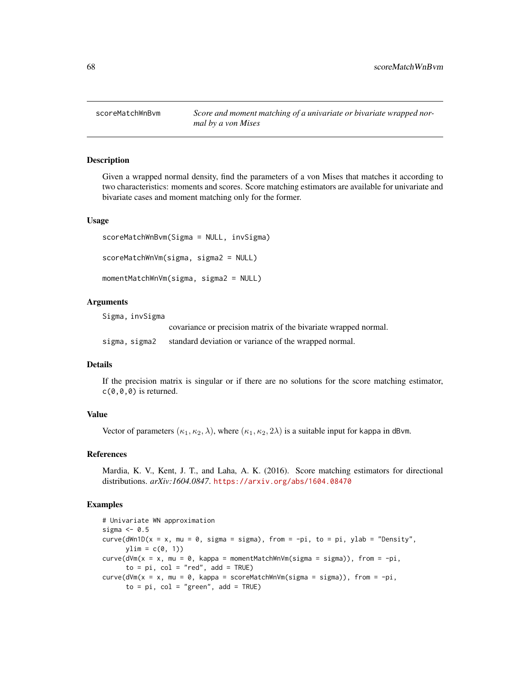<span id="page-67-1"></span>scoreMatchWnBvm *Score and moment matching of a univariate or bivariate wrapped normal by a von Mises*

### <span id="page-67-0"></span>**Description**

Given a wrapped normal density, find the parameters of a von Mises that matches it according to two characteristics: moments and scores. Score matching estimators are available for univariate and bivariate cases and moment matching only for the former.

#### Usage

```
scoreMatchWnBvm(Sigma = NULL, invSigma)
scoreMatchWnVm(sigma, sigma2 = NULL)
momentMatchWnVm(sigma, sigma2 = NULL)
```
### Arguments

Sigma, invSigma

covariance or precision matrix of the bivariate wrapped normal.

sigma, sigma2 standard deviation or variance of the wrapped normal.

# Details

If the precision matrix is singular or if there are no solutions for the score matching estimator,  $c(\emptyset, \emptyset, \emptyset)$  is returned.

# Value

Vector of parameters  $(\kappa_1, \kappa_2, \lambda)$ , where  $(\kappa_1, \kappa_2, 2\lambda)$  is a suitable input for kappa in dBvm.

#### References

Mardia, K. V., Kent, J. T., and Laha, A. K. (2016). Score matching estimators for directional distributions. *arXiv:1604.0847*. <https://arxiv.org/abs/1604.08470>

```
# Univariate WN approximation
sigma <-0.5curve(dWn1D(x = x, mu = 0, sigma = sigma), from = -pi, to = pi, ylab = "Density",
      ylim = c(0, 1)curve(d\vee m(x = x, mu = 0, kappa = momentMatchWn\vee m(sigma = signa)), from = -pi,to = pi, col = "red", add = TRUE)curve(d\vee m(x = x, mu = 0, kappa = scoreMatchWn\vee m(sigma = sigma)), from = -pi,to = pi, col = "green", add = TRUE)
```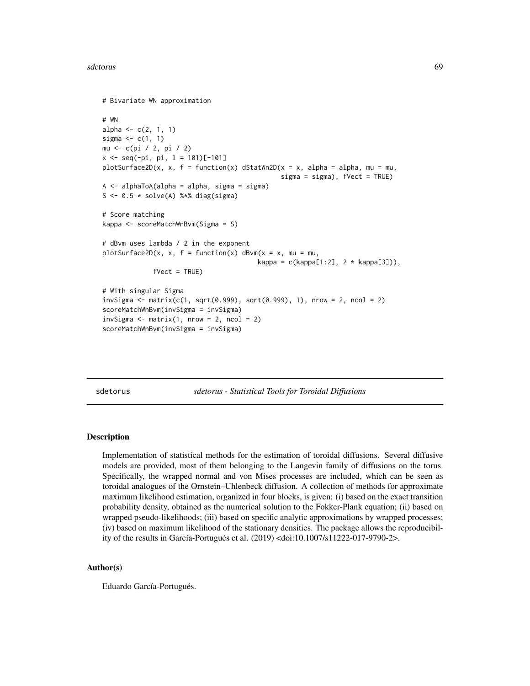#### sdetorus 69 detorus et al. et al. et al. et al. et al. et al. et al. et al. et al. et al. et al. et al. et al.

```
# Bivariate WN approximation
# WN
alpha \leq -c(2, 1, 1)sigma \leftarrow c(1, 1)
mu <- c(pi / 2, pi / 2)
x \leq -\text{seq}(-pi, \text{pi}, 1 = 101)[-101]plotsurface2D(x, x, f = function(x) dStatWn2D(x = x, alpha = alpha, mu = mu,sigma = sigma), fVect = TRUE)
A <- alphaToA(alpha = alpha, sigma = sigma)
S <- 0.5 * solve(A) %*% diag(sigma)
# Score matching
kappa <- scoreMatchWnBvm(Sigma = S)
# dBvm uses lambda / 2 in the exponent
plotSurface2D(x, x, f = function(x) dBvm(x = x, mu = mu,kappa = c(kappa[1:2], 2 * kappa[3]),fVect = TRUE)
# With singular Sigma
invSigma <- matrix(c(1, sqrt(0.999), sqrt(0.999), 1), nrow = 2, ncol = 2)
scoreMatchWnBvm(invSigma = invSigma)
invSigma \leq matrix(1, nrow = 2, ncol = 2)
scoreMatchWnBvm(invSigma = invSigma)
```
sdetorus *sdetorus - Statistical Tools for Toroidal Diffusions*

#### Description

Implementation of statistical methods for the estimation of toroidal diffusions. Several diffusive models are provided, most of them belonging to the Langevin family of diffusions on the torus. Specifically, the wrapped normal and von Mises processes are included, which can be seen as toroidal analogues of the Ornstein–Uhlenbeck diffusion. A collection of methods for approximate maximum likelihood estimation, organized in four blocks, is given: (i) based on the exact transition probability density, obtained as the numerical solution to the Fokker-Plank equation; (ii) based on wrapped pseudo-likelihoods; (iii) based on specific analytic approximations by wrapped processes; (iv) based on maximum likelihood of the stationary densities. The package allows the reproducibility of the results in García-Portugués et al. (2019) <doi:10.1007/s11222-017-9790-2>.

## Author(s)

Eduardo García-Portugués.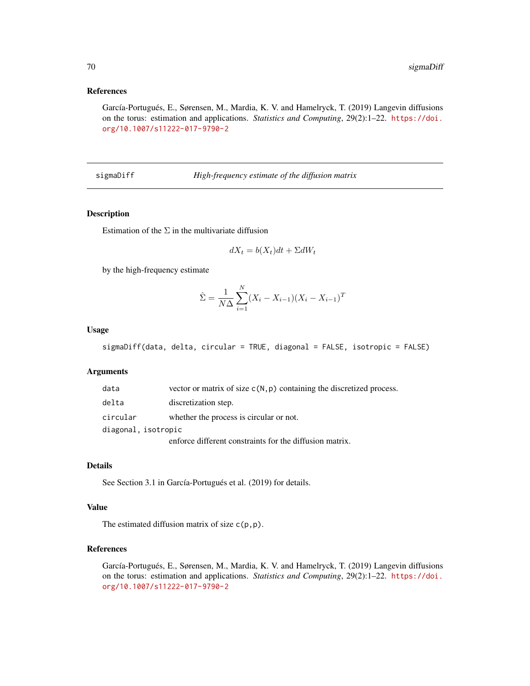# References

García-Portugués, E., Sørensen, M., Mardia, K. V. and Hamelryck, T. (2019) Langevin diffusions on the torus: estimation and applications. *Statistics and Computing*, 29(2):1–22. [https://doi.](https://doi.org/10.1007/s11222-017-9790-2) [org/10.1007/s11222-017-9790-2](https://doi.org/10.1007/s11222-017-9790-2)

sigmaDiff *High-frequency estimate of the diffusion matrix*

# Description

Estimation of the  $\Sigma$  in the multivariate diffusion

$$
dX_t = b(X_t)dt + \Sigma dW_t
$$

by the high-frequency estimate

$$
\hat{\Sigma} = \frac{1}{N\Delta} \sum_{i=1}^{N} (X_i - X_{i-1})(X_i - X_{i-1})^T
$$

#### Usage

```
sigmaDiff(data, delta, circular = TRUE, diagonal = FALSE, isotropic = FALSE)
```
# Arguments

| data                | vector or matrix of size $c(N, p)$ containing the discretized process. |
|---------------------|------------------------------------------------------------------------|
| delta               | discretization step.                                                   |
| circular            | whether the process is circular or not.                                |
| diagonal, isotropic |                                                                        |
|                     | enforce different constraints for the diffusion matrix.                |

N

# Details

See Section 3.1 in García-Portugués et al. (2019) for details.

### Value

The estimated diffusion matrix of size  $c(p,p)$ .

## References

García-Portugués, E., Sørensen, M., Mardia, K. V. and Hamelryck, T. (2019) Langevin diffusions on the torus: estimation and applications. *Statistics and Computing*, 29(2):1–22. [https://doi.](https://doi.org/10.1007/s11222-017-9790-2) [org/10.1007/s11222-017-9790-2](https://doi.org/10.1007/s11222-017-9790-2)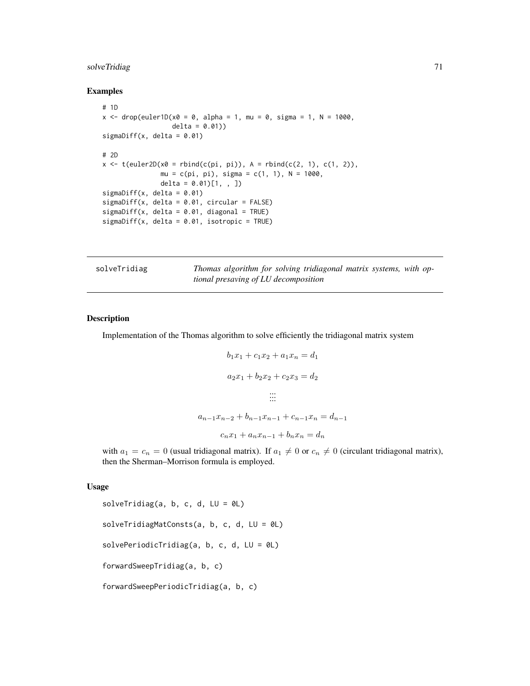# solveTridiag 71

### Examples

```
# 1D
x < - drop(euler1D(x0 = 0, alpha = 1, mu = 0, sigma = 1, N = 1000,
                  delta = 0.01)sigmaDiff(x, delta = 0.01)
# 2D
x \leq t(euler2D(x0 = \text{rbind}(c(\pi, \pi)), A = \text{rbind}(c(2, 1), c(1, 2)),
               mu = c(pi, pi), sigma = c(1, 1), N = 1000,
               delta = 0.01[1, , ])
sigmaDiff(x, delta = 0.01)
sigmaDiff(x, delta = 0.01, circular = FALSE)
sigmaDiff(x, delta = 0.01, diagonal = TRUE)
sigmaDiff(x, delta = 0.01, isotropic = TRUE)
```

| solveTridiag | Thomas algorithm for solving tridiagonal matrix systems, with op- |  |  |  |
|--------------|-------------------------------------------------------------------|--|--|--|
|              | tional presaving of LU decomposition                              |  |  |  |

#### Description

Implementation of the Thomas algorithm to solve efficiently the tridiagonal matrix system

$$
b_1x_1 + c_1x_2 + a_1x_n = d_1
$$
  
\n
$$
a_2x_1 + b_2x_2 + c_2x_3 = d_2
$$
  
\n
$$
\dots
$$
  
\n
$$
a_{n-1}x_{n-2} + b_{n-1}x_{n-1} + c_{n-1}x_n = d_{n-1}
$$
  
\n
$$
c_nx_1 + a_nx_{n-1} + b_nx_n = d_n
$$

with  $a_1 = c_n = 0$  (usual tridiagonal matrix). If  $a_1 \neq 0$  or  $c_n \neq 0$  (circulant tridiagonal matrix), then the Sherman–Morrison formula is employed.

#### Usage

```
solveTridiag(a, b, c, d, LU = 0L)
solveTridiagMatConsts(a, b, c, d, LU = 0L)
solvePeriodicTridiag(a, b, c, d, LU = 0L)
forwardSweepTridiag(a, b, c)
forwardSweepPeriodicTridiag(a, b, c)
```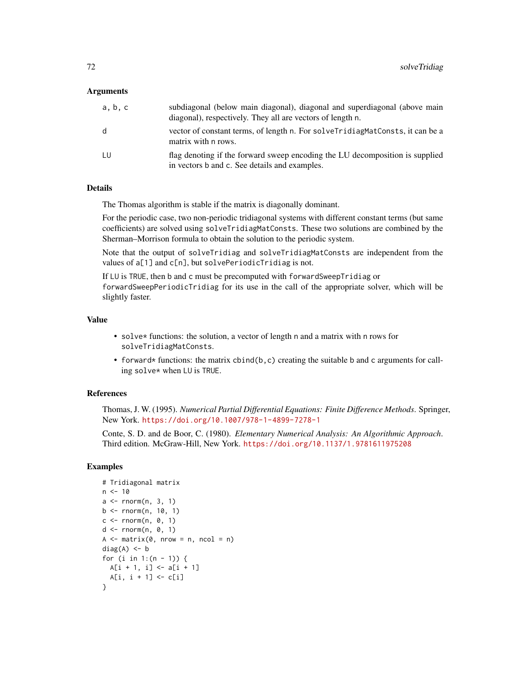### Arguments

| a, b, c | subdiagonal (below main diagonal), diagonal and superdiagonal (above main<br>diagonal), respectively. They all are vectors of length n. |
|---------|-----------------------------------------------------------------------------------------------------------------------------------------|
| d       | vector of constant terms, of length n. For solve TridiagMatConsts, it can be a<br>matrix with n rows.                                   |
| LU      | flag denoting if the forward sweep encoding the LU decomposition is supplied<br>in vectors b and c. See details and examples.           |

# **Details**

The Thomas algorithm is stable if the matrix is diagonally dominant.

For the periodic case, two non-periodic tridiagonal systems with different constant terms (but same coefficients) are solved using solveTridiagMatConsts. These two solutions are combined by the Sherman–Morrison formula to obtain the solution to the periodic system.

Note that the output of solveTridiag and solveTridiagMatConsts are independent from the values of a[1] and c[n], but solvePeriodicTridiag is not.

If LU is TRUE, then b and c must be precomputed with forwardSweepTridiag or forwardSweepPeriodicTridiag for its use in the call of the appropriate solver, which will be slightly faster.

#### Value

- solve\* functions: the solution, a vector of length n and a matrix with n rows for solveTridiagMatConsts.
- forward\* functions: the matrix cbind(b, c) creating the suitable b and c arguments for calling solve\* when LU is TRUE.

### References

Thomas, J. W. (1995). *Numerical Partial Differential Equations: Finite Difference Methods*. Springer, New York. <https://doi.org/10.1007/978-1-4899-7278-1>

Conte, S. D. and de Boor, C. (1980). *Elementary Numerical Analysis: An Algorithmic Approach*. Third edition. McGraw-Hill, New York. <https://doi.org/10.1137/1.9781611975208>

```
# Tridiagonal matrix
n < -10a \leftarrow \text{norm}(n, 3, 1)b \le rnorm(n, 10, 1)c \le rnorm(n, 0, 1)
d \leq rnorm(n, 0, 1)
A \leq - matrix(0, nrow = n, ncol = n)
diag(A) <- b
for (i in 1:(n - 1)) {
 A[i + 1, i] < -a[i + 1]A[i, i + 1] < -c[i]}
```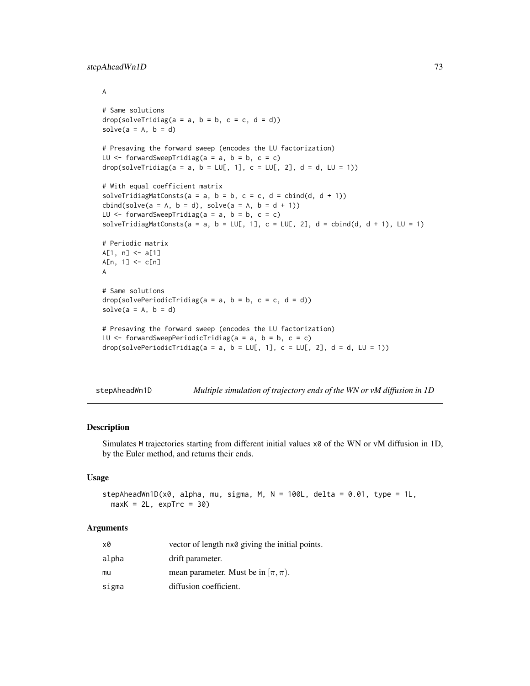```
A
# Same solutions
drop(solveTridiag(a = a, b = b, c = c, d = d))solve(a = A, b = d)# Presaving the forward sweep (encodes the LU factorization)
LU \le forwardSweepTridiag(a = a, b = b, c = c)
drop(solveTridiag(a = a, b = LU[, 1], c = LU[, 2], d = d, LU = 1))
# With equal coefficient matrix
solveTridiagMatConsts(a = a, b = b, c = c, d = \text{cbind}(d, d + 1))
cbind(solve(a = A, b = d), solve(a = A, b = d + 1))LU \le forwardSweepTridiag(a = a, b = b, c = c)
solveTridiagMatConsts(a = a, b = LU[, 1], c = LU[, 2], d = cbind(d, d + 1), LU = 1)
# Periodic matrix
A[1, n] < -a[1]A[n, 1] <- c[n]
A
# Same solutions
drop(solvePeriodicTridiag(a = a, b = b, c = c, d = d))solve(a = A, b = d)# Presaving the forward sweep (encodes the LU factorization)
LU \leq forwardSweepPeriodicTridiag(a = a, b = b, c = c)
drop(solvePeriodicTridiag(a = a, b = LUL, 1], c = LUL, 2], d = d, LU = 1))
```

| stepAheadWn1D |  | Multiple simulation of trajectory ends of the WN or vM diffusion in 1D |
|---------------|--|------------------------------------------------------------------------|
|               |  |                                                                        |

#### Description

Simulates M trajectories starting from different initial values x0 of the WN or vM diffusion in 1D, by the Euler method, and returns their ends.

#### Usage

```
stepAheadWn1D(x0, alpha, mu, sigma, M, N = 100L, delta = 0.01, type = 1L,
 maxK = 2L, expTrc = 30
```
#### Arguments

| x0    | vector of length nx0 giving the initial points. |
|-------|-------------------------------------------------|
| alpha | drift parameter.                                |
| mu    | mean parameter. Must be in $(\pi, \pi)$ .       |
| sigma | diffusion coefficient.                          |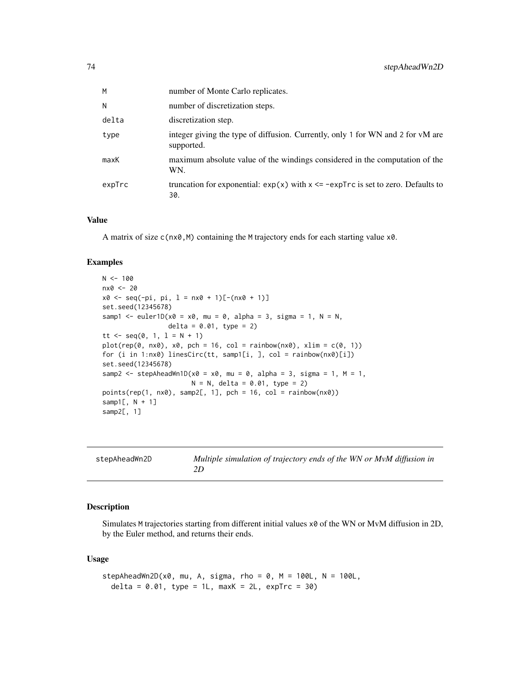<span id="page-73-0"></span>

| М      | number of Monte Carlo replicates.                                                             |
|--------|-----------------------------------------------------------------------------------------------|
| N      | number of discretization steps.                                                               |
| delta  | discretization step.                                                                          |
| type   | integer giving the type of diffusion. Currently, only 1 for WN and 2 for vM are<br>supported. |
| maxK   | maximum absolute value of the windings considered in the computation of the<br>WN.            |
| expTrc | truncation for exponential: $exp(x)$ with $x \leq -expTrc$ is set to zero. Defaults to<br>30. |

#### Value

A matrix of size c(nx0,M) containing the M trajectory ends for each starting value x0.

# Examples

```
N < - 100nx0 <- 20
x0 \leq -\text{seq}(-\text{pi}, \text{pi}, 1 = \text{nx0} + 1)[-(\text{nx0} + 1)]set.seed(12345678)
samp1 <- euler1D(x0 = x0, mu = 0, alpha = 3, sigma = 1, N = N,
                   delta = 0.01, type = 2)
tt <- seq(0, 1, 1 = N + 1)plot(rep(\theta, nx\theta), x\theta, pch = 16, col = rainbow(nx\theta), xlim = c(\theta, 1))for (i in 1:nx0) linesCirc(tt, samp1[i, ], col = rainbow(nx0)[i])
set.seed(12345678)
samp2 <- stepAheadWn1D(x0 = x0, mu = 0, alpha = 3, sigma = 1, M = 1,
                         N = N, delta = 0.01, type = 2)
points(rep(1, n x 0), samp2[, 1], pch = 16, col = rainbow(n x 0))samp1[, N + 1]samp2[, 1]
```

| stepAheadWn2D | Multiple simulation of trajectory ends of the WN or MvM diffusion in |
|---------------|----------------------------------------------------------------------|
|               |                                                                      |

#### Description

Simulates M trajectories starting from different initial values  $x\theta$  of the WN or MvM diffusion in 2D, by the Euler method, and returns their ends.

#### Usage

```
stepAheadWn2D(x0, mu, A, sigma, rho = 0, M = 100L, N = 100L,
 delta = 0.01, type = 1L, maxK = 2L, expTrc = 30)
```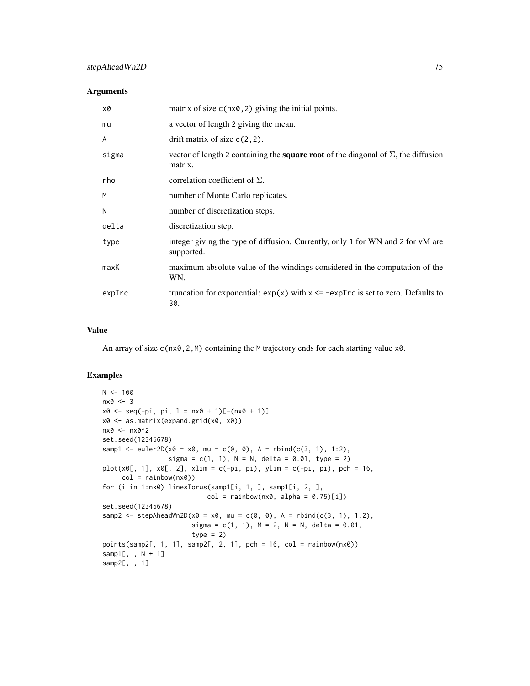#### Arguments

| x0     | matrix of size $c(nx\theta, 2)$ giving the initial points.                                                  |
|--------|-------------------------------------------------------------------------------------------------------------|
| mu     | a vector of length 2 giving the mean.                                                                       |
| A      | drift matrix of size $c(2,2)$ .                                                                             |
| sigma  | vector of length 2 containing the <b>square root</b> of the diagonal of $\Sigma$ , the diffusion<br>matrix. |
| rho    | correlation coefficient of $\Sigma$ .                                                                       |
| М      | number of Monte Carlo replicates.                                                                           |
| N      | number of discretization steps.                                                                             |
| delta  | discretization step.                                                                                        |
| type   | integer giving the type of diffusion. Currently, only 1 for WN and 2 for vM are<br>supported.               |
| maxK   | maximum absolute value of the windings considered in the computation of the<br>WN.                          |
| expTrc | truncation for exponential: $exp(x)$ with $x \leq -expTrc$ is set to zero. Defaults to<br>30.               |

# Value

An array of size c(nx0, 2, M) containing the M trajectory ends for each starting value x0.

# Examples

```
N < - 100nx0 < -3x0 \le - seq(-pi, pi, l = nx0 + 1)[-(nx0 + 1)]
x0 <- as.matrix(expand.grid(x0, x0))
nx0 <- nx0^2
set.seed(12345678)
samp1 <- euler2D(x0 = x0, mu = c(0, 0), A = rbind(c(3, 1), 1:2),
                 sigma = c(1, 1), N = N, delta = 0.01, type = 2)
plot(x0[, 1], x0[, 2], xlim = c(-pi, pi), ylim = c(-pi, pi), pch = 16,col = rainbow(nx0)for (i in 1:nx0) linesTorus(samp1[i, 1, ], samp1[i, 2, ],
                           col = rainbow(nx0, alpha = 0.75)[i])set.seed(12345678)
samp2 <- stepAheadWn2D(x0 = x0, mu = c(0, 0), A = rbind(c(3, 1), 1:2),
                       sigma = c(1, 1), M = 2, N = N, delta = 0.01,
                       type = 2)points(samp2[, 1, 1], samp2[, 2, 1], pch = 16, col = rainbow(nx0))samp1[, , N + 1]
samp2[, , 1]
```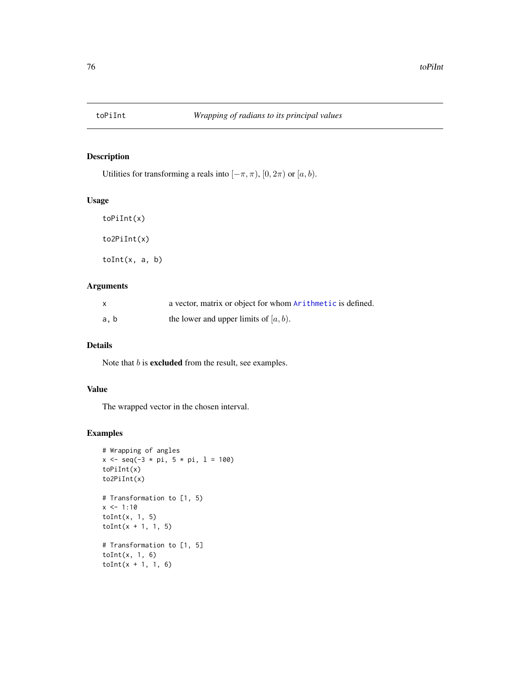<span id="page-75-0"></span>

# Description

Utilities for transforming a reals into  $[-\pi, \pi)$ ,  $[0, 2\pi)$  or  $[a, b)$ .

# Usage

toPiInt(x) to2PiInt(x)  $toInt(x, a, b)$ 

# Arguments

|      | a vector, matrix or object for whom Arithmetic is defined. |
|------|------------------------------------------------------------|
| a, b | the lower and upper limits of $[a, b)$ .                   |

# Details

Note that  $b$  is **excluded** from the result, see examples.

# Value

The wrapped vector in the chosen interval.

# Examples

```
# Wrapping of angles
x \le - seq(-3 * pi, 5 * pi, 1 = 100)
toPiInt(x)
to2PiInt(x)
# Transformation to [1, 5)
x < -1:10toInt(x, 1, 5)
toInt(x + 1, 1, 5)# Transformation to [1, 5]
toInt(x, 1, 6)
toInt(x + 1, 1, 6)
```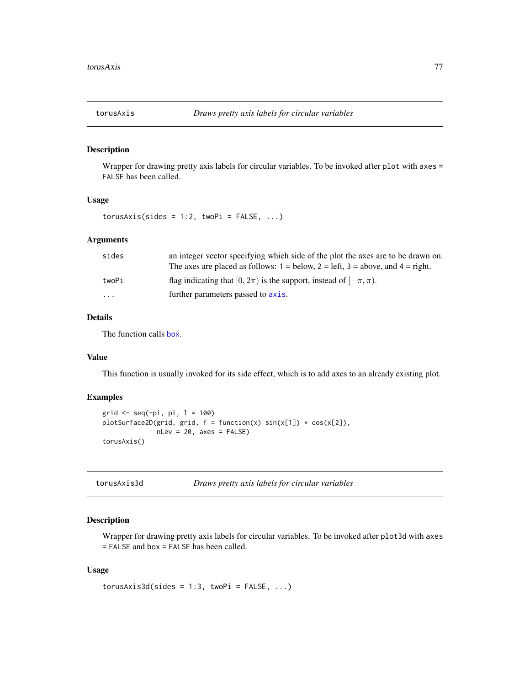<span id="page-76-0"></span>

#### Description

Wrapper for drawing pretty axis labels for circular variables. To be invoked after plot with axes = FALSE has been called.

# Usage

 $torusAxis(sides = 1:2, twoPi = FALSE, ...)$ 

#### Arguments

| sides                   | an integer vector specifying which side of the plot the axes are to be drawn on.<br>The axes are placed as follows: $1 =$ below, $2 =$ left, $3 =$ above, and $4 =$ right. |
|-------------------------|----------------------------------------------------------------------------------------------------------------------------------------------------------------------------|
| twoPi                   | flag indicating that $[0, 2\pi)$ is the support, instead of $[-\pi, \pi)$ .                                                                                                |
| $\cdot$ $\cdot$ $\cdot$ | further parameters passed to axis.                                                                                                                                         |

# Details

The function calls [box](#page-0-0).

# Value

This function is usually invoked for its side effect, which is to add axes to an already existing plot.

#### Examples

```
grid <- seq(-pi, pi, l = 100)
plotSurface2D(grid, grid, f = function(x) sin(x[1]) * cos(x[2]),nLev = 20, axes = FALSE)
torusAxis()
```
# Description

Wrapper for drawing pretty axis labels for circular variables. To be invoked after plot3d with axes = FALSE and box = FALSE has been called.

#### Usage

```
torusAxis3d(sides = 1:3, twoPi = FALSE, ...)
```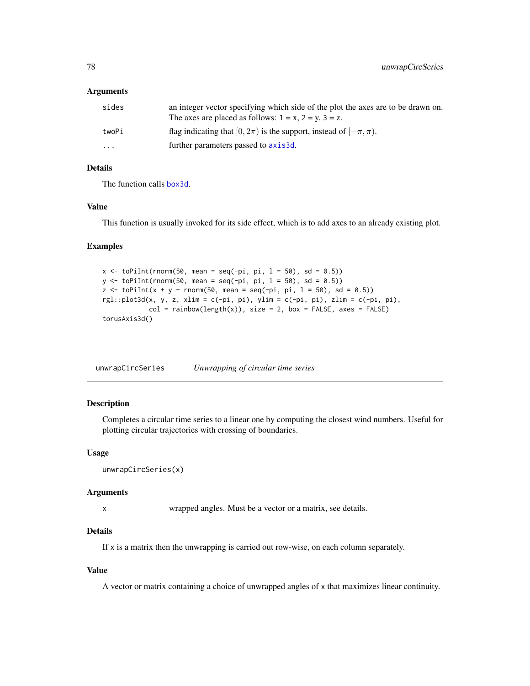#### <span id="page-77-0"></span>Arguments

| sides                   | an integer vector specifying which side of the plot the axes are to be drawn on.<br>The axes are placed as follows: $1 = x$ , $2 = y$ , $3 = z$ . |
|-------------------------|---------------------------------------------------------------------------------------------------------------------------------------------------|
| twoPi                   | flag indicating that $[0, 2\pi)$ is the support, instead of $[-\pi, \pi)$ .                                                                       |
| $\cdot$ $\cdot$ $\cdot$ | further parameters passed to axis3d.                                                                                                              |

# Details

The function calls [box3d](#page-0-0).

# Value

This function is usually invoked for its side effect, which is to add axes to an already existing plot.

## Examples

```
x \leftarrow \text{toPilnt}(\text{rnorm}(50, \text{mean} = \text{seq}(-\text{pi}, \text{pi}, 1 = 50), \text{sd} = 0.5))y \le -\text{toPilnt}(rnorm(50, mean = seq(-pi, pi, 1 = 50), sd = 0.5))z \le toPiInt(x + y + rnorm(50, mean = seq(-pi, pi, 1 = 50), sd = 0.5))
rgl::plot3d(x, y, z, xlim = c(-pi, pi), ylim = c(-pi, pi), zlim = c(-pi, pi),col = rainbow(length(x)), size = 2, box = FALSE, axes = FALSE)torusAxis3d()
```
unwrapCircSeries *Unwrapping of circular time series*

# Description

Completes a circular time series to a linear one by computing the closest wind numbers. Useful for plotting circular trajectories with crossing of boundaries.

#### Usage

```
unwrapCircSeries(x)
```
### Arguments

x wrapped angles. Must be a vector or a matrix, see details.

# Details

If x is a matrix then the unwrapping is carried out row-wise, on each column separately.

# Value

A vector or matrix containing a choice of unwrapped angles of x that maximizes linear continuity.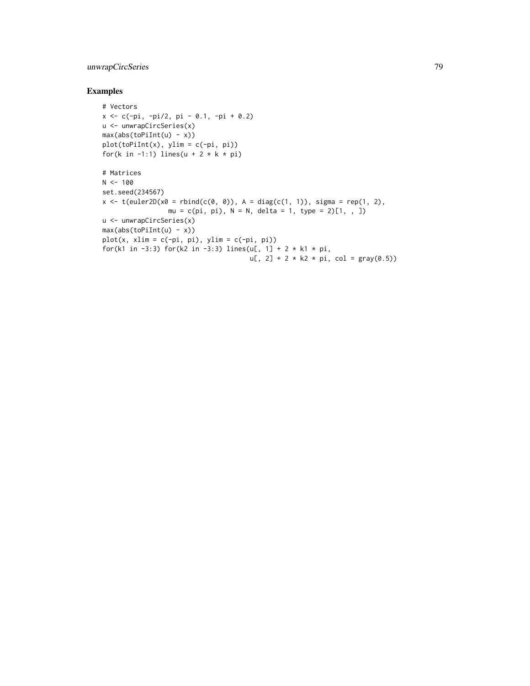# unwrapCircSeries 79

# Examples

```
# Vectors
x <- c(-pi, -pi/2, pi - 0.1, -pi + 0.2)
u <- unwrapCircSeries(x)
max(abs(toPilnt(u) - x))plot(toPiInt(x), ylim = c(-pi, pi))
for(k in -1:1) lines(u + 2 * k * pi)
# Matrices
N < - 100set.seed(234567)
x \leq t(euler2D(x0 = \text{rbind}(c(0, 0)), A = \text{diag}(c(1, 1)), sigma = rep(1, 2),
                 mu = c(pi, pi), N = N, delta = 1, type = 2)[1, , ]u <- unwrapCircSeries(x)
max(abs(toPilnt(u) - x))plot(x, xlim = c(-pi, pi), ylim = c(-pi, pi))for(k1 in -3:3) for(k2 in -3:3) lines(u[, 1] + 2 * k1 * pi,
                                      u[, 2] + 2 * k2 * pi, col = gray(0.5)
```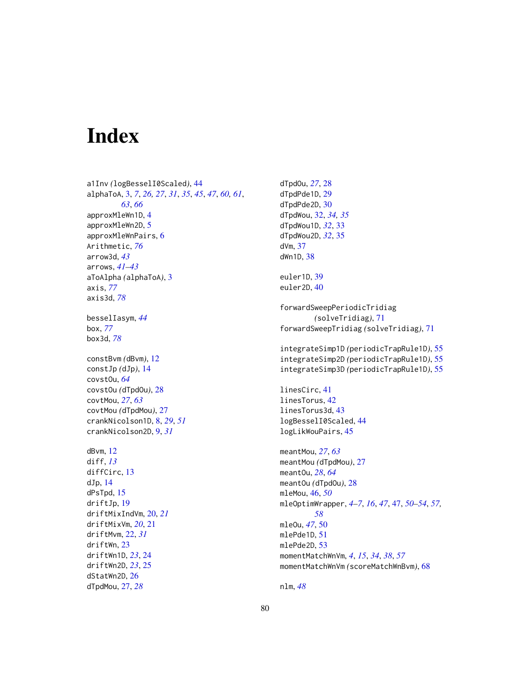# Index

dStatWn2D, [26](#page-25-0) dTpdMou, [27,](#page-26-0) *[28](#page-27-0)*

a1Inv *(*logBesselI0Scaled*)*, [44](#page-43-0) alphaToA, [3,](#page-2-0) *[7](#page-6-0)*, *[26,](#page-25-0) [27](#page-26-0)*, *[31](#page-30-0)*, *[35](#page-34-0)*, *[45](#page-44-0)*, *[47](#page-46-0)*, *[60,](#page-59-0) [61](#page-60-0)*, *[63](#page-62-0)*, *[66](#page-65-0)* approxMleWn1D, [4](#page-3-0) approxMleWn2D, [5](#page-4-0) approxMleWnPairs, [6](#page-5-0) Arithmetic, *[76](#page-75-0)* arrow3d, *[43](#page-42-0)* arrows, *[41](#page-40-0)[–43](#page-42-0)* aToAlpha *(*alphaToA*)*, [3](#page-2-0) axis, *[77](#page-76-0)* axis3d, *[78](#page-77-0)* besselIasym, *[44](#page-43-0)* box, *[77](#page-76-0)* box3d, *[78](#page-77-0)* constBvm *(*dBvm*)*, [12](#page-11-0) constJp *(*dJp*)*, [14](#page-13-0) covstOu, *[64](#page-63-0)* covstOu *(*dTpdOu*)*, [28](#page-27-0) covtMou, *[27](#page-26-0)*, *[63](#page-62-0)* covtMou *(*dTpdMou*)*, [27](#page-26-0) crankNicolson1D, [8,](#page-7-0) *[29](#page-28-0)*, *[51](#page-50-0)* crankNicolson2D, [9,](#page-8-0) *[31](#page-30-0)* dBvm, [12](#page-11-0) diff, *[13](#page-12-0)* diffCirc, [13](#page-12-0) dJp, [14](#page-13-0) dPsTpd, [15](#page-14-0) driftJp, [19](#page-18-0) driftMixIndVm, [20,](#page-19-0) *[21](#page-20-0)* driftMixVm, *[20](#page-19-0)*, [21](#page-20-0) driftMvm, [22,](#page-21-0) *[31](#page-30-0)* driftWn, [23](#page-22-0) driftWn1D, *[23](#page-22-0)*, [24](#page-23-0) driftWn2D, *[23](#page-22-0)*, [25](#page-24-0)

dTpdOu, *[27](#page-26-0)*, [28](#page-27-0) dTpdPde1D, [29](#page-28-0) dTpdPde2D, [30](#page-29-0) dTpdWou, [32,](#page-31-0) *[34,](#page-33-0) [35](#page-34-0)* dTpdWou1D, *[32](#page-31-0)*, [33](#page-32-0) dTpdWou2D, *[32](#page-31-0)*, [35](#page-34-0) dVm, [37](#page-36-0) dWn1D, [38](#page-37-0) euler1D, [39](#page-38-0) euler2D, [40](#page-39-0) forwardSweepPeriodicTridiag *(*solveTridiag*)*, [71](#page-70-0) forwardSweepTridiag *(*solveTridiag*)*, [71](#page-70-0) integrateSimp1D *(*periodicTrapRule1D*)*, [55](#page-54-0) integrateSimp2D *(*periodicTrapRule1D*)*, [55](#page-54-0) integrateSimp3D *(*periodicTrapRule1D*)*, [55](#page-54-0) linesCirc, [41](#page-40-0) linesTorus, [42](#page-41-0) linesTorus3d, [43](#page-42-0) logBesselI0Scaled, [44](#page-43-0) logLikWouPairs, [45](#page-44-0) meantMou, *[27](#page-26-0)*, *[63](#page-62-0)* meantMou *(*dTpdMou*)*, [27](#page-26-0) meantOu, *[28](#page-27-0)*, *[64](#page-63-0)* meantOu *(*dTpdOu*)*, [28](#page-27-0) mleMou, [46,](#page-45-0) *[50](#page-49-0)* mleOptimWrapper, *[4](#page-3-0)[–7](#page-6-0)*, *[16](#page-15-0)*, *[47](#page-46-0)*, [47,](#page-46-0) *[50](#page-49-0)[–54](#page-53-0)*, *[57,](#page-56-0) [58](#page-57-0)* mleOu, *[47](#page-46-0)*, [50](#page-49-0) mlePde1D, [51](#page-50-0) mlePde2D, [53](#page-52-0) momentMatchWnVm, *[4](#page-3-0)*, *[15](#page-14-0)*, *[34](#page-33-0)*, *[38](#page-37-0)*, *[57](#page-56-0)* momentMatchWnVm *(*scoreMatchWnBvm*)*, [68](#page-67-0)

nlm, *[48](#page-47-0)*